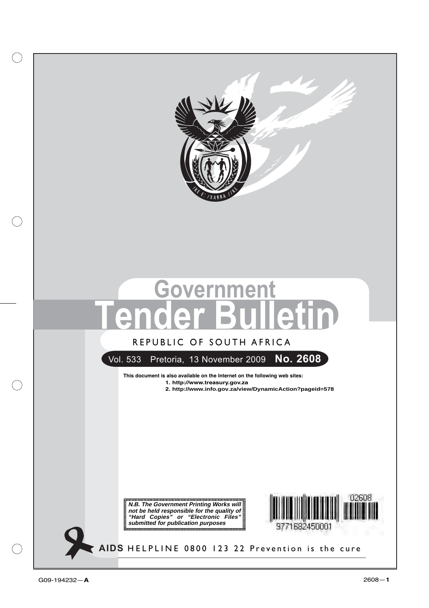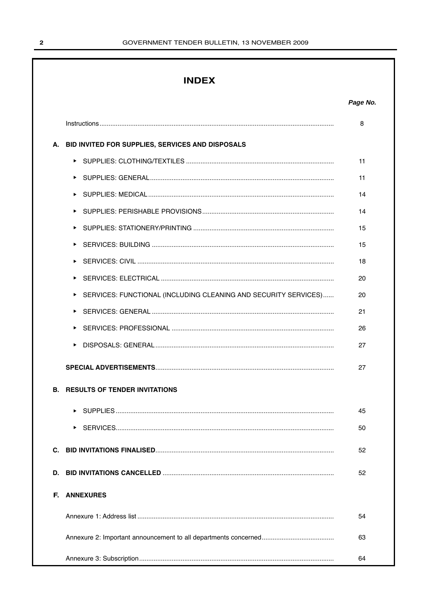# **INDEX**

|    |                                                                 | 8  |
|----|-----------------------------------------------------------------|----|
| А. | BID INVITED FOR SUPPLIES, SERVICES AND DISPOSALS                |    |
|    |                                                                 | 11 |
|    |                                                                 | 11 |
|    | ▶                                                               | 14 |
|    | ▶                                                               | 14 |
|    |                                                                 | 15 |
|    | ▶                                                               | 15 |
|    | ▶                                                               | 18 |
|    | Þ.                                                              | 20 |
|    | SERVICES: FUNCTIONAL (INCLUDING CLEANING AND SECURITY SERVICES) | 20 |
|    |                                                                 | 21 |
|    |                                                                 | 26 |
|    |                                                                 | 27 |
|    |                                                                 | 27 |
|    | <b>B. RESULTS OF TENDER INVITATIONS</b>                         |    |
|    |                                                                 | 45 |
|    |                                                                 | 50 |
| С. |                                                                 | 52 |
| D. |                                                                 | 52 |
| E. | <b>ANNEXURES</b>                                                |    |
|    |                                                                 | 54 |
|    |                                                                 | 63 |
|    |                                                                 | 64 |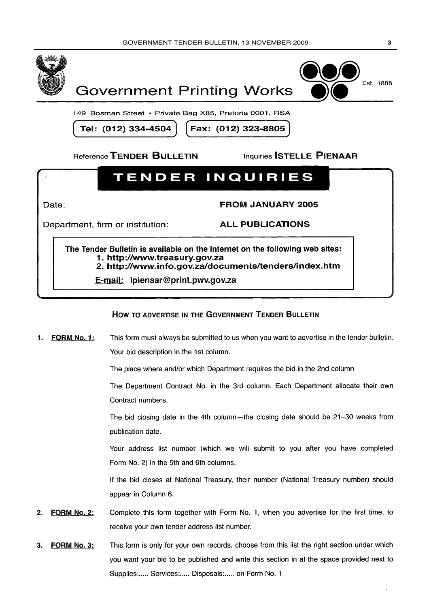



149 Bosman Street • Private Bag X85, Pretoria 0001, RSA

Tel: (012) 334-4504

Fax: (012) 323-8805

Reference TENDER BULLETIN

**Inquiries STELLE PIENAAR** 

# **TENDER INQUIRIES**

Date:

**FROM JANUARY 2005** 

Department, firm or institution:

**ALL PUBLICATIONS** 

The Tender Bulletin is available on the Internet on the following web sites: 1. http://www.treasurv.gov.za 2. http://www.info.gov.za/documents/tenders/index.htm

E-mail: ipienaar@print.pwv.gov.za

# HOW TO ADVERTISE IN THE GOVERNMENT TENDER BULLETIN

This form must always be submitted to us when you want to advertise in the tender bulletin. FORM No. 1: 1. Your bid description in the 1st column.

The place where and/or which Department requires the bid in the 2nd column

The Department Contract No. in the 3rd column. Each Department allocate their own Contract numbers.

The bid closing date in the 4th column—the closing date should be 21-30 weeks from publication date.

Your address list number (which we will submit to you after you have completed Form No. 2) in the 5th and 6th columns.

If the bid closes at National Treasury, their number (National Treasury number) should appear in Column 6.

- **FORM No. 2:** Complete this form together with Form No. 1, when you advertise for the first time, to  $2.$ receive your own tender address list number.
- This form is only for your own records, choose from this list the right section under which FORM No. 3:  $\mathbf{R}$ you want your bid to be published and write this section in at the space provided next to Supplies:..... Services:..... Disposals:..... on Form No. 1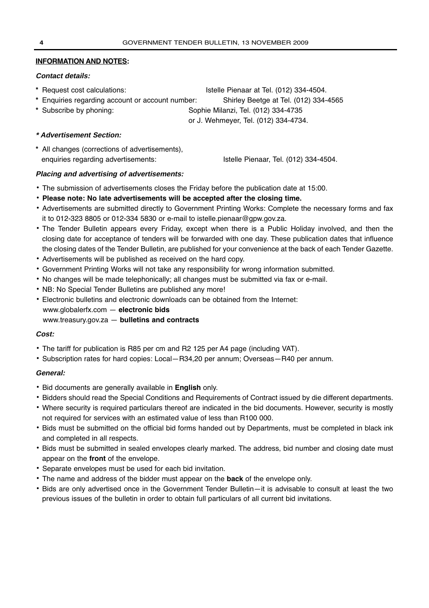# **INFORMATION AND NOTES:**

# **Contact details:**

- **\*** Request cost calculations: Istelle Pienaar at Tel. (012) 334-4504.
- **\*** Enquiries regarding account or account number: Shirley Beetge at Tel. (012) 334-4565
- **\*** Subscribe by phoning: Sophie Milanzi, Tel. (012) 334-4735

or J. Wehmeyer, Tel. (012) 334-4734.

# **\* Advertisement Section:**

**\*** All changes (corrections of advertisements), enquiries regarding advertisements: Istelle Pienaar, Tel. (012) 334-4504.

# **Placing and advertising of advertisements:**

- **•** The submission of advertisements closes the Friday before the publication date at 15:00.
- **• Please note: No late advertisements will be accepted after the closing time.**
- **•** Advertisements are submitted directly to Government Printing Works: Complete the necessary forms and fax it to 012-323 8805 or 012-334 5830 or e-mail to istelle.pienaar@gpw.gov.za.
- **•** The Tender Bulletin appears every Friday, except when there is a Public Holiday involved, and then the closing date for acceptance of tenders will be forwarded with one day. These publication dates that influence the closing dates of the Tender Bulletin, are published for your convenience at the back of each Tender Gazette.
- **•** Advertisements will be published as received on the hard copy.
- **•** Government Printing Works will not take any responsibility for wrong information submitted.
- **•** No changes will be made telephonically; all changes must be submitted via fax or e-mail.
- **•** NB: No Special Tender Bulletins are published any more!
- **•** Electronic bulletins and electronic downloads can be obtained from the Internet:
- www.globalerfx.com **electronic bids**
- www.treasury.gov.za **bulletins and contracts**

# **Cost:**

- **•** The tariff for publication is R85 per cm and R2 125 per A4 page (including VAT).
- **•** Subscription rates for hard copies: Local—R34,20 per annum; Overseas—R40 per annum.

# **General:**

- **•** Bid documents are generally available in **English** only.
- **•** Bidders should read the Special Conditions and Requirements of Contract issued by die different departments.
- **•** Where security is required particulars thereof are indicated in the bid documents. However, security is mostly not required for services with an estimated value of less than R100 000.
- **•** Bids must be submitted on the official bid forms handed out by Departments, must be completed in black ink and completed in all respects.
- **•** Bids must be submitted in sealed envelopes clearly marked. The address, bid number and closing date must appear on the **front** of the envelope.
- **•** Separate envelopes must be used for each bid invitation.
- **•** The name and address of the bidder must appear on the **back** of the envelope only.
- **•** Bids are only advertised once in the Government Tender Bulletin—it is advisable to consult at least the two previous issues of the bulletin in order to obtain full particulars of all current bid invitations.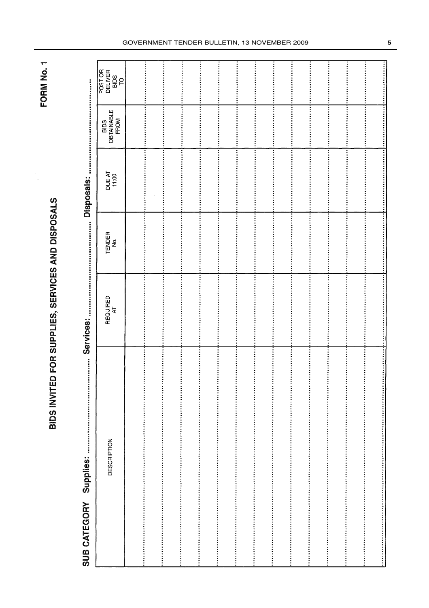BIDS INVITED FOR SUPPLIES, SERVICES AND DISPOSALS

FORM No. 1

Services: **Supplies: SUB CATEGORY** 

| POST OR<br>DELIVER<br>BIDS<br>TO |                                                                                                                          |                                                                                                                 |                                                                                                                 |                                                                                                                 |
|----------------------------------|--------------------------------------------------------------------------------------------------------------------------|-----------------------------------------------------------------------------------------------------------------|-----------------------------------------------------------------------------------------------------------------|-----------------------------------------------------------------------------------------------------------------|
|                                  |                                                                                                                          |                                                                                                                 |                                                                                                                 |                                                                                                                 |
|                                  |                                                                                                                          |                                                                                                                 |                                                                                                                 |                                                                                                                 |
|                                  |                                                                                                                          |                                                                                                                 |                                                                                                                 |                                                                                                                 |
|                                  |                                                                                                                          |                                                                                                                 |                                                                                                                 |                                                                                                                 |
| OBTAINABLE                       |                                                                                                                          |                                                                                                                 |                                                                                                                 |                                                                                                                 |
|                                  |                                                                                                                          |                                                                                                                 |                                                                                                                 |                                                                                                                 |
|                                  |                                                                                                                          |                                                                                                                 |                                                                                                                 |                                                                                                                 |
| FROM<br>BIDS                     |                                                                                                                          |                                                                                                                 |                                                                                                                 |                                                                                                                 |
|                                  |                                                                                                                          |                                                                                                                 |                                                                                                                 |                                                                                                                 |
|                                  |                                                                                                                          |                                                                                                                 |                                                                                                                 |                                                                                                                 |
|                                  |                                                                                                                          |                                                                                                                 |                                                                                                                 |                                                                                                                 |
|                                  |                                                                                                                          |                                                                                                                 |                                                                                                                 |                                                                                                                 |
|                                  |                                                                                                                          |                                                                                                                 |                                                                                                                 |                                                                                                                 |
|                                  |                                                                                                                          |                                                                                                                 |                                                                                                                 |                                                                                                                 |
|                                  |                                                                                                                          |                                                                                                                 |                                                                                                                 |                                                                                                                 |
| DUE AT<br>11:00                  |                                                                                                                          |                                                                                                                 |                                                                                                                 |                                                                                                                 |
|                                  |                                                                                                                          |                                                                                                                 |                                                                                                                 |                                                                                                                 |
|                                  |                                                                                                                          |                                                                                                                 |                                                                                                                 |                                                                                                                 |
|                                  |                                                                                                                          |                                                                                                                 |                                                                                                                 |                                                                                                                 |
|                                  |                                                                                                                          |                                                                                                                 |                                                                                                                 |                                                                                                                 |
|                                  |                                                                                                                          |                                                                                                                 |                                                                                                                 |                                                                                                                 |
|                                  |                                                                                                                          |                                                                                                                 |                                                                                                                 |                                                                                                                 |
|                                  |                                                                                                                          |                                                                                                                 |                                                                                                                 |                                                                                                                 |
|                                  |                                                                                                                          |                                                                                                                 |                                                                                                                 |                                                                                                                 |
|                                  |                                                                                                                          |                                                                                                                 |                                                                                                                 |                                                                                                                 |
|                                  |                                                                                                                          |                                                                                                                 |                                                                                                                 |                                                                                                                 |
| TENDER                           |                                                                                                                          |                                                                                                                 |                                                                                                                 |                                                                                                                 |
| ġ                                |                                                                                                                          |                                                                                                                 |                                                                                                                 |                                                                                                                 |
|                                  |                                                                                                                          |                                                                                                                 |                                                                                                                 |                                                                                                                 |
|                                  |                                                                                                                          |                                                                                                                 |                                                                                                                 |                                                                                                                 |
|                                  |                                                                                                                          |                                                                                                                 |                                                                                                                 |                                                                                                                 |
|                                  |                                                                                                                          |                                                                                                                 |                                                                                                                 |                                                                                                                 |
|                                  |                                                                                                                          |                                                                                                                 |                                                                                                                 |                                                                                                                 |
|                                  |                                                                                                                          |                                                                                                                 |                                                                                                                 |                                                                                                                 |
|                                  |                                                                                                                          |                                                                                                                 |                                                                                                                 |                                                                                                                 |
|                                  |                                                                                                                          |                                                                                                                 |                                                                                                                 |                                                                                                                 |
|                                  |                                                                                                                          |                                                                                                                 |                                                                                                                 |                                                                                                                 |
|                                  |                                                                                                                          |                                                                                                                 |                                                                                                                 |                                                                                                                 |
|                                  |                                                                                                                          |                                                                                                                 |                                                                                                                 |                                                                                                                 |
| ₹                                |                                                                                                                          |                                                                                                                 |                                                                                                                 |                                                                                                                 |
|                                  |                                                                                                                          |                                                                                                                 |                                                                                                                 |                                                                                                                 |
| REQUIRED                         |                                                                                                                          |                                                                                                                 |                                                                                                                 |                                                                                                                 |
|                                  |                                                                                                                          |                                                                                                                 |                                                                                                                 |                                                                                                                 |
|                                  |                                                                                                                          |                                                                                                                 |                                                                                                                 |                                                                                                                 |
|                                  |                                                                                                                          |                                                                                                                 |                                                                                                                 |                                                                                                                 |
|                                  |                                                                                                                          |                                                                                                                 |                                                                                                                 |                                                                                                                 |
|                                  |                                                                                                                          |                                                                                                                 |                                                                                                                 |                                                                                                                 |
|                                  |                                                                                                                          |                                                                                                                 |                                                                                                                 |                                                                                                                 |
|                                  |                                                                                                                          |                                                                                                                 |                                                                                                                 |                                                                                                                 |
|                                  |                                                                                                                          |                                                                                                                 |                                                                                                                 |                                                                                                                 |
|                                  |                                                                                                                          |                                                                                                                 |                                                                                                                 |                                                                                                                 |
|                                  |                                                                                                                          |                                                                                                                 |                                                                                                                 |                                                                                                                 |
|                                  |                                                                                                                          |                                                                                                                 |                                                                                                                 |                                                                                                                 |
|                                  |                                                                                                                          |                                                                                                                 |                                                                                                                 |                                                                                                                 |
|                                  |                                                                                                                          |                                                                                                                 |                                                                                                                 |                                                                                                                 |
|                                  |                                                                                                                          |                                                                                                                 |                                                                                                                 |                                                                                                                 |
|                                  |                                                                                                                          |                                                                                                                 |                                                                                                                 |                                                                                                                 |
|                                  |                                                                                                                          |                                                                                                                 |                                                                                                                 |                                                                                                                 |
|                                  |                                                                                                                          |                                                                                                                 |                                                                                                                 |                                                                                                                 |
|                                  |                                                                                                                          |                                                                                                                 |                                                                                                                 |                                                                                                                 |
|                                  |                                                                                                                          |                                                                                                                 |                                                                                                                 |                                                                                                                 |
|                                  |                                                                                                                          |                                                                                                                 |                                                                                                                 |                                                                                                                 |
|                                  |                                                                                                                          |                                                                                                                 |                                                                                                                 |                                                                                                                 |
|                                  |                                                                                                                          |                                                                                                                 |                                                                                                                 |                                                                                                                 |
|                                  |                                                                                                                          |                                                                                                                 |                                                                                                                 |                                                                                                                 |
|                                  |                                                                                                                          |                                                                                                                 |                                                                                                                 |                                                                                                                 |
|                                  |                                                                                                                          |                                                                                                                 |                                                                                                                 |                                                                                                                 |
|                                  |                                                                                                                          |                                                                                                                 |                                                                                                                 |                                                                                                                 |
| <b>DESCRIPTION</b>               |                                                                                                                          |                                                                                                                 |                                                                                                                 |                                                                                                                 |
|                                  |                                                                                                                          |                                                                                                                 |                                                                                                                 |                                                                                                                 |
|                                  |                                                                                                                          |                                                                                                                 |                                                                                                                 |                                                                                                                 |
|                                  |                                                                                                                          |                                                                                                                 |                                                                                                                 |                                                                                                                 |
|                                  |                                                                                                                          |                                                                                                                 |                                                                                                                 |                                                                                                                 |
|                                  |                                                                                                                          |                                                                                                                 |                                                                                                                 |                                                                                                                 |
|                                  |                                                                                                                          |                                                                                                                 |                                                                                                                 |                                                                                                                 |
|                                  |                                                                                                                          |                                                                                                                 |                                                                                                                 |                                                                                                                 |
|                                  |                                                                                                                          |                                                                                                                 |                                                                                                                 |                                                                                                                 |
|                                  |                                                                                                                          |                                                                                                                 |                                                                                                                 |                                                                                                                 |
|                                  |                                                                                                                          |                                                                                                                 |                                                                                                                 |                                                                                                                 |
|                                  |                                                                                                                          |                                                                                                                 |                                                                                                                 |                                                                                                                 |
|                                  |                                                                                                                          |                                                                                                                 |                                                                                                                 |                                                                                                                 |
|                                  |                                                                                                                          |                                                                                                                 |                                                                                                                 |                                                                                                                 |
|                                  |                                                                                                                          |                                                                                                                 |                                                                                                                 |                                                                                                                 |
|                                  |                                                                                                                          |                                                                                                                 |                                                                                                                 |                                                                                                                 |
|                                  |                                                                                                                          |                                                                                                                 |                                                                                                                 |                                                                                                                 |
|                                  | <u>, последните при подразните на подразните на приводните на примерения на приводните на приводните на подразните н</u> | ти и последните при податки на предлагаете на предлагает на просто на при податки на при податки на при податки | , последните издания и последните последните последните издания и последните издания и последните последните по | u de de la proprieda de la producción de la producción de la producción de la producción de la producción de la |
|                                  |                                                                                                                          |                                                                                                                 |                                                                                                                 |                                                                                                                 |

#### GOVERNMENT TENDER BULLETIN, 13 NOVEMBER 2009 **5**

.<br>.<br>.<br>.<br>.<br>.<br>.

 $\ddot{z}$ 

...............

 $\ddot{\ddot{\cdot}}$ 

ţ

,,,,,,,,,,,,,,,,,,,,,,,,

 $\begin{bmatrix} 1 & 0 & 0 \\ 0 & 1 & 0 \\ 0 & 0 & 0 \\ 0 & 0 & 0 \\ 0 & 0 & 0 \\ 0 & 0 & 0 \\ 0 & 0 & 0 & 0 \\ 0 & 0 & 0 & 0 \\ 0 & 0 & 0 & 0 \\ 0 & 0 & 0 & 0 & 0 \\ 0 & 0 & 0 & 0 & 0 \\ 0 & 0 & 0 & 0 & 0 \\ 0 & 0 & 0 & 0 & 0 & 0 \\ 0 & 0 & 0 & 0 & 0 & 0 \\ 0 & 0 & 0 & 0 & 0 & 0 & 0 \\ 0 & 0 & 0 & 0 & 0 & 0 & 0 \\$ 

..........

...........

Ī

Ţ

i<br>:

Ī

Î

Ī

 $\begin{bmatrix} 1 & 0 & 0 \\ 0 & 1 & 0 \\ 0 & 0 & 0 \\ 0 & 0 & 0 \\ 0 & 0 & 0 \\ 0 & 0 & 0 \\ 0 & 0 & 0 & 0 \\ 0 & 0 & 0 & 0 \\ 0 & 0 & 0 & 0 \\ 0 & 0 & 0 & 0 & 0 \\ 0 & 0 & 0 & 0 & 0 \\ 0 & 0 & 0 & 0 & 0 \\ 0 & 0 & 0 & 0 & 0 & 0 \\ 0 & 0 & 0 & 0 & 0 & 0 \\ 0 & 0 & 0 & 0 & 0 & 0 & 0 \\ 0 & 0 & 0 & 0 & 0 & 0 & 0 \\$ 

 $\ddot{\cdot}$ 

.............

Î

 $\frac{1}{2}$  ,  $\frac{1}{2}$  ,  $\frac{1}{2}$  ,  $\frac{1}{2}$  ,  $\frac{1}{2}$  ,  $\frac{1}{2}$  ,  $\frac{1}{2}$  ,  $\frac{1}{2}$  ,  $\frac{1}{2}$ 

 $\ddot{\ddot{\cdot}}$ 

i<br>:<br>:

Ţ

Ŧ

 $\frac{1}{2}$ 

:<br>:<br>:<br>:

 $\ddot{\ddot{\cdot}}$ 

,,,,,,,,,,,,,

,,,,,,,,,,,,,,,,,,,,,,,,,,,,,,

İ

 $\ddot{\ddot{\phantom{}}\phantom{}}$ 

 $\ddot{}}$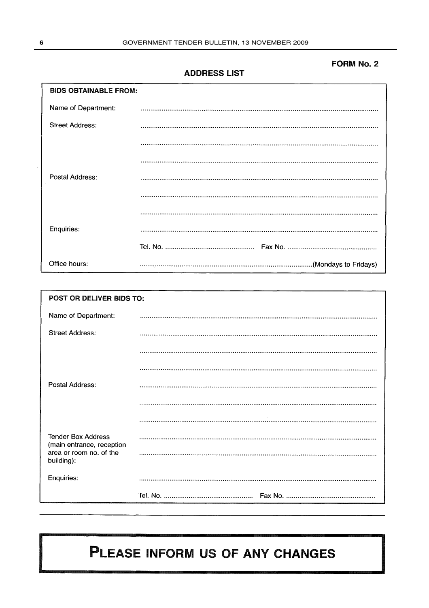# **FORM No. 2**

**ADDRESS LIST** 

| <b>BIDS OBTAINABLE FROM:</b> |  |  |  |  |
|------------------------------|--|--|--|--|
| Name of Department:          |  |  |  |  |
| <b>Street Address:</b>       |  |  |  |  |
|                              |  |  |  |  |
|                              |  |  |  |  |
| Postal Address:              |  |  |  |  |
|                              |  |  |  |  |
|                              |  |  |  |  |
| Enquiries:                   |  |  |  |  |
|                              |  |  |  |  |
| Office hours:                |  |  |  |  |

|                                                        | POST OR DELIVER BIDS TO: |  |  |  |  |  |
|--------------------------------------------------------|--------------------------|--|--|--|--|--|
| Name of Department:                                    |                          |  |  |  |  |  |
| Street Address:                                        |                          |  |  |  |  |  |
|                                                        |                          |  |  |  |  |  |
|                                                        |                          |  |  |  |  |  |
| Postal Address:                                        |                          |  |  |  |  |  |
|                                                        |                          |  |  |  |  |  |
|                                                        |                          |  |  |  |  |  |
| <b>Tender Box Address</b><br>(main entrance, reception |                          |  |  |  |  |  |
| area or room no. of the<br>building):                  |                          |  |  |  |  |  |
| Enquiries:                                             |                          |  |  |  |  |  |
|                                                        |                          |  |  |  |  |  |

# PLEASE INFORM US OF ANY CHANGES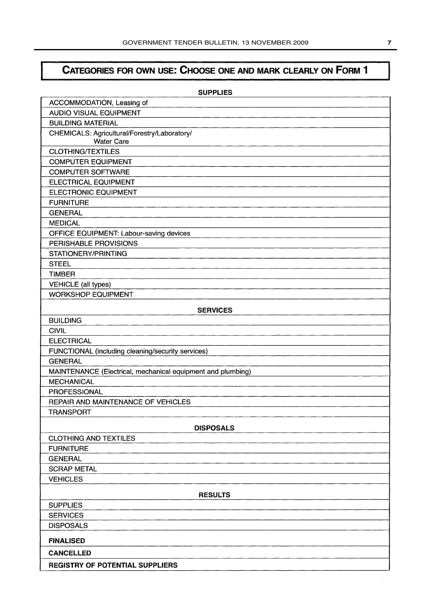# CATEGORIES FOR OWN USE: CHOOSE ONE AND MARK CLEARLY ON FORM 1

| <b>SUPPLIES</b>                                                   |
|-------------------------------------------------------------------|
| ACCOMMODATION, Leasing of                                         |
| <b>AUDIO VISUAL EQUIPMENT</b>                                     |
| <b>BUILDING MATERIAL</b>                                          |
| CHEMICALS: Agricultural/Forestry/Laboratory/<br><b>Water Care</b> |
| <b>CLOTHING/TEXTILES</b>                                          |
| <b>COMPUTER EQUIPMENT</b>                                         |
| <b>COMPUTER SOFTWARE</b>                                          |
| <b>ELECTRICAL EQUIPMENT</b>                                       |
| <b>ELECTRONIC EQUIPMENT</b>                                       |
| <b>FURNITURE</b>                                                  |
| <b>GENERAL</b>                                                    |
| <b>MEDICAL</b>                                                    |
| OFFICE EQUIPMENT: Labour-saving devices                           |
| PERISHABLE PROVISIONS                                             |
| STATIONERY/PRINTING                                               |
| <b>STEEL</b>                                                      |
| <b>TIMBER</b>                                                     |
| <b>VEHICLE</b> (all types)                                        |
| <b>WORKSHOP EQUIPMENT</b>                                         |
| <b>SERVICES</b>                                                   |
| <b>BUILDING</b>                                                   |
| <b>CIVIL</b>                                                      |
| <b>ELECTRICAL</b>                                                 |
| FUNCTIONAL (including cleaning/security services)                 |
| <b>GENERAL</b>                                                    |
| MAINTENANCE (Electrical, mechanical equipment and plumbing)       |
| <b>MECHANICAL</b>                                                 |
| <b>PROFESSIONAL</b>                                               |
| <b>REPAIR AND MAINTENANCE OF VEHICLES</b>                         |
| <b>TRANSPORT</b>                                                  |
| <b>DISPOSALS</b>                                                  |
| <b>CLOTHING AND TEXTILES</b>                                      |
| <b>FURNITURE</b>                                                  |
| <b>GENERAL</b>                                                    |
| <b>SCRAP METAL</b>                                                |
| <b>VEHICLES</b>                                                   |
| <b>RESULTS</b>                                                    |
| <b>SUPPLIES</b>                                                   |
| <b>SERVICES</b>                                                   |
| <b>DISPOSALS</b>                                                  |
| <b>FINALISED</b>                                                  |
| <b>CANCELLED</b>                                                  |
| <b>REGISTRY OF POTENTIAL SUPPLIERS</b>                            |

l,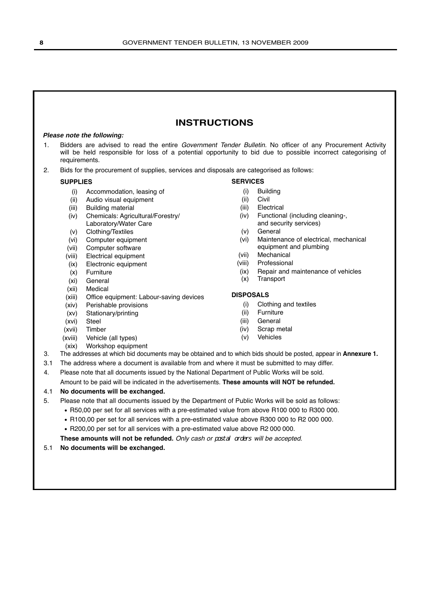# **INSTRUCTIONS**

#### **Please note the following:**

- 1. Bidders are advised to read the entire Government Tender Bulletin. No officer of any Procurement Activity will be held responsible for loss of a potential opportunity to bid due to possible incorrect categorising of requirements.
- 2. Bids for the procurement of supplies, services and disposals are categorised as follows:

#### **SUPPLIES**

- (i) Accommodation, leasing of
- (ii) Audio visual equipment
- (iii) Building material
- (iv) Chemicals: Agricultural/Forestry/ Laboratory/Water Care
- (v) Clothing/Textiles
- (vi) Computer equipment
- (vii) Computer software
- (viii) Electrical equipment
- (ix) Electronic equipment
- (x) Furniture
- (xi) General
- (xii) Medical
- (xiii) Office equipment: Labour-saving devices
- (xiv) Perishable provisions
- (xv) Stationary/printing
- (xvi) Steel
- (xvii) Timber
- (xviii) Vehicle (all types)
- (xix) Workshop equipment

# **SERVICES**

- (i) Building
- (ii) Civil
- (iii) Electrical
- (iv) Functional (including cleaning-, and security services)
- (v) General
- (vi) Maintenance of electrical, mechanical equipment and plumbing
- (vii) Mechanical
- (viii) Professional
- (ix) Repair and maintenance of vehicles
- (x) Transport

#### **DISPOSALS**

- (i) Clothing and textiles
- (ii) Furniture
- (iii) General
- (iv) Scrap metal
- (v) Vehicles
- 
- 3. The addresses at which bid documents may be obtained and to which bids should be posted, appear in **Annexure 1.**
- 3.1 The address where a document is available from and where it must be submitted to may differ.
- 4. Please note that all documents issued by the National Department of Public Works will be sold.

Amount to be paid will be indicated in the advertisements. **These amounts will NOT be refunded.**

# 4.1 **No documents will be exchanged.**

- 5. Please note that all documents issued by the Department of Public Works will be sold as follows:
	- R50,00 per set for all services with a pre-estimated value from above R100 000 to R300 000.
	- R100,00 per set for all services with a pre-estimated value above R300 000 to R2 000 000.
	- R200,00 per set for all services with a pre-estimated value above R2 000 000.

**These amounts will not be refunded.** Only cash or postal orders will be accepted.

5.1 **No documents will be exchanged.**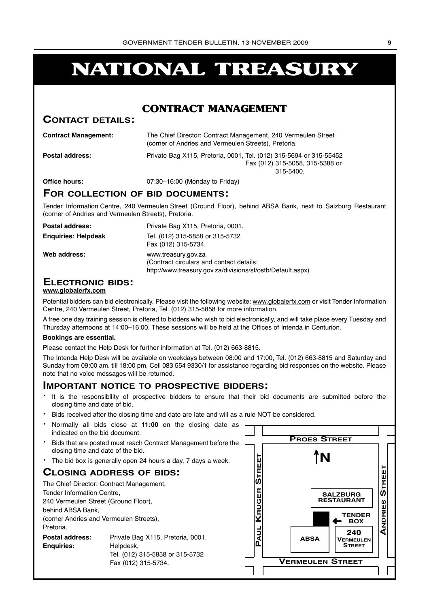# **NATIONAL TREASURY**

# **CONTRACT MANAGEMENT**

# **CONTACT DETAILS:**

| <b>Contract Management:</b> | The Chief Director: Contract Management, 240 Vermeulen Street<br>(corner of Andries and Vermeulen Streets), Pretoria. |
|-----------------------------|-----------------------------------------------------------------------------------------------------------------------|
| <b>Postal address:</b>      | Private Bag X115, Pretoria, 0001, Tel. (012) 315-5694 or 315-55452<br>Fax (012) 315-5058, 315-5388 or<br>$315 - 5400$ |
| Office hours:               | 07:30-16:00 (Monday to Friday)                                                                                        |

# **FOR COLLECTION OF BID DOCUMENTS:**

Tender Information Centre, 240 Vermeulen Street (Ground Floor), behind ABSA Bank, next to Salzburg Restaurant (corner of Andries and Vermeulen Streets), Pretoria.

| Postal address:            | Private Bag X115, Pretoria, 0001.                                                                                             |
|----------------------------|-------------------------------------------------------------------------------------------------------------------------------|
| <b>Enguiries: Helpdesk</b> | Tel. (012) 315-5858 or 315-5732<br>Fax (012) 315-5734.                                                                        |
| Web address:               | www.treasury.gov.za<br>(Contract circulars and contact details:<br>http://www.treasury.gov.za/divisions/sf/ostb/Default.aspx) |

# **ELECTRONIC BIDS:**

#### **www.globalerfx.com**

Potential bidders can bid electronically. Please visit the following website: www.globalerfx.com or visit Tender Information Centre, 240 Vermeulen Street, Pretoria, Tel. (012) 315-5858 for more information.

A free one day training session is offered to bidders who wish to bid electronically, and will take place every Tuesday and Thursday afternoons at 14:00–16:00. These sessions will be held at the Offices of Intenda in Centurion.

#### **Bookings are essential.**

Please contact the Help Desk for further information at Tel. (012) 663-8815.

The Intenda Help Desk will be available on weekdays between 08:00 and 17:00, Tel. (012) 663-8815 and Saturday and Sunday from 09:00 am. till 18:00 pm, Cell 083 554 9330/1 for assistance regarding bid responses on the website. Please note that no voice messages will be returned.

# **IMPORTANT NOTICE TO PROSPECTIVE BIDDERS:**

- It is the responsibility of prospective bidders to ensure that their bid documents are submitted before the closing time and date of bid.
- Bids received after the closing time and date are late and will as a rule NOT be considered.
- Normally all bids close at **11:00** on the closing date as indicated on the bid document.
- Bids that are posted must reach Contract Management before the closing time and date of the bid.
- The bid box is generally open 24 hours a day, 7 days a week.

# **CLOSING ADDRESS OF BIDS:**

| The Chief Director: Contract Management, |                                   |  |  |  |  |  |  |
|------------------------------------------|-----------------------------------|--|--|--|--|--|--|
|                                          | Tender Information Centre,        |  |  |  |  |  |  |
| 240 Vermeulen Street (Ground Floor),     |                                   |  |  |  |  |  |  |
| behind ABSA Bank,                        |                                   |  |  |  |  |  |  |
| (corner Andries and Vermeulen Streets),  |                                   |  |  |  |  |  |  |
| Pretoria.                                |                                   |  |  |  |  |  |  |
| Postal address:                          | Private Bag X115, Pretoria, 0001. |  |  |  |  |  |  |
| <b>Enguiries:</b><br>Helpdesk,           |                                   |  |  |  |  |  |  |
| Tel. (012) 315-5858 or 315-5732          |                                   |  |  |  |  |  |  |
|                                          | Fax (012) 315-5734.               |  |  |  |  |  |  |

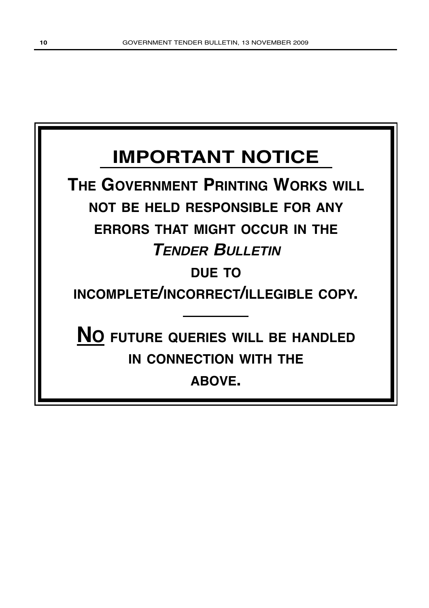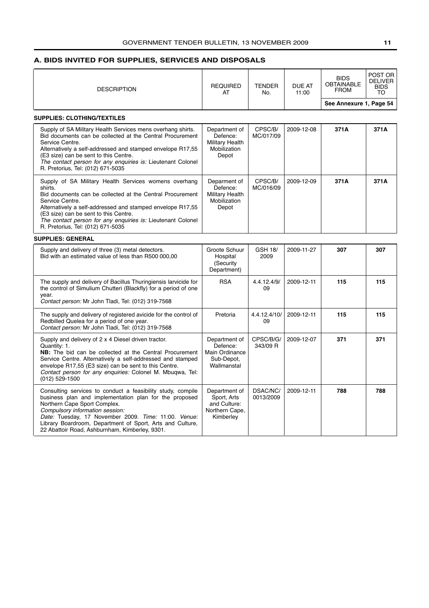# <span id="page-10-0"></span>**A. BIDS INVITED FOR SUPPLIES, SERVICES AND DISPOSALS**

| <b>DESCRIPTION</b>                                                                                                                                                                                                                                                                                                                                              | <b>REQUIRED</b><br>AT                                                       | <b>TENDER</b><br>No.   | <b>DUE AT</b><br>11:00 | <b>BIDS</b><br><b>OBTAINABLE</b><br><b>FROM</b><br>See Annexure 1, Page 54 | POST OR<br><b>DELIVER</b><br>BIDS<br>то |
|-----------------------------------------------------------------------------------------------------------------------------------------------------------------------------------------------------------------------------------------------------------------------------------------------------------------------------------------------------------------|-----------------------------------------------------------------------------|------------------------|------------------------|----------------------------------------------------------------------------|-----------------------------------------|
| <b>SUPPLIES: CLOTHING/TEXTILES</b>                                                                                                                                                                                                                                                                                                                              |                                                                             |                        |                        |                                                                            |                                         |
| Supply of SA Military Health Services mens overhang shirts.<br>Bid documents can be collected at the Central Procurement<br>Service Centre.<br>Alternatively a self-addressed and stamped envelope R17,55<br>(E3 size) can be sent to this Centre.<br>The contact person for any enquiries is: Lieutenant Colonel<br>R. Pretorius, Tel: (012) 671-5035          | Department of<br>Defence:<br>Military Health<br>Mobilization<br>Depot       | CPSC/B/<br>MC/017/09   | 2009-12-08             | 371A                                                                       | 371A                                    |
| Supply of SA Military Health Services womens overhang<br>shirts.<br>Bid documents can be collected at the Central Procurement<br>Service Centre.<br>Alternatively a self-addressed and stamped envelope R17,55<br>(E3 size) can be sent to this Centre.<br>The contact person for any enquiries is: Lieutenant Colonel<br>R. Pretorius, Tel: (012) 671-5035     | Deparment of<br>Defence:<br>Military Health<br>Mobilization<br>Depot        | CPSC/B/<br>MC/016/09   | 2009-12-09             | 371A                                                                       | 371A                                    |
| <b>SUPPLIES: GENERAL</b>                                                                                                                                                                                                                                                                                                                                        |                                                                             |                        |                        |                                                                            |                                         |
| Supply and delivery of three (3) metal detectors.<br>Bid with an estimated value of less than R500 000,00                                                                                                                                                                                                                                                       | Groote Schuur<br>Hospital<br>(Security<br>Department)                       | <b>GSH 18/</b><br>2009 | 2009-11-27             | 307                                                                        | 307                                     |
| The supply and delivery of Bacillus Thuringiensis larvicide for<br>the control of Simulium Chutteri (Blackfly) for a period of one<br>vear.<br>Contact person: Mr John Tladi, Tel: (012) 319-7568                                                                                                                                                               | <b>RSA</b>                                                                  | 4.4.12.4/9/<br>09      | 2009-12-11             | 115                                                                        | 115                                     |
| The supply and delivery of registered avicide for the control of<br>Redbilled Quelea for a period of one year.<br>Contact person: Mr John Tladi, Tel: (012) 319-7568                                                                                                                                                                                            | Pretoria                                                                    | 4.4.12.4/10/<br>09     | 2009-12-11             | 115                                                                        | 115                                     |
| Supply and delivery of 2 x 4 Diesel driven tractor.<br>Quantity: 1.<br><b>NB:</b> The bid can be collected at the Central Procurement<br>Service Centre. Alternatively a self-addressed and stamped<br>envelope R17,55 (E3 size) can be sent to this Centre.<br>Contact person for any enquiries: Colonel M. Mbuqwa, Tel:<br>(012) 529-1500                     | Department of<br>Defence:<br>Main Ordinance<br>Sub-Depot,<br>Wallmanstal    | CPSC/B/G/<br>343/09 R  | 2009-12-07             | 371                                                                        | 371                                     |
| Consulting services to conduct a feasibility study, compile<br>business plan and implementation plan for the proposed<br>Northern Cape Sport Complex.<br>Compulsory information session:<br>Date: Tuesday, 17 November 2009. Time: 11:00. Venue:<br>Library Boardroom, Department of Sport, Arts and Culture,<br>22 Abattoir Road, Ashburnham, Kimberley, 9301. | Department of<br>Sport, Arts<br>and Culture:<br>Northern Cape,<br>Kimberley | DSAC/NC/<br>0013/2009  | 2009-12-11             | 788                                                                        | 788                                     |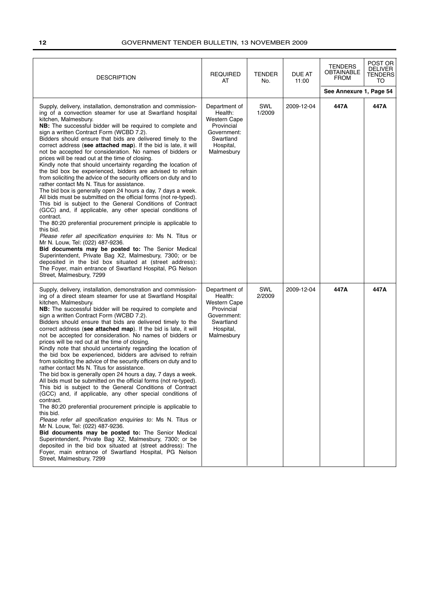| <b>DESCRIPTION</b>                                                                                                                                                                                                                                                                                                                                                                                                                                                                                                                                                                                                                                                                                                                                                                                                                                                                                                                                                                                                                                                                                                                                                                                                                                                                                                                                                                                                                                                                                        | <b>REQUIRED</b><br>AT                                                                                                | <b>TENDER</b><br>No. | <b>DUE AT</b><br>11:00 | <b>TENDERS</b><br><b>OBTAINABLE</b><br><b>FROM</b> | POST OR<br><b>DELIVER</b><br><b>TENDERS</b><br>TO |
|-----------------------------------------------------------------------------------------------------------------------------------------------------------------------------------------------------------------------------------------------------------------------------------------------------------------------------------------------------------------------------------------------------------------------------------------------------------------------------------------------------------------------------------------------------------------------------------------------------------------------------------------------------------------------------------------------------------------------------------------------------------------------------------------------------------------------------------------------------------------------------------------------------------------------------------------------------------------------------------------------------------------------------------------------------------------------------------------------------------------------------------------------------------------------------------------------------------------------------------------------------------------------------------------------------------------------------------------------------------------------------------------------------------------------------------------------------------------------------------------------------------|----------------------------------------------------------------------------------------------------------------------|----------------------|------------------------|----------------------------------------------------|---------------------------------------------------|
|                                                                                                                                                                                                                                                                                                                                                                                                                                                                                                                                                                                                                                                                                                                                                                                                                                                                                                                                                                                                                                                                                                                                                                                                                                                                                                                                                                                                                                                                                                           |                                                                                                                      |                      |                        | See Annexure 1, Page 54                            |                                                   |
| Supply, delivery, installation, demonstration and commission-<br>ing of a convection steamer for use at Swartland hospital<br>kitchen, Malmesbury.<br>NB: The successful bidder will be required to complete and<br>sign a written Contract Form (WCBD 7.2).<br>Bidders should ensure that bids are delivered timely to the<br>correct address (see attached map). If the bid is late, it will<br>not be accepted for consideration. No names of bidders or<br>prices will be read out at the time of closing.<br>Kindly note that should uncertainty regarding the location of<br>the bid box be experienced, bidders are advised to refrain<br>from soliciting the advice of the security officers on duty and to<br>rather contact Ms N. Titus for assistance.<br>The bid box is generally open 24 hours a day, 7 days a week.<br>All bids must be submitted on the official forms (not re-typed).<br>This bid is subject to the General Conditions of Contract<br>(GCC) and, if applicable, any other special conditions of<br>contract.<br>The 80:20 preferential procurement principle is applicable to<br>this bid.<br>Please refer all specification enquiries to: Ms N. Titus or<br>Mr N. Louw, Tel: (022) 487-9236.<br>Bid documents may be posted to: The Senior Medical<br>Superintendent, Private Bag X2, Malmesbury, 7300; or be<br>deposited in the bid box situated at (street address):<br>The Foyer, main entrance of Swartland Hospital, PG Nelson<br>Street, Malmesbury, 7299         | Department of<br>Health:<br>Western Cape<br>Provincial<br>Government:<br>Swartland<br>Hospital,<br>Malmesbury        | SWL<br>1/2009        | 2009-12-04             | 447A                                               | 447A                                              |
| Supply, delivery, installation, demonstration and commission-<br>ing of a direct steam steamer for use at Swartland Hospital<br>kitchen, Malmesbury.<br>NB: The successful bidder will be required to complete and<br>sign a written Contract Form (WCBD 7.2).<br>Bidders should ensure that bids are delivered timely to the<br>correct address (see attached map). If the bid is late, it will<br>not be accepted for consideration. No names of bidders or<br>prices will be red out at the time of closing.<br>Kindly note that should uncertainty regarding the location of<br>the bid box be experienced, bidders are advised to refrain<br>from soliciting the advice of the security officers on duty and to<br>rather contact Ms N. Titus for assistance.<br>The bid box is generally open 24 hours a day, 7 days a week.<br>All bids must be submitted on the official forms (not re-typed).<br>This bid is subject to the General Conditions of Contract<br>(GCC) and, if applicable, any other special conditions of<br>contract.<br>The 80:20 preferential procurement principle is applicable to<br>this bid.<br><i>Please refer all specification enquiries to:</i> Ms N. Titus or<br>Mr N. Louw, Tel: (022) 487-9236.<br>Bid documents may be posted to: The Senior Medical<br>Superintendent, Private Bag X2, Malmesbury, 7300; or be<br>deposited in the bid box situated at (street address): The<br>Foyer, main entrance of Swartland Hospital, PG Nelson<br>Street, Malmesbury, 7299 | Department of<br>Health:<br><b>Western Cape</b><br>Provincial<br>Government:<br>Swartland<br>Hospital,<br>Malmesbury | SWL<br>2/2009        | 2009-12-04             | 447A                                               | 447A                                              |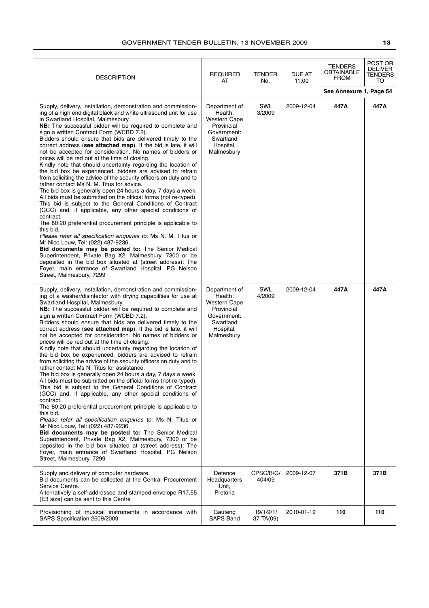| <b>DESCRIPTION</b>                                                                                                                                                                                                                                                                                                                                                                                                                                                                                                                                                                                                                                                                                                                                                                                                                                                                                                                                                                                                                                                                                                                                                                                                                                                                                                                                                                                                                                                                                                        | <b>REQUIRED</b><br>AT                                                                                                | <b>TENDER</b><br>No.   | DUE AT<br>11:00 | TENDERS<br>OBTAINABLE<br><b>FROM</b> | POST OR<br><b>DELIVER</b><br>TENDERS<br>TO |
|---------------------------------------------------------------------------------------------------------------------------------------------------------------------------------------------------------------------------------------------------------------------------------------------------------------------------------------------------------------------------------------------------------------------------------------------------------------------------------------------------------------------------------------------------------------------------------------------------------------------------------------------------------------------------------------------------------------------------------------------------------------------------------------------------------------------------------------------------------------------------------------------------------------------------------------------------------------------------------------------------------------------------------------------------------------------------------------------------------------------------------------------------------------------------------------------------------------------------------------------------------------------------------------------------------------------------------------------------------------------------------------------------------------------------------------------------------------------------------------------------------------------------|----------------------------------------------------------------------------------------------------------------------|------------------------|-----------------|--------------------------------------|--------------------------------------------|
|                                                                                                                                                                                                                                                                                                                                                                                                                                                                                                                                                                                                                                                                                                                                                                                                                                                                                                                                                                                                                                                                                                                                                                                                                                                                                                                                                                                                                                                                                                                           |                                                                                                                      |                        |                 | See Annexure 1, Page 54              |                                            |
| Supply, delivery, installation, demonstration and commission-<br>ing of a high end digital black and white ultrasound unit for use<br>in Swartland Hospital, Malmesbury.<br>NB: The successful bidder will be required to complete and<br>sign a written Contract Form (WCBD 7.2).<br>Bidders should ensure that bids are delivered timely to the<br>correct address (see attached map). If the bid is late, it will<br>not be accepted for consideration. No names of bidders or<br>prices will be red out at the time of closing.<br>Kindly note that should uncertainty regarding the location of<br>the bid box be experienced, bidders are advised to refrain<br>from soliciting the advice of the security officers on duty and to<br>rather contact Ms N. M. Titus for advice.<br>The bid box is generally open 24 hours a day, 7 days a week.<br>All bids must be submitted on the official forms (not re-typed).<br>This bid is subject to the General Conditions of Contract<br>(GCC) and, if applicable, any other special conditions of<br>contract.<br>The 80:20 preferential procurement principle is applicable to<br>this bid.<br>Please refer all specification enquiries to: Ms N. M. Titus or<br>Mr Nico Louw, Tel: (022) 487-9236.<br>Bid documents may be posted to: The Senior Medical<br>Superintendent, Private Bag X2, Malmesbury, 7300 or be<br>deposited in the bid box situated at (street address): The<br>Foyer, main entrance of Swartland Hospital, PG Nelson<br>Street, Malmesbury, 7299 | Department of<br>Health:<br><b>Western Cape</b><br>Provincial<br>Government:<br>Swartland<br>Hospital,<br>Malmesbury | SWL<br>3/2009          | 2009-12-04      | 447A                                 | 447A                                       |
| Supply, delivery, installation, demonstration and commission-<br>ing of a washer/disinfector with drying capabilities for use at<br>Swartland Hospital, Malmesbury.<br>NB: The successful bidder will be required to complete and<br>sign a written Contract Form (WCBD 7.2).<br>Bidders should ensure that bids are delivered timely to the<br>correct address (see attached map). If the bid is late, it will<br>not be accepted for consideration. No names of bidders or<br>prices will be red out at the time of closing.<br>Kindly note that should uncertainty regarding the location of<br>the bid box be experienced, bidders are advised to refrain<br>from soliciting the advice of the security officers on duty and to<br>rather contact Ms N. Titus for assistance.<br>The bid box is generally open 24 hours a day, 7 days a week.<br>All bids must be submitted on the official forms (not re-typed).<br>This bid is subject to the General Conditions of Contract<br>(GCC) and, if applicable, any other special conditions of<br>contract.<br>The 80:20 preferential procurement principle is applicable to<br>this bid.<br>Please refer all specification enquiries to: Ms N. Titus or<br>Mr Nico Louw, Tel: (022) 487-9236.<br>Bid documents may be posted to: The Senior Medical<br>Superintendent, Private Bag X2, Malmesbury, 7300 or be<br>deposited in the bid box situated at (street address): The<br>Foyer, main entrance of Swartland Hospital, PG Nelson<br>Street, Malmesbury, 7299        | Department of<br>Health:<br><b>Western Cape</b><br>Provincial<br>Government:<br>Swartland<br>Hospital,<br>Malmesbury | SWL<br>4/2009          | 2009-12-04      | 447A                                 | 447A                                       |
| Supply and delivery of computer hardware.<br>Bid documents can be collected at the Central Procurement<br>Service Centre.<br>Alternatively a self-addressed and stamped envelope R17,55<br>(E3 size) can be sent to this Centre                                                                                                                                                                                                                                                                                                                                                                                                                                                                                                                                                                                                                                                                                                                                                                                                                                                                                                                                                                                                                                                                                                                                                                                                                                                                                           | Defence<br>Headquarters<br>Unit,<br>Pretoria                                                                         | CPSC/B/G/<br>404/09    | 2009-12-07      | 371B                                 | 371B                                       |
| Provisioning of musical instruments in accordance with<br>SAPS Specification 2609/2009                                                                                                                                                                                                                                                                                                                                                                                                                                                                                                                                                                                                                                                                                                                                                                                                                                                                                                                                                                                                                                                                                                                                                                                                                                                                                                                                                                                                                                    | Gauteng<br><b>SAPS Band</b>                                                                                          | 19/1/9/1/<br>37 TA(09) | 2010-01-19      | 110                                  | 110                                        |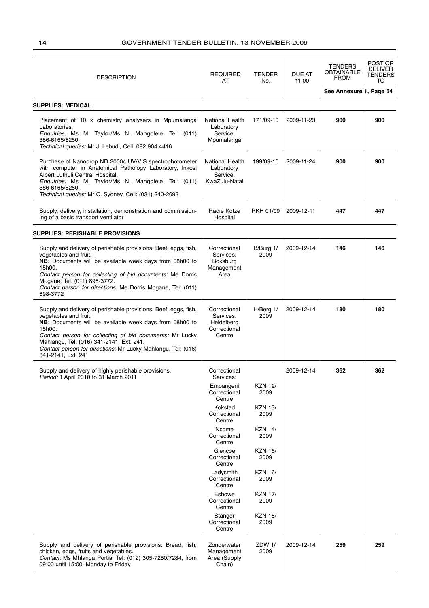| <b>DESCRIPTION</b>                                                                                                                                                                                                                                                                                                                                          | <b>REQUIRED</b><br>AT                                             | <b>TENDER</b><br>No.   | <b>DUE AT</b><br>11:00 | <b>TENDERS</b><br>OBTAINABLE<br><b>FROM</b> | POST OR<br><b>DELIVER</b><br><b>TENDERS</b><br>TO |
|-------------------------------------------------------------------------------------------------------------------------------------------------------------------------------------------------------------------------------------------------------------------------------------------------------------------------------------------------------------|-------------------------------------------------------------------|------------------------|------------------------|---------------------------------------------|---------------------------------------------------|
|                                                                                                                                                                                                                                                                                                                                                             |                                                                   |                        |                        | See Annexure 1, Page 54                     |                                                   |
| <b>SUPPLIES: MEDICAL</b>                                                                                                                                                                                                                                                                                                                                    |                                                                   |                        |                        |                                             |                                                   |
| Placement of 10 x chemistry analysers in Mpumalanga<br>Laboratories.<br>Enquiries: Ms M. Taylor/Ms N. Mangolele, Tel: (011)<br>386-6165/6250.<br>Technical queries: Mr J. Lebudi, Cell: 082 904 4416                                                                                                                                                        | National Health<br>Laboratory<br>Service,<br>Mpumalanga           | 171/09-10              | 2009-11-23             | 900                                         | 900                                               |
| Purchase of Nanodrop ND 2000c UV/VIS spectrophotometer<br>with computer in Anatomical Pathology Laboratory, Inkosi<br>Albert Luthuli Central Hospital.<br>Enquiries: Ms M. Taylor/Ms N. Mangolele, Tel: (011)<br>386-6165/6250.<br>Technical queries: Mr C. Sydney, Cell: (031) 240-2693                                                                    | National Health<br>Laboratory<br>Service,<br>KwaZulu-Natal        | 199/09-10              | 2009-11-24             | 900                                         | 900                                               |
| Supply, delivery, installation, demonstration and commission-<br>ing of a basic transport ventilator                                                                                                                                                                                                                                                        | Radie Kotze<br>Hospital                                           | <b>RKH 01/09</b>       | 2009-12-11             | 447                                         | 447                                               |
| <b>SUPPLIES: PERISHABLE PROVISIONS</b>                                                                                                                                                                                                                                                                                                                      |                                                                   |                        |                        |                                             |                                                   |
| Supply and delivery of perishable provisions: Beef, eggs, fish,<br>vegetables and fruit.<br>NB: Documents will be available week days from 08h00 to<br>15h00.<br>Contact person for collecting of bid documents: Me Dorris<br>Mogane, Tel: (011) 898-3772.<br>Contact person for directions: Me Dorris Mogane, Tel: (011)<br>898-3772                       | Correctional<br>Services:<br>Boksburg<br>Management<br>Area       | B/Burg 1/<br>2009      | 2009-12-14             | 146                                         | 146                                               |
| Supply and delivery of perishable provisions: Beef, eggs, fish,<br>vegetables and fruit.<br>NB: Documents will be available week days from 08h00 to<br>15h00.<br>Contact person for collecting of bid documents: Mr Lucky<br>Mahlangu, Tel: (016) 341-2141, Ext. 241.<br>Contact person for directions: Mr Lucky Mahlangu, Tel: (016)<br>341-2141, Ext. 241 | Correctional<br>Services:<br>Heidelberg<br>Correctional<br>Centre | H/Berg 1/<br>2009      | 2009-12-14             | 180                                         | 180                                               |
| Supply and delivery of highly perishable provisions.<br>Period: 1 April 2010 to 31 March 2011                                                                                                                                                                                                                                                               | Correctional<br>Services:                                         |                        | 2009-12-14             | 362                                         | 362                                               |
|                                                                                                                                                                                                                                                                                                                                                             | Empangeni<br>Correctional<br>Centre                               | <b>KZN 12/</b><br>2009 |                        |                                             |                                                   |
|                                                                                                                                                                                                                                                                                                                                                             | Kokstad<br>Correctional<br>Centre                                 | <b>KZN 13/</b><br>2009 |                        |                                             |                                                   |
|                                                                                                                                                                                                                                                                                                                                                             | Ncome<br>Correctional<br>Centre                                   | <b>KZN 14/</b><br>2009 |                        |                                             |                                                   |
|                                                                                                                                                                                                                                                                                                                                                             | Glencoe<br>Correctional<br>Centre                                 | <b>KZN 15/</b><br>2009 |                        |                                             |                                                   |
|                                                                                                                                                                                                                                                                                                                                                             | Ladysmith<br>Correctional<br>Centre                               | <b>KZN 16/</b><br>2009 |                        |                                             |                                                   |
|                                                                                                                                                                                                                                                                                                                                                             | Eshowe<br>Correctional<br>Centre                                  | <b>KZN 17/</b><br>2009 |                        |                                             |                                                   |
|                                                                                                                                                                                                                                                                                                                                                             | Stanger<br>Correctional<br>Centre                                 | <b>KZN 18/</b><br>2009 |                        |                                             |                                                   |
| Supply and delivery of perishable provisions: Bread, fish,<br>chicken, eggs, fruits and vegetables.<br>Contact: Ms Mhlanga Portia, Tel: (012) 305-7250/7284, from<br>09:00 until 15:00, Monday to Friday                                                                                                                                                    | Zonderwater<br>Management<br>Area (Supply<br>Chain)               | ZDW 1/<br>2009         | 2009-12-14             | 259                                         | 259                                               |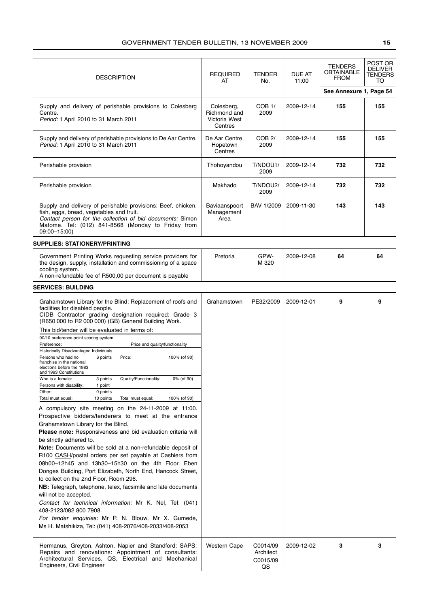| <b>DESCRIPTION</b>                                                                                                                                                                                                                                                                                                                                                                                                                                                                                                                                                                                                                                                                                                                                                                                                                                                                                                                                                                                                                                                                                                                                                                                                                                                                                                                                                                                                                                                                                                                                                                                                | <b>TENDER</b><br><b>REQUIRED</b><br>AT<br>No.          | DUE AT<br>11:00                         | <b>TENDERS</b><br><b>OBTAINABLE</b><br><b>FROM</b> | POST OR<br><b>DELIVER</b><br>TENDERS<br>TO |     |
|-------------------------------------------------------------------------------------------------------------------------------------------------------------------------------------------------------------------------------------------------------------------------------------------------------------------------------------------------------------------------------------------------------------------------------------------------------------------------------------------------------------------------------------------------------------------------------------------------------------------------------------------------------------------------------------------------------------------------------------------------------------------------------------------------------------------------------------------------------------------------------------------------------------------------------------------------------------------------------------------------------------------------------------------------------------------------------------------------------------------------------------------------------------------------------------------------------------------------------------------------------------------------------------------------------------------------------------------------------------------------------------------------------------------------------------------------------------------------------------------------------------------------------------------------------------------------------------------------------------------|--------------------------------------------------------|-----------------------------------------|----------------------------------------------------|--------------------------------------------|-----|
|                                                                                                                                                                                                                                                                                                                                                                                                                                                                                                                                                                                                                                                                                                                                                                                                                                                                                                                                                                                                                                                                                                                                                                                                                                                                                                                                                                                                                                                                                                                                                                                                                   |                                                        |                                         |                                                    | See Annexure 1, Page 54                    |     |
| Supply and delivery of perishable provisions to Colesberg<br>Centre.<br>Period: 1 April 2010 to 31 March 2011                                                                                                                                                                                                                                                                                                                                                                                                                                                                                                                                                                                                                                                                                                                                                                                                                                                                                                                                                                                                                                                                                                                                                                                                                                                                                                                                                                                                                                                                                                     | Colesberg,<br>Richmond and<br>Victoria West<br>Centres | COB <sub>1</sub> /<br>2009              | 2009-12-14                                         | 155                                        | 155 |
| Supply and delivery of perishable provisions to De Aar Centre.<br>Period: 1 April 2010 to 31 March 2011                                                                                                                                                                                                                                                                                                                                                                                                                                                                                                                                                                                                                                                                                                                                                                                                                                                                                                                                                                                                                                                                                                                                                                                                                                                                                                                                                                                                                                                                                                           | De Aar Centre,<br>Hopetown<br>Centres                  | $COB$ $2/$<br>2009                      | 2009-12-14                                         | 155                                        | 155 |
| Perishable provision                                                                                                                                                                                                                                                                                                                                                                                                                                                                                                                                                                                                                                                                                                                                                                                                                                                                                                                                                                                                                                                                                                                                                                                                                                                                                                                                                                                                                                                                                                                                                                                              | Thohoyandou                                            | T/NDOU1/<br>2009                        | 2009-12-14                                         | 732                                        | 732 |
| Perishable provision                                                                                                                                                                                                                                                                                                                                                                                                                                                                                                                                                                                                                                                                                                                                                                                                                                                                                                                                                                                                                                                                                                                                                                                                                                                                                                                                                                                                                                                                                                                                                                                              | Makhado                                                | T/NDOU2/<br>2009                        | 2009-12-14                                         | 732                                        | 732 |
| Supply and delivery of perishable provisions: Beef, chicken,<br>fish, eggs, bread, vegetables and fruit.<br>Contact person for the collection of bid documents: Simon<br>Matome. Tel: (012) 841-8568 (Monday to Friday from<br>09:00-15:00)                                                                                                                                                                                                                                                                                                                                                                                                                                                                                                                                                                                                                                                                                                                                                                                                                                                                                                                                                                                                                                                                                                                                                                                                                                                                                                                                                                       | Baviaanspoort<br>Management<br>Area                    | BAV 1/2009                              | 2009-11-30                                         | 143                                        | 143 |
| <b>SUPPLIES: STATIONERY/PRINTING</b>                                                                                                                                                                                                                                                                                                                                                                                                                                                                                                                                                                                                                                                                                                                                                                                                                                                                                                                                                                                                                                                                                                                                                                                                                                                                                                                                                                                                                                                                                                                                                                              |                                                        |                                         |                                                    |                                            |     |
| Government Printing Works requesting service providers for<br>the design, supply, installation and commissioning of a space<br>cooling system.<br>A non-refundable fee of R500,00 per document is payable                                                                                                                                                                                                                                                                                                                                                                                                                                                                                                                                                                                                                                                                                                                                                                                                                                                                                                                                                                                                                                                                                                                                                                                                                                                                                                                                                                                                         | Pretoria                                               | GPW-<br>M 320                           | 2009-12-08                                         | 64                                         | 64  |
| <b>SERVICES: BUILDING</b>                                                                                                                                                                                                                                                                                                                                                                                                                                                                                                                                                                                                                                                                                                                                                                                                                                                                                                                                                                                                                                                                                                                                                                                                                                                                                                                                                                                                                                                                                                                                                                                         |                                                        |                                         |                                                    |                                            |     |
| Grahamstown Library for the Blind: Replacement of roofs and<br>facilities for disabled people.<br>CIDB Contractor grading designation required: Grade 3<br>(R650 000 to R2 000 000) (GB) General Building Work.<br>This bid/tender will be evaluated in terms of:<br>90/10 preference point scoring system<br>Preference:<br>Price and quality/functionality<br>Historically Disadvantaged Individuals<br>Persons who had no<br>Price:<br>100% (of 90)<br>6 points<br>franchise in the national<br>elections before the 1983<br>and 1993 Constitutions<br>Who is a female:<br>3 points<br>Quality/Functionality:<br>0% (of 90)<br>Persons with disability:<br>1 point<br>Other:<br>0 points<br>10 points<br>100% (of 90)<br>Total must equal:<br>Total must equal:<br>A compulsory site meeting on the 24-11-2009 at 11:00.<br>Prospective bidders/tenderers to meet at the entrance<br>Grahamstown Library for the Blind.<br>Please note: Responsiveness and bid evaluation criteria will<br>be strictly adhered to.<br>Note: Documents will be sold at a non-refundable deposit of<br>R100 CASH/postal orders per set payable at Cashiers from<br>08h00-12h45 and 13h30-15h30 on the 4th Floor, Eben<br>Donges Building, Port Elizabeth, North End, Hancock Street,<br>to collect on the 2nd Floor, Room 296.<br>NB: Telegraph, telephone, telex, facsimile and late documents<br>will not be accepted.<br>Contact for technical information: Mr K. Nel, Tel: (041)<br>408-2123/082 800 7908.<br>For tender enquiries: Mr P. N. Blouw, Mr X. Gumede,<br>Ms H. Matshikiza, Tel: (041) 408-2076/408-2033/408-2053 | Grahamstown                                            | PE32/2009                               | 2009-12-01                                         | 9                                          | 9   |
| Hermanus, Greyton, Ashton, Napier and Standford: SAPS:<br>Repairs and renovations: Appointment of consultants:<br>Architectural Services, QS, Electrical and Mechanical<br>Engineers, Civil Engineer                                                                                                                                                                                                                                                                                                                                                                                                                                                                                                                                                                                                                                                                                                                                                                                                                                                                                                                                                                                                                                                                                                                                                                                                                                                                                                                                                                                                              | <b>Western Cape</b>                                    | C0014/09<br>Architect<br>C0015/09<br>QS | 2009-12-02                                         | 3                                          | 3   |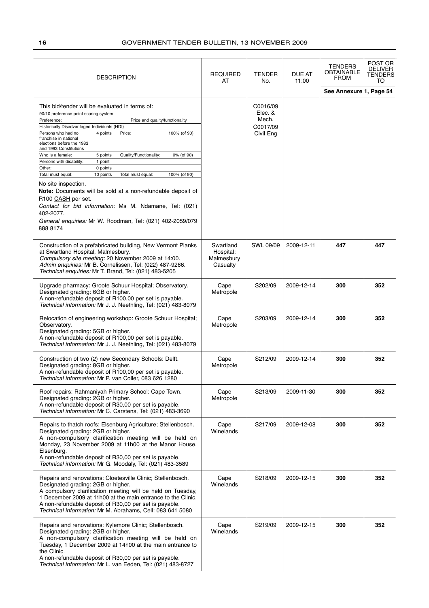| <b>DESCRIPTION</b>                                                                                                                                                                                                                                                                                                                                                                                                                                                   | <b>REQUIRED</b><br>AT                            | TENDER<br>No.                                         | <b>DUE AT</b><br>11:00 | TENDERS<br>OBTAINABLE<br><b>FROM</b> | POST OR<br>DELIVER<br><b>TENDERS</b><br>TO |
|----------------------------------------------------------------------------------------------------------------------------------------------------------------------------------------------------------------------------------------------------------------------------------------------------------------------------------------------------------------------------------------------------------------------------------------------------------------------|--------------------------------------------------|-------------------------------------------------------|------------------------|--------------------------------------|--------------------------------------------|
|                                                                                                                                                                                                                                                                                                                                                                                                                                                                      |                                                  |                                                       |                        | See Annexure 1, Page 54              |                                            |
| This bid/tender will be evaluated in terms of:<br>90/10 preference point scoring system<br>Preference:<br>Price and quality/functionality<br>Historically Disadvantaged Individuals (HDI)<br>Persons who had no<br>4 points<br>Price:<br>100% (of 90)<br>franchise in national<br>elections before the 1983<br>and 1993 Constitutions                                                                                                                                |                                                  | C0016/09<br>Elec. &<br>Mech.<br>C0017/09<br>Civil Eng |                        |                                      |                                            |
| Who is a female:<br>Quality/Functionality:<br>0% (of 90)<br>5 points<br>Persons with disability:<br>1 point<br>Other:<br>0 points<br>Total must equal:<br>10 points<br>Total must equal:<br>100% (of 90)<br>No site inspection.<br>Note: Documents will be sold at a non-refundable deposit of<br>R100 CASH per set.<br>Contact for bid information: Ms M. Ndamane, Tel: (021)<br>402-2077.<br>General enquiries: Mr W. Roodman, Tel: (021) 402-2059/079<br>888 8174 |                                                  |                                                       |                        |                                      |                                            |
| Construction of a prefabricated building, New Vermont Planks<br>at Swartland Hospital, Malmesbury.<br>Compulsory site meeting: 20 November 2009 at 14:00.<br>Admin enquiries: Mr B. Cornelissen, Tel: (022) 487-9266.<br>Technical enquiries: Mr T. Brand, Tel: (021) 483-5205                                                                                                                                                                                       | Swartland<br>Hospital:<br>Malmesbury<br>Casualty | SWL 09/09                                             | 2009-12-11             | 447                                  | 447                                        |
| Upgrade pharmacy: Groote Schuur Hospital; Observatory.<br>Designated grading: 6GB or higher.<br>A non-refundable deposit of R100,00 per set is payable.<br>Technical information: Mr J. J. Neethling, Tel: (021) 483-8079                                                                                                                                                                                                                                            | Cape<br>Metropole                                | S202/09                                               | 2009-12-14             | 300                                  | 352                                        |
| Relocation of engineering workshop: Groote Schuur Hospital;<br>Observatory.<br>Designated grading: 5GB or higher.<br>A non-refundable deposit of R100,00 per set is payable.<br>Technical information: Mr J. J. Neethling, Tel: (021) 483-8079                                                                                                                                                                                                                       | Cape<br>Metropole                                | S203/09                                               | 2009-12-14             | 300                                  | 352                                        |
| Construction of two (2) new Secondary Schools: Delft.<br>Designated grading: 8GB or higher.<br>A non-refundable deposit of R100,00 per set is payable.<br>Technical information: Mr P. van Coller, 083 626 1280                                                                                                                                                                                                                                                      | Cape<br>Metropole                                | S212/09                                               | 2009-12-14             | 300                                  | 352                                        |
| Roof repairs: Rahmaniyah Primary School: Cape Town.<br>Designated grading: 2GB or higher.<br>A non-refundable deposit of R30,00 per set is payable.<br>Technical information: Mr C. Carstens, Tel: (021) 483-3690                                                                                                                                                                                                                                                    | Cape<br>Metropole                                | S213/09                                               | 2009-11-30             | 300                                  | 352                                        |
| Repairs to thatch roofs: Elsenburg Agriculture; Stellenbosch.<br>Designated grading: 2GB or higher.<br>A non-compulsory clarification meeting will be held on<br>Monday, 23 November 2009 at 11h00 at the Manor House,<br>Elsenburg.<br>A non-refundable deposit of R30,00 per set is payable.<br>Technical information: Mr G. Moodaly, Tel: (021) 483-3589                                                                                                          | Cape<br>Winelands                                | S217/09                                               | 2009-12-08             | 300                                  | 352                                        |
| Repairs and renovations: Cloetesville Clinic; Stellenbosch.<br>Designated grading: 2GB or higher.<br>A compulsory clarification meeting will be held on Tuesday,<br>1 December 2009 at 11h00 at the main entrance to the Clinic.<br>A non-refundable deposit of R30,00 per set is payable.<br>Technical information: Mr M. Abrahams, Cell: 083 641 5080                                                                                                              | Cape<br>Winelands                                | S218/09                                               | 2009-12-15             | 300                                  | 352                                        |
| Repairs and renovations: Kylemore Clinic; Stellenbosch.<br>Designated grading: 2GB or higher.<br>A non-compulsory clarification meeting will be held on<br>Tuesday, 1 December 2009 at 14h00 at the main entrance to<br>the Clinic.<br>A non-refundable deposit of R30,00 per set is payable.<br>Technical information: Mr L. van Eeden, Tel: (021) 483-8727                                                                                                         | Cape<br>Winelands                                | S219/09                                               | 2009-12-15             | 300                                  | 352                                        |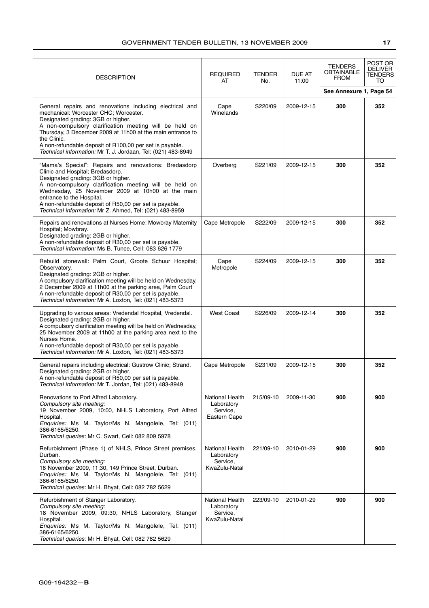| <b>DESCRIPTION</b>                                                                                                                                                                                                                                                                                                                                                                                        | <b>REQUIRED</b><br>AT                                      | TENDER<br>No. | DUE AT<br>11:00 | <b>TENDERS</b><br>OBTAINABLE<br><b>FROM</b> | POST OR<br><b>DELIVER</b><br><b>TENDERS</b><br>TO |
|-----------------------------------------------------------------------------------------------------------------------------------------------------------------------------------------------------------------------------------------------------------------------------------------------------------------------------------------------------------------------------------------------------------|------------------------------------------------------------|---------------|-----------------|---------------------------------------------|---------------------------------------------------|
| General repairs and renovations including electrical and<br>mechanical: Worcester CHC; Worcester.<br>Designated grading: 3GB or higher.<br>A non-compulsory clarification meeting will be held on<br>Thursday, 3 December 2009 at 11h00 at the main entrance to<br>the Clinic.<br>A non-refundable deposit of R100,00 per set is payable.<br>Technical information: Mr T. J. Jordaan, Tel: (021) 483-8949 | Cape<br>Winelands                                          | S220/09       | 2009-12-15      | See Annexure 1, Page 54<br>300              | 352                                               |
| "Mama's Special": Repairs and renovations: Bredasdorp<br>Clinic and Hospital; Bredasdorp.<br>Designated grading: 3GB or higher.<br>A non-compulsory clarification meeting will be held on<br>Wednesday, 25 November 2009 at 10h00 at the main<br>entrance to the Hospital.<br>A non-refundable deposit of R50,00 per set is payable.<br>Technical information: Mr Z. Ahmed, Tel: (021) 483-8959           | Overberg                                                   | S221/09       | 2009-12-15      | 300                                         | 352                                               |
| Repairs and renovations at Nurses Home: Mowbray Maternity<br>Hospital; Mowbray.<br>Designated grading: 2GB or higher.<br>A non-refundable deposit of R30,00 per set is payable.<br>Technical information: Ms B. Tunce, Cell: 083 626 1779                                                                                                                                                                 | Cape Metropole                                             | S222/09       | 2009-12-15      | 300                                         | 352                                               |
| Rebuild stonewall: Palm Court, Groote Schuur Hospital;<br>Observatory.<br>Designated grading: 2GB or higher.<br>A compulsory clarification meeting will be held on Wednesday,<br>2 December 2009 at 11h00 at the parking area, Palm Court<br>A non-refundable deposit of R30,00 per set is payable.<br>Technical information: Mr A. Loxton, Tel: (021) 483-5373                                           | Cape<br>Metropole                                          | S224/09       | 2009-12-15      | 300                                         | 352                                               |
| Upgrading to various areas: Vredendal Hospital, Vredendal.<br>Designated grading: 2GB or higher.<br>A compulsory clarification meeting will be held on Wednesday,<br>25 November 2009 at 11h00 at the parking area next to the<br>Nurses Home.<br>A non-refundable deposit of R30,00 per set is payable.<br>Technical information: Mr A. Loxton, Tel: (021) 483-5373                                      | <b>West Coast</b>                                          | S226/09       | 2009-12-14      | 300                                         | 352                                               |
| General repairs including electrical: Gustrow Clinic; Strand.<br>Designated grading: 2GB or higher.<br>A non-refundable deposit of R50,00 per set is payable.<br>Technical information: Mr T. Jordan, Tel: (021) 483-8949                                                                                                                                                                                 | Cape Metropole                                             | S231/09       | 2009-12-15      | 300                                         | 352                                               |
| Renovations to Port Alfred Laboratory.<br>Compulsory site meeting:<br>19 November 2009, 10:00, NHLS Laboratory, Port Alfred<br>Hospital.<br>Enquiries: Ms M. Taylor/Ms N. Mangolele, Tel: (011)<br>386-6165/6250.<br>Technical queries: Mr C. Swart, Cell: 082 809 5978                                                                                                                                   | National Health<br>Laboratory<br>Service,<br>Eastern Cape  | 215/09-10     | 2009-11-30      | 900                                         | 900                                               |
| Refurbishment (Phase 1) of NHLS, Prince Street premises,<br>Durban.<br>Compulsory site meeting:<br>18 November 2009, 11:30, 149 Prince Street, Durban.<br>Enquiries: Ms M. Taylor/Ms N. Mangolele, Tel: (011)<br>386-6165/6250.<br>Technical queries: Mr H. Bhyat, Cell: 082 782 5629                                                                                                                     | National Health<br>Laboratory<br>Service,<br>KwaZulu-Natal | 221/09-10     | 2010-01-29      | 900                                         | 900                                               |
| Refurbishment of Stanger Laboratory.<br>Compulsory site meeting:<br>18 November 2009, 09:30, NHLS Laboratory, Stanger<br>Hospital.<br>Enquiries: Ms M. Taylor/Ms N. Mangolele, Tel: (011)<br>386-6165/6250.<br>Technical queries: Mr H. Bhyat, Cell: 082 782 5629                                                                                                                                         | National Health<br>Laboratory<br>Service,<br>KwaZulu-Natal | 223/09-10     | 2010-01-29      | 900                                         | 900                                               |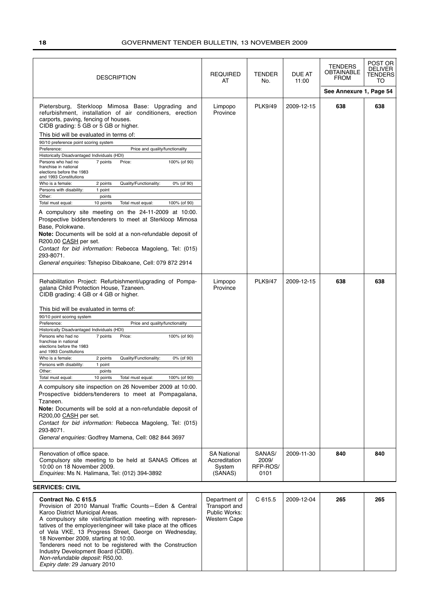| <b>DESCRIPTION</b>                                                                                                                                                                                                                                                                                                                                                                                                                                                                                                                                                                                                                                                                                                                                                                                                                                                                                                                                                                                                                                  | <b>REQUIRED</b><br>AT                                                  | <b>TENDER</b><br>No.                | <b>DUE AT</b><br>11:00 | <b>TENDERS</b><br>OBTAINABLE<br><b>FROM</b> | POST OR<br><b>DELIVER</b><br><b>TENDERS</b><br>TO |
|-----------------------------------------------------------------------------------------------------------------------------------------------------------------------------------------------------------------------------------------------------------------------------------------------------------------------------------------------------------------------------------------------------------------------------------------------------------------------------------------------------------------------------------------------------------------------------------------------------------------------------------------------------------------------------------------------------------------------------------------------------------------------------------------------------------------------------------------------------------------------------------------------------------------------------------------------------------------------------------------------------------------------------------------------------|------------------------------------------------------------------------|-------------------------------------|------------------------|---------------------------------------------|---------------------------------------------------|
|                                                                                                                                                                                                                                                                                                                                                                                                                                                                                                                                                                                                                                                                                                                                                                                                                                                                                                                                                                                                                                                     |                                                                        |                                     |                        | See Annexure 1, Page 54                     |                                                   |
| Pietersburg, Sterkloop Mimosa Base: Upgrading and<br>refurbishment, installation of air conditioners, erection<br>carports, paving, fencing of houses.<br>CIDB grading: 5 GB or 5 GB or higher.<br>This bid will be evaluated in terms of:<br>90/10 preference point scoring system<br>Preference:<br>Price and quality/functionality<br>Historically Disadvantaged Individuals (HDI)<br>7 points<br>Price:<br>100% (of 90)<br>Persons who had no<br>franchise in national<br>elections before the 1983<br>and 1993 Constitutions<br>Who is a female:<br>Quality/Functionality:<br>0% (of 90)<br>2 points<br>Persons with disability:<br>1 point<br>Other:<br>points<br>Total must equal:<br>10 points<br>Total must equal:<br>100% (of 90)<br>A compulsory site meeting on the 24-11-2009 at 10:00.<br>Prospective bidders/tenderers to meet at Sterkloop Mimosa<br>Base, Polokwane.                                                                                                                                                               | Limpopo<br>Province                                                    | <b>PLK9/49</b>                      | 2009-12-15             | 638                                         | 638                                               |
| Note: Documents will be sold at a non-refundable deposit of<br>R200,00 CASH per set.<br>Contact for bid information: Rebecca Magoleng, Tel: (015)<br>293-8071.<br>General enquiries: Tshepiso Dibakoane, Cell: 079 872 2914                                                                                                                                                                                                                                                                                                                                                                                                                                                                                                                                                                                                                                                                                                                                                                                                                         |                                                                        |                                     |                        |                                             |                                                   |
| Rehabilitation Project: Refurbishment/upgrading of Pompa-<br>galana Child Protection House, Tzaneen.<br>CIDB grading: 4 GB or 4 GB or higher.<br>This bid will be evaluated in terms of:<br>90/10 point scoring system<br>Preference:<br>Price and quality/functionality<br>Historically Disadvantaged Individuals (HDI)<br>Persons who had no<br>7 points<br>Price:<br>100% (of 90)<br>franchise in national<br>elections before the 1983<br>and 1993 Constitutions<br>Quality/Functionality:<br>0% (of 90)<br>Who is a female:<br>2 points<br>Persons with disability:<br>1 point<br>Other:<br>points<br>100% (of 90)<br>Total must equal:<br>10 points<br>Total must equal:<br>A compulsory site inspection on 26 November 2009 at 10:00.<br>Prospective bidders/tenderers to meet at Pompagalana,<br>Tzaneen.<br><b>Note:</b> Documents will be sold at a non-refundable deposit of<br>R200,00 CASH per set.<br>Contact for bid information: Rebecca Magoleng, Tel: (015)<br>293-8071.<br>General enquiries: Godfrey Mamena, Cell: 082 844 3697 | Limpopo<br>Province                                                    | <b>PLK9/47</b>                      | 2009-12-15             | 638                                         | 638                                               |
| Renovation of office space.<br>Compulsory site meeting to be held at SANAS Offices at<br>10:00 on 18 November 2009.<br><i>Enquiries:</i> Ms N. Halimana, Tel: (012) 394-3892                                                                                                                                                                                                                                                                                                                                                                                                                                                                                                                                                                                                                                                                                                                                                                                                                                                                        | <b>SA National</b><br>Accreditation<br>System<br>(SANAS)               | SANAS/<br>2009/<br>RFP-ROS/<br>0101 | 2009-11-30             | 840                                         | 840                                               |
| <b>SERVICES: CIVIL</b>                                                                                                                                                                                                                                                                                                                                                                                                                                                                                                                                                                                                                                                                                                                                                                                                                                                                                                                                                                                                                              |                                                                        |                                     |                        |                                             |                                                   |
| Contract No. C 615.5<br>Provision of 2010 Manual Traffic Counts-Eden & Central<br>Karoo District Municipal Areas.<br>A compulsory site visit/clarification meeting with represen-<br>tatives of the employer/engineer will take place at the offices<br>of Vela VKE, 13 Progress Street, George on Wednesday,<br>18 November 2009, starting at 10:00.<br>Tenderers need not to be registered with the Construction                                                                                                                                                                                                                                                                                                                                                                                                                                                                                                                                                                                                                                  | Department of<br>Transport and<br>Public Works:<br><b>Western Cape</b> | C 615.5                             | 2009-12-04             | 265                                         | 265                                               |

Industry Development Board (CIDB). Non-refundable deposit: R50,00. Expiry date: 29 January 2010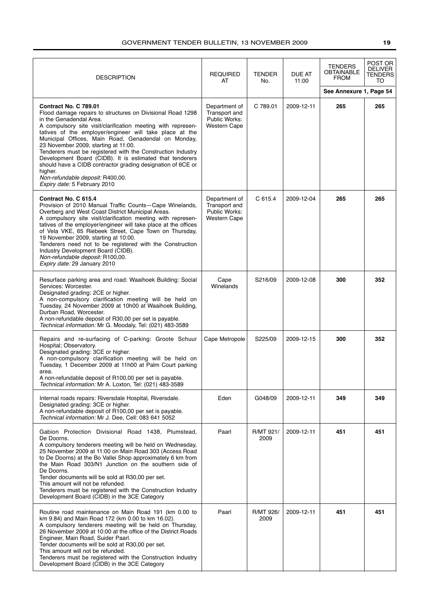| <b>DESCRIPTION</b>                                                                                                                                                                                                                                                                                                                                                                                                                                                                                                                                                                                                | <b>REQUIRED</b><br>AT                                                  | <b>TENDER</b><br>No. | DUE AT<br>11:00 | TENDERS<br><b>OBTAINABLE</b><br><b>FROM</b><br>See Annexure 1, Page 54 | POST OR<br><b>DELIVER</b><br>TENDERS<br>TO |
|-------------------------------------------------------------------------------------------------------------------------------------------------------------------------------------------------------------------------------------------------------------------------------------------------------------------------------------------------------------------------------------------------------------------------------------------------------------------------------------------------------------------------------------------------------------------------------------------------------------------|------------------------------------------------------------------------|----------------------|-----------------|------------------------------------------------------------------------|--------------------------------------------|
| Contract No. C 789.01<br>Flood damage repairs to structures on Divisional Road 1298<br>in the Genadendal Area.<br>A compulsory site visit/clarification meeting with represen-<br>tatives of the employer/engineer will take place at the<br>Municipal Offices, Main Road, Genadendal on Monday,<br>23 November 2009, starting at 11:00.<br>Tenderers must be registered with the Construction Industry<br>Development Board (CIDB). It is estimated that tenderers<br>should have a CIDB contractor grading designation of 6CE or<br>higher.<br>Non-refundable deposit: R400,00.<br>Expiry date: 5 February 2010 | Department of<br>Transport and<br>Public Works:<br><b>Western Cape</b> | C 789.01             | 2009-12-11      | 265                                                                    | 265                                        |
| Contract No. C 615.4<br>Provision of 2010 Manual Traffic Counts-Cape Winelands,<br>Overberg and West Coast District Municipal Areas.<br>A compulsory site visit/clarification meeting with represen-<br>tatives of the employer/engineer will take place at the offices<br>of Vela VKE, 65 Riebeek Street, Cape Town on Thursday,<br>19 November 2009, starting at 10:00.<br>Tenderers need not to be registered with the Construction<br>Industry Development Board (CIDB).<br>Non-refundable deposit: R100,00.<br>Expiry date: 29 January 2010                                                                  | Department of<br>Transport and<br>Public Works:<br><b>Western Cape</b> | C 615.4              | 2009-12-04      | 265                                                                    | 265                                        |
| Resurface parking area and road: Waaihoek Building: Social<br>Services: Worcester.<br>Designated grading: 2CE or higher.<br>A non-compulsory clarification meeting will be held on<br>Tuesday, 24 November 2009 at 10h00 at Waaihoek Building,<br>Durban Road, Worcester.<br>A non-refundable deposit of R30,00 per set is payable.<br>Technical information: Mr G. Moodaly, Tel: (021) 483-3589                                                                                                                                                                                                                  | Cape<br>Winelands                                                      | S216/09              | 2009-12-08      | 300                                                                    | 352                                        |
| Repairs and re-surfacing of C-parking: Groote Schuur<br>Hospital; Observatory.<br>Designated grading: 3CE or higher.<br>A non-compulsory clarification meeting will be held on<br>Tuesday, 1 December 2009 at 11h00 at Palm Court parking<br>area.<br>A non-refundable deposit of R100,00 per set is payable.<br>Technical information: Mr A. Loxton, Tel: (021) 483-3589                                                                                                                                                                                                                                         | Cape Metropole                                                         | S225/09              | 2009-12-15      | 300                                                                    | 352                                        |
| Internal roads repairs: Riversdale Hospital, Riversdale.<br>Designated grading: 3CE or higher.<br>A non-refundable deposit of R100,00 per set is payable.<br>Technical information: Mr J. Dee, Cell: 083 641 5052                                                                                                                                                                                                                                                                                                                                                                                                 | Eden                                                                   | G048/09              | 2009-12-11      | 349                                                                    | 349                                        |
| Gabion Protection Divisional Road 1438, Plumstead,<br>De Doorns.<br>A compulsory tenderers meeting will be held on Wednesday,<br>25 November 2009 at 11:00 on Main Road 303 (Access Road<br>to De Doorns) at the Bo Vallei Shop approximately 6 km from<br>the Main Road 303/N1 Junction on the southern side of<br>De Doorns.<br>Tender documents will be sold at R30,00 per set.<br>This amount will not be refunded.<br>Tenderers must be registered with the Construction Industry<br>Development Board (CIDB) in the 3CE Category                                                                            | Paarl                                                                  | R/MT 921/<br>2009    | 2009-12-11      | 451                                                                    | 451                                        |
| Routine road maintenance on Main Road 191 (km 0.00 to<br>km 9.84) and Main Road 172 (km 0.00 to km 16.02).<br>A compulsory tenderers meeting will be held on Thursday,<br>26 November 2009 at 10:00 at the office of the District Roads<br>Engineer, Main Road, Suider Paarl.<br>Tender documents will be sold at R30,00 per set.<br>This amount will not be refunded.<br>Tenderers must be registered with the Construction Industry<br>Development Board (CIDB) in the 3CE Category                                                                                                                             | Paarl                                                                  | R/MT 926/<br>2009    | 2009-12-11      | 451                                                                    | 451                                        |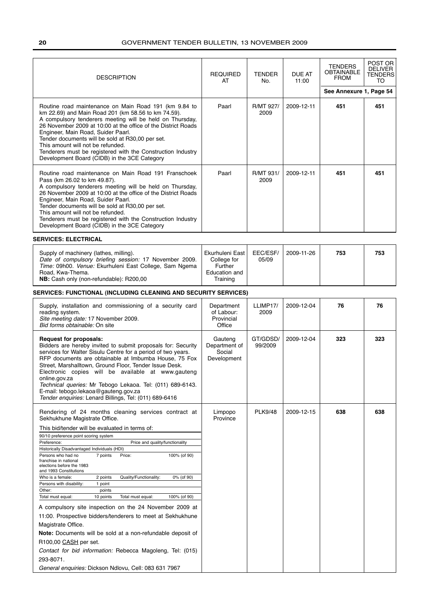| <b>DESCRIPTION</b>                                                                                                                                                                                                                                                                                                                                                                                                                                                                                                                                                                                                                                                                                                                                                                                                                                                                                                        | <b>REQUIRED</b><br>AT                                                         | TENDER<br>No.       | DUE AT<br>11:00 | <b>TENDERS</b><br>OBTAINABLE<br><b>FROM</b> | POST OR<br><b>DELIVER</b><br><b>TENDERS</b><br>TO |
|---------------------------------------------------------------------------------------------------------------------------------------------------------------------------------------------------------------------------------------------------------------------------------------------------------------------------------------------------------------------------------------------------------------------------------------------------------------------------------------------------------------------------------------------------------------------------------------------------------------------------------------------------------------------------------------------------------------------------------------------------------------------------------------------------------------------------------------------------------------------------------------------------------------------------|-------------------------------------------------------------------------------|---------------------|-----------------|---------------------------------------------|---------------------------------------------------|
|                                                                                                                                                                                                                                                                                                                                                                                                                                                                                                                                                                                                                                                                                                                                                                                                                                                                                                                           |                                                                               |                     |                 | See Annexure 1, Page 54                     |                                                   |
| Routine road maintenance on Main Road 191 (km 9.84 to<br>km 22.69) and Main Road 201 (km 58.56 to km 74.59).<br>A compulsory tenderers meeting will be held on Thursday,<br>26 November 2009 at 10:00 at the office of the District Roads<br>Engineer, Main Road, Suider Paarl.<br>Tender documents will be sold at R30,00 per set.<br>This amount will not be refunded.<br>Tenderers must be registered with the Construction Industry<br>Development Board (CIDB) in the 3CE Category                                                                                                                                                                                                                                                                                                                                                                                                                                   | Paarl                                                                         | R/MT 927/<br>2009   | 2009-12-11      | 451                                         | 451                                               |
| Routine road maintenance on Main Road 191 Franschoek<br>Pass (km 26.02 to km 49.87).<br>A compulsory tenderers meeting will be held on Thursday,<br>26 November 2009 at 10:00 at the office of the District Roads<br>Engineer, Main Road, Suider Paarl.<br>Tender documents will be sold at R30,00 per set.<br>This amount will not be refunded.<br>Tenderers must be registered with the Construction Industry<br>Development Board (CIDB) in the 3CE Category                                                                                                                                                                                                                                                                                                                                                                                                                                                           | Paarl                                                                         | R/MT 931/<br>2009   | 2009-12-11      | 451                                         | 451                                               |
| <b>SERVICES: ELECTRICAL</b>                                                                                                                                                                                                                                                                                                                                                                                                                                                                                                                                                                                                                                                                                                                                                                                                                                                                                               |                                                                               |                     |                 |                                             |                                                   |
| Supply of machinery (lathes, milling).<br>Date of compulsory briefing session: 17 November 2009.<br>Time: 09h00. Venue: Ekurhuleni East College, Sam Ngema<br>Road, Kwa-Thema.<br>NB: Cash only (non-refundable): R200,00                                                                                                                                                                                                                                                                                                                                                                                                                                                                                                                                                                                                                                                                                                 | Ekurhuleni East<br>College for<br><b>Further</b><br>Education and<br>Training | EEC/ESF/<br>05/09   | 2009-11-26      | 753                                         | 753                                               |
| <b>SERVICES: FUNCTIONAL (INCLUDING CLEANING AND SECURITY SERVICES)</b>                                                                                                                                                                                                                                                                                                                                                                                                                                                                                                                                                                                                                                                                                                                                                                                                                                                    |                                                                               |                     |                 |                                             |                                                   |
| Supply, installation and commissioning of a security card<br>reading system.<br>Site meeting date: 17 November 2009.<br>Bid forms obtainable: On site                                                                                                                                                                                                                                                                                                                                                                                                                                                                                                                                                                                                                                                                                                                                                                     | Department<br>of Labour:<br>Provincial<br>Office                              | LLIMP17/<br>2009    | 2009-12-04      | 76                                          | 76                                                |
| <b>Request for proposals:</b><br>Bidders are hereby invited to submit proposals for: Security<br>services for Walter Sisulu Centre for a period of two years.<br>RFP documents are obtainable at Imbumba House, 75 Fox<br>Street, Marshalltown, Ground Floor, Tender Issue Desk.<br>Electronic copies will be available at www.gauteng<br>online.gov.za<br>Technical queries: Mr Tebogo Lekaoa. Tel: (011) 689-6143.<br>E-mail: tebogo.lekaoa@gauteng.gov.za<br>Tender enquiries: Lenard Billings, Tel: (011) 689-6416                                                                                                                                                                                                                                                                                                                                                                                                    | Gauteng<br>Department of<br>Social<br>Development                             | GT/GDSD/<br>99/2009 | 2009-12-04      | 323                                         | 323                                               |
| Rendering of 24 months cleaning services contract at<br>Sekhukhune Magistrate Office.                                                                                                                                                                                                                                                                                                                                                                                                                                                                                                                                                                                                                                                                                                                                                                                                                                     | Limpopo<br>Province                                                           | <b>PLK9/48</b>      | 2009-12-15      | 638                                         | 638                                               |
| This bid/tender will be evaluated in terms of:<br>90/10 preference point scoring system<br>Preference:<br>Price and quality/functionality<br>Historically Disadvantaged Individuals (HDI)<br>Persons who had no<br>7 points<br>Price:<br>100% (of 90)<br>franchise in national<br>elections before the 1983<br>and 1993 Constitutions<br>Quality/Functionality:<br>Who is a female:<br>2 points<br>0% (of 90)<br>Persons with disability:<br>1 point<br>Other:<br>points<br>Total must equal:<br>Total must equal:<br>100% (of 90)<br>10 points<br>A compulsory site inspection on the 24 November 2009 at<br>11:00. Prospective bidders/tenderers to meet at Sekhukhune<br>Magistrate Office.<br>Note: Documents will be sold at a non-refundable deposit of<br>R100,00 CASH per set.<br>Contact for bid information: Rebecca Magoleng, Tel: (015)<br>293-8071.<br>General enquiries: Dickson Ndlovu, Cell: 083 631 7967 |                                                                               |                     |                 |                                             |                                                   |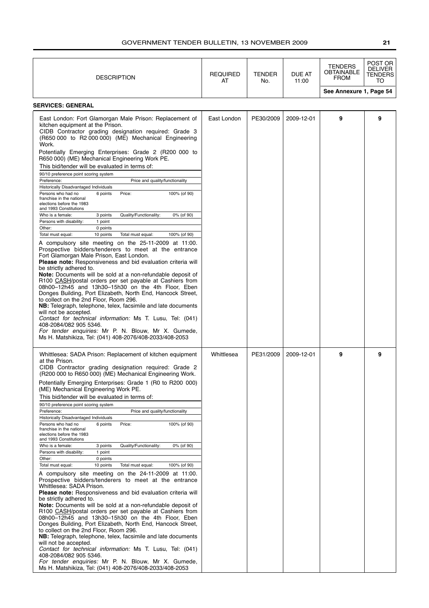| <b>DESCRIPTION</b>                                                                                                                                                                                                                                                                                                                                                                                                                                                                                                                                                                                                                                                                                                                                                                                                                                                                                                                                                                                                                                                                                                                                                                                                                                                                                                                                                                                                                                                                                                                                                                                                                                                                                                                         | <b>REQUIRED</b><br>AT | <b>TENDER</b><br>No. | DUE AT<br>11:00 | <b>TENDERS</b><br>OBTAINABLE<br><b>FROM</b> | POST OR<br><b>DELIVER</b><br>TENDERS<br>TO |
|--------------------------------------------------------------------------------------------------------------------------------------------------------------------------------------------------------------------------------------------------------------------------------------------------------------------------------------------------------------------------------------------------------------------------------------------------------------------------------------------------------------------------------------------------------------------------------------------------------------------------------------------------------------------------------------------------------------------------------------------------------------------------------------------------------------------------------------------------------------------------------------------------------------------------------------------------------------------------------------------------------------------------------------------------------------------------------------------------------------------------------------------------------------------------------------------------------------------------------------------------------------------------------------------------------------------------------------------------------------------------------------------------------------------------------------------------------------------------------------------------------------------------------------------------------------------------------------------------------------------------------------------------------------------------------------------------------------------------------------------|-----------------------|----------------------|-----------------|---------------------------------------------|--------------------------------------------|
|                                                                                                                                                                                                                                                                                                                                                                                                                                                                                                                                                                                                                                                                                                                                                                                                                                                                                                                                                                                                                                                                                                                                                                                                                                                                                                                                                                                                                                                                                                                                                                                                                                                                                                                                            |                       |                      |                 | See Annexure 1, Page 54                     |                                            |
| <b>SERVICES: GENERAL</b>                                                                                                                                                                                                                                                                                                                                                                                                                                                                                                                                                                                                                                                                                                                                                                                                                                                                                                                                                                                                                                                                                                                                                                                                                                                                                                                                                                                                                                                                                                                                                                                                                                                                                                                   |                       |                      |                 |                                             |                                            |
| East London: Fort Glamorgan Male Prison: Replacement of<br>kitchen equipment at the Prison.<br>CIDB Contractor grading designation required: Grade 3<br>(R650 000 to R2 000 000) (ME) Mechanical Engineering<br>Work.<br>Potentially Emerging Enterprises: Grade 2 (R200 000 to<br>R650 000) (ME) Mechanical Engineering Work PE.<br>This bid/tender will be evaluated in terms of:<br>90/10 preference point scoring system<br>Preference:<br>Price and quality/functionality<br>Historically Disadvantaged Individuals<br>6 points<br>Price:<br>100% (of 90)<br>Persons who had no<br>franchise in the national<br>elections before the 1983<br>and 1993 Constitutions<br>Who is a female:<br>Quality/Functionality:<br>0% (of 90)<br>3 points<br>Persons with disability:<br>1 point<br>Other:<br>0 points<br>Total must equal:<br>10 points<br>Total must equal:<br>100% (of 90)<br>A compulsory site meeting on the 25-11-2009 at 11:00.<br>Prospective bidders/tenderers to meet at the entrance<br>Fort Glamorgan Male Prison, East London.<br>Please note: Responsiveness and bid evaluation criteria will<br>be strictly adhered to.<br>Note: Documents will be sold at a non-refundable deposit of<br>R100 CASH/postal orders per set payable at Cashiers from<br>08h00-12h45 and 13h30-15h30 on the 4th Floor, Eben<br>Donges Building, Port Elizabeth, North End, Hancock Street,<br>to collect on the 2nd Floor, Room 296.<br>NB: Telegraph, telephone, telex, facsimile and late documents<br>will not be accepted.<br>Contact for technical information: Ms T. Lusu, Tel: (041)<br>408-2084/082 905 5346.<br>For tender enquiries: Mr P. N. Blouw, Mr X. Gumede,<br>Ms H. Matshikiza, Tel: (041) 408-2076/408-2033/408-2053 | East London           | PE30/2009            | 2009-12-01      | 9                                           | 9                                          |
| Whittlesea: SADA Prison: Replacement of kitchen equipment<br>at the Prison.<br>CIDB Contractor grading designation required: Grade 2<br>(R200 000 to R650 000) (ME) Mechanical Engineering Work.<br>Potentially Emerging Enterprises: Grade 1 (R0 to R200 000)<br>(ME) Mechanical Engineering Work PE.<br>This bid/tender will be evaluated in terms of:<br>90/10 preference point scoring system<br>Preference:<br>Price and quality/functionality<br>Historically Disadvantaged Individuals<br>6 points<br>Price:<br>100% (of 90)<br>Persons who had no<br>franchise in the national<br>elections before the 1983<br>and 1993 Constitutions<br>Who is a female:<br>Quality/Functionality:<br>0% (of 90)<br>3 points<br>Persons with disability:<br>1 point<br>0 points<br>Other:<br>Total must equal:<br>10 points<br>Total must equal:<br>100% (of 90)<br>A compulsory site meeting on the 24-11-2009 at 11:00.<br>Prospective bidders/tenderers to meet at the entrance<br>Whittlesea: SADA Prison.<br><b>Please note:</b> Responsiveness and bid evaluation criteria will<br>be strictly adhered to.<br>Note: Documents will be sold at a non-refundable deposit of<br>R100 CASH/postal orders per set payable at Cashiers from<br>08h00-12h45 and 13h30-15h30 on the 4th Floor, Eben<br>Donges Building, Port Elizabeth, North End, Hancock Street,<br>to collect on the 2nd Floor, Room 296.<br><b>NB:</b> Telegraph, telephone, telex, facsimile and late documents<br>will not be accepted.<br>Contact for technical information: Ms T. Lusu, Tel: (041)<br>408-2084/082 905 5346.<br>For tender enquiries: Mr P. N. Blouw, Mr X. Gumede,<br>Ms H. Matshikiza, Tel: (041) 408-2076/408-2033/408-2053                              | Whittlesea            | PE31/2009            | 2009-12-01      | 9                                           | 9                                          |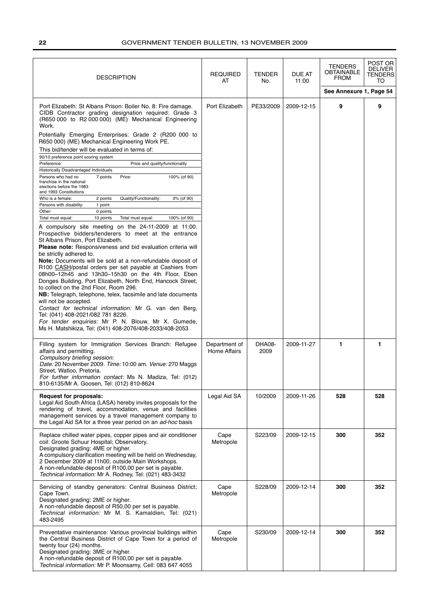| <b>DESCRIPTION</b>                                                                                                                                                                                                                                                                                                                                                                                                                                                                                                                                                                                                                                                                                                                                                                                                                                                                                                                                                                                                                                                                                                                                                                                                                                                                                                                                                                                                                                                                                                                                                                                                                                                                                           | <b>REQUIRED</b><br>AT                | <b>TENDER</b><br>No. | DUE AT<br>11:00 | <b>TENDERS</b><br>OBTAINABLE<br><b>FROM</b><br>See Annexure 1, Page 54 | POST OR<br><b>DELIVER</b><br><b>TENDERS</b><br>TO |
|--------------------------------------------------------------------------------------------------------------------------------------------------------------------------------------------------------------------------------------------------------------------------------------------------------------------------------------------------------------------------------------------------------------------------------------------------------------------------------------------------------------------------------------------------------------------------------------------------------------------------------------------------------------------------------------------------------------------------------------------------------------------------------------------------------------------------------------------------------------------------------------------------------------------------------------------------------------------------------------------------------------------------------------------------------------------------------------------------------------------------------------------------------------------------------------------------------------------------------------------------------------------------------------------------------------------------------------------------------------------------------------------------------------------------------------------------------------------------------------------------------------------------------------------------------------------------------------------------------------------------------------------------------------------------------------------------------------|--------------------------------------|----------------------|-----------------|------------------------------------------------------------------------|---------------------------------------------------|
| Port Elizabeth: St Albans Prison: Boiler No. 8: Fire damage.<br>CIDB Contractor grading designation required: Grade 3<br>(R650 000 to R2 000 000) (ME) Mechanical Engineering<br>Work.<br>Potentially Emerging Enterprises: Grade 2 (R200 000 to<br>R650 000) (ME) Mechanical Engineering Work PE.<br>This bid/tender will be evaluated in terms of:<br>90/10 preference point scoring system<br>Preference:<br>Price and quality/functionality<br>Historically Disadvantaged Individuals<br>Persons who had no<br>7 points<br>Price:<br>100% (of 90)<br>franchise in the national<br>elections before the 1983<br>and 1993 Constitutions<br>Quality/Functionality:<br>Who is a female:<br>2 points<br>0% (of 90)<br>1 point<br>Persons with disability:<br>0 points<br>Other:<br>Total must equal:<br>10 points<br>Total must equal:<br>100% (of 90)<br>A compulsory site meeting on the 24-11-2009 at 11:00.<br>Prospective bidders/tenderers to meet at the entrance<br>St Albans Prison, Port Elizabeth.<br>Please note: Responsiveness and bid evaluation criteria will<br>be strictly adhered to.<br>Note: Documents will be sold at a non-refundable deposit of<br>R100 CASH/postal orders per set payable at Cashiers from<br>08h00-12h45 and 13h30-15h30 on the 4th Floor, Eben<br>Donges Building, Port Elizabeth, North End, Hancock Street,<br>to collect on the 2nd Floor, Room 296.<br>NB: Telegraph, telephone, telex, facsimile and late documents<br>will not be accepted.<br>Contact for technical information: Mr G. van den Berg,<br>Tel: (041) 408-2021/082 781 8226.<br>For tender enquiries: Mr P. N. Blouw, Mr X. Gumede,<br>Ms H. Matshikiza, Tel: (041) 408-2076/408-2033/408-2053 | Port Elizabeth                       | PE33/2009            | 2009-12-15      | 9                                                                      | 9                                                 |
| Filling system for Immigration Services Branch: Refugee<br>affairs and permitting.<br>Compulsory briefing session:<br>Date: 20 November 2009. Time: 10:00 am. Venue: 270 Maggs<br>Street, Watloo, Pretoria.<br>For further information contact: Ms N. Madiza, Tel: (012)<br>810-6135/Mr A. Goosen, Tel: (012) 810-8624                                                                                                                                                                                                                                                                                                                                                                                                                                                                                                                                                                                                                                                                                                                                                                                                                                                                                                                                                                                                                                                                                                                                                                                                                                                                                                                                                                                       | Department of<br><b>Home Affairs</b> | DHA08-<br>2009       | 2009-11-27      | 1                                                                      | 1                                                 |
| <b>Request for proposals:</b><br>Legal Aid South Africa (LASA) hereby invites proposals for the<br>rendering of travel, accommodation, venue and facilities<br>management services by a travel management company to<br>the Legal Aid SA for a three year period on an ad-hoc basis                                                                                                                                                                                                                                                                                                                                                                                                                                                                                                                                                                                                                                                                                                                                                                                                                                                                                                                                                                                                                                                                                                                                                                                                                                                                                                                                                                                                                          | Legal Aid SA                         | 10/2009              | 2009-11-26      | 528                                                                    | 528                                               |
| Replace chilled water pipes, copper pipes and air conditioner<br>coil: Groote Schuur Hospital; Observatory.<br>Designated grading: 4ME or higher.<br>A compulsory clarification meeting will be held on Wednesday,<br>2 December 2009 at 11h00, outside Main Workshops.<br>A non-refundable deposit of R100,00 per set is payable.<br>Technical information: Mr A. Rodney, Tel: (021) 483-3432                                                                                                                                                                                                                                                                                                                                                                                                                                                                                                                                                                                                                                                                                                                                                                                                                                                                                                                                                                                                                                                                                                                                                                                                                                                                                                               | Cape<br>Metropole                    | S223/09              | 2009-12-15      | 300                                                                    | 352                                               |
| Servicing of standby generators: Central Business District;<br>Cape Town.<br>Designated grading: 2ME or higher.<br>A non-refundable deposit of R50,00 per set is payable.<br>Technical information: Mr M. S. Kamaldien, Tel: (021)<br>483-2495                                                                                                                                                                                                                                                                                                                                                                                                                                                                                                                                                                                                                                                                                                                                                                                                                                                                                                                                                                                                                                                                                                                                                                                                                                                                                                                                                                                                                                                               | Cape<br>Metropole                    | S228/09              | 2009-12-14      | 300                                                                    | 352                                               |
| Preventative maintenance: Various provincial buildings within<br>the Central Business District of Cape Town for a period of<br>twenty four (24) months.<br>Designated grading: 3ME or higher.<br>A non-refundable deposit of R100,00 per set is payable.<br>Technical information: Mr P. Moonsamy, Cell: 083 647 4055                                                                                                                                                                                                                                                                                                                                                                                                                                                                                                                                                                                                                                                                                                                                                                                                                                                                                                                                                                                                                                                                                                                                                                                                                                                                                                                                                                                        | Cape<br>Metropole                    | S230/09              | 2009-12-14      | 300                                                                    | 352                                               |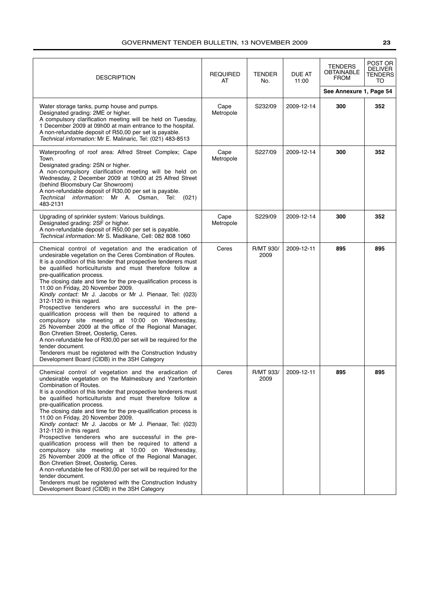| <b>DESCRIPTION</b>                                                                                                                                                                                                                                                                                                                                                                                                                                                                                                                                                                                                                                                                                                                                                                                                                                                                                                                                                                         | <b>REQUIRED</b><br>AT | <b>TENDER</b><br>No. | DUE AT<br>11:00 | <b>TENDERS</b><br>OBTAINABLE<br><b>FROM</b><br>See Annexure 1, Page 54 | POST OR<br><b>DELIVER</b><br>TENDERS<br>TO |
|--------------------------------------------------------------------------------------------------------------------------------------------------------------------------------------------------------------------------------------------------------------------------------------------------------------------------------------------------------------------------------------------------------------------------------------------------------------------------------------------------------------------------------------------------------------------------------------------------------------------------------------------------------------------------------------------------------------------------------------------------------------------------------------------------------------------------------------------------------------------------------------------------------------------------------------------------------------------------------------------|-----------------------|----------------------|-----------------|------------------------------------------------------------------------|--------------------------------------------|
| Water storage tanks, pump house and pumps.<br>Designated grading: 2ME or higher.<br>A compulsory clarification meeting will be held on Tuesday,<br>1 December 2009 at 09h00 at main entrance to the hospital.<br>A non-refundable deposit of R50,00 per set is payable.<br>Technical information: Mr E. Malinaric, Tel: (021) 483-8513                                                                                                                                                                                                                                                                                                                                                                                                                                                                                                                                                                                                                                                     | Cape<br>Metropole     | S232/09              | 2009-12-14      | 300                                                                    | 352                                        |
| Waterproofing of roof area: Alfred Street Complex; Cape<br>Town.<br>Designated grading: 2SN or higher.<br>A non-compulsory clarification meeting will be held on<br>Wednesday, 2 December 2009 at 10h00 at 25 Alfred Street<br>(behind Bloomsbury Car Showroom)<br>A non-refundable deposit of R30,00 per set is payable.<br>Technical information: Mr A. Osman, Tel:<br>(021)<br>483-2131                                                                                                                                                                                                                                                                                                                                                                                                                                                                                                                                                                                                 | Cape<br>Metropole     | S227/09              | 2009-12-14      | 300                                                                    | 352                                        |
| Upgrading of sprinkler system: Various buildings.<br>Designated grading: 2SF or higher.<br>A non-refundable deposit of R50,00 per set is payable.<br>Technical information: Mr S. Madikane, Cell: 082 808 1060                                                                                                                                                                                                                                                                                                                                                                                                                                                                                                                                                                                                                                                                                                                                                                             | Cape<br>Metropole     | S229/09              | 2009-12-14      | 300                                                                    | 352                                        |
| Chemical control of vegetation and the eradication of<br>undesirable vegetation on the Ceres Combination of Routes.<br>It is a condition of this tender that prospective tenderers must<br>be qualified horticulturists and must therefore follow a<br>pre-qualification process.<br>The closing date and time for the pre-qualification process is<br>11:00 on Friday, 20 November 2009.<br>Kindly contact: Mr J. Jacobs or Mr J. Pienaar, Tel: (023)<br>312-1120 in this regard.<br>Prospective tenderers who are successful in the pre-<br>qualification process will then be required to attend a<br>compulsory site meeting at 10:00 on Wednesday,<br>25 November 2009 at the office of the Regional Manager,<br>Bon Chretien Street, Oosterlig, Ceres.<br>A non-refundable fee of R30,00 per set will be required for the<br>tender document.<br>Tenderers must be registered with the Construction Industry<br>Development Board (CIDB) in the 3SH Category                         | Ceres                 | R/MT 930/<br>2009    | 2009-12-11      | 895                                                                    | 895                                        |
| Chemical control of vegetation and the eradication of<br>undesirable vegetation on the Malmesbury and Yzerfontein<br>Combination of Routes.<br>It is a condition of this tender that prospective tenderers must<br>be qualified horticulturists and must therefore follow a<br>pre-qualification process.<br>The closing date and time for the pre-qualification process is<br>11:00 on Friday, 20 November 2009.<br>Kindly contact: Mr J. Jacobs or Mr J. Pienaar, Tel: (023)<br>312-1120 in this regard.<br>Prospective tenderers who are successful in the pre-<br>qualification process will then be required to attend a<br>compulsory site meeting at 10:00 on Wednesday,<br>25 November 2009 at the office of the Regional Manager,<br>Bon Chretien Street, Oosterlig, Ceres.<br>A non-refundable fee of R30,00 per set will be required for the<br>tender document.<br>Tenderers must be registered with the Construction Industry<br>Development Board (CIDB) in the 3SH Category | Ceres                 | R/MT 933/<br>2009    | 2009-12-11      | 895                                                                    | 895                                        |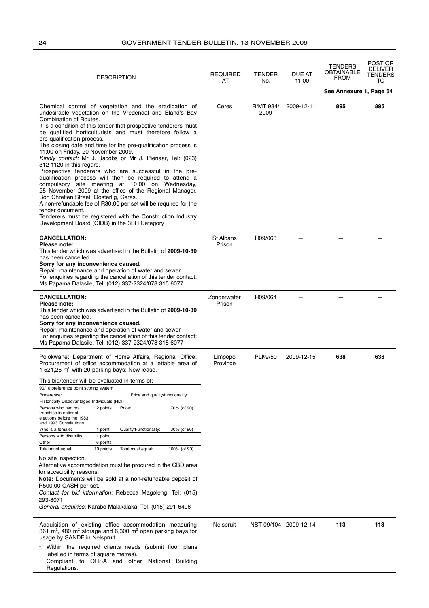| <b>DESCRIPTION</b>                                                                                                                                                                                                                                                                                                                                                                                                                                                                                                                                                                                                                                                                                                                                                                                                                                                                                                                                                                                                                                                          | <b>REQUIRED</b><br>AT | <b>TENDER</b><br>No. | DUE AT<br>11:00 | <b>TENDERS</b><br><b>OBTAINABLE</b><br><b>FROM</b> | POST OR<br><b>DELIVER</b><br><b>TENDERS</b><br>TO |
|-----------------------------------------------------------------------------------------------------------------------------------------------------------------------------------------------------------------------------------------------------------------------------------------------------------------------------------------------------------------------------------------------------------------------------------------------------------------------------------------------------------------------------------------------------------------------------------------------------------------------------------------------------------------------------------------------------------------------------------------------------------------------------------------------------------------------------------------------------------------------------------------------------------------------------------------------------------------------------------------------------------------------------------------------------------------------------|-----------------------|----------------------|-----------------|----------------------------------------------------|---------------------------------------------------|
|                                                                                                                                                                                                                                                                                                                                                                                                                                                                                                                                                                                                                                                                                                                                                                                                                                                                                                                                                                                                                                                                             |                       |                      |                 | See Annexure 1, Page 54                            |                                                   |
| Chemical control of vegetation and the eradication of<br>undesirable vegetation on the Vredendal and Eland's Bay<br>Combination of Routes.<br>It is a condition of this tender that prospective tenderers must<br>be qualified horticulturists and must therefore follow a<br>pre-qualification process.<br>The closing date and time for the pre-qualification process is<br>11:00 on Friday, 20 November 2009.<br>Kindly contact: Mr J. Jacobs or Mr J. Pienaar, Tel: (023)<br>312-1120 in this regard.<br>Prospective tenderers who are successful in the pre-<br>qualification process will then be required to attend a<br>compulsory site meeting at 10:00 on Wednesday,<br>25 November 2009 at the office of the Regional Manager,<br>Bon Chretien Street, Oosterlig, Ceres.<br>A non-refundable fee of R30,00 per set will be required for the<br>tender document.<br>Tenderers must be registered with the Construction Industry<br>Development Board (CIDB) in the 3SH Category                                                                                   | Ceres                 | R/MT 934/<br>2009    | 2009-12-11      | 895                                                | 895                                               |
| <b>CANCELLATION:</b><br>Please note:<br>This tender which was advertised in the Bulletin of 2009-10-30<br>has been cancelled.<br>Sorry for any inconvenience caused.<br>Repair, maintenance and operation of water and sewer.<br>For enquiries regarding the cancellation of this tender contact:<br>Ms Papama Dalasile, Tel: (012) 337-2324/078 315 6077                                                                                                                                                                                                                                                                                                                                                                                                                                                                                                                                                                                                                                                                                                                   | St Albans<br>Prison   | H09/063              |                 |                                                    |                                                   |
| <b>CANCELLATION:</b><br>Please note:<br>This tender which was advertised in the Bulletin of 2009-10-30<br>has been cancelled.<br>Sorry for any inconvenience caused.<br>Repair, maintenance and operation of water and sewer.<br>For enquiries regarding the cancellation of this tender contact:<br>Ms Papama Dalasile, Tel: (012) 337-2324/078 315 6077                                                                                                                                                                                                                                                                                                                                                                                                                                                                                                                                                                                                                                                                                                                   | Zonderwater<br>Prison | H09/064              |                 |                                                    |                                                   |
| Polokwane: Department of Home Affairs, Regional Office:<br>Procurement of office accommodation at a lettable area of<br>1 521,25 $m2$ with 20 parking bays: New lease.<br>This bid/tender will be evaluated in terms of:<br>90/10 preference point scoring system<br>Preference:<br>Price and quality/functionality<br>Historically Disadvantaged Individuals (HDI)<br>70% (of 90)<br>Persons who had no<br>2 points<br>Price:<br>franchise in national<br>elections before the 1983<br>and 1993 Constitutions<br>Who is a female:<br>Quality/Functionality:<br>30% (of 90)<br>1 point<br>Persons with disability:<br>1 point<br>Other:<br>6 points<br>Total must equal:<br>10 points<br>Total must equal:<br>100% (of 90)<br>No site inspection.<br>Alternative accommodation must be procured in the CBD area<br>for accecibility reasons.<br>Note: Documents will be sold at a non-refundable deposit of<br>R500,00 CASH per set.<br>Contact for bid information: Rebecca Magoleng, Tel: (015)<br>293-8071.<br>General enquiries: Karabo Malakalaka, Tel: (015) 291-6406 | Limpopo<br>Province   | <b>PLK9/50</b>       | 2009-12-15      | 638                                                | 638                                               |
| Acquisition of existing office accommodation measuring<br>361 m <sup>2</sup> , 480 m <sup>2</sup> storage and 6,300 m <sup>2</sup> open parking bays for<br>usage by SANDF in Nelspruit.<br>• Within the required clients needs (submit floor plans<br>labelled in terms of square metres).<br>Compliant to OHSA and other National Building<br>Regulations.                                                                                                                                                                                                                                                                                                                                                                                                                                                                                                                                                                                                                                                                                                                | Nelspruit             | NST 09/104           | 2009-12-14      | 113                                                | 113                                               |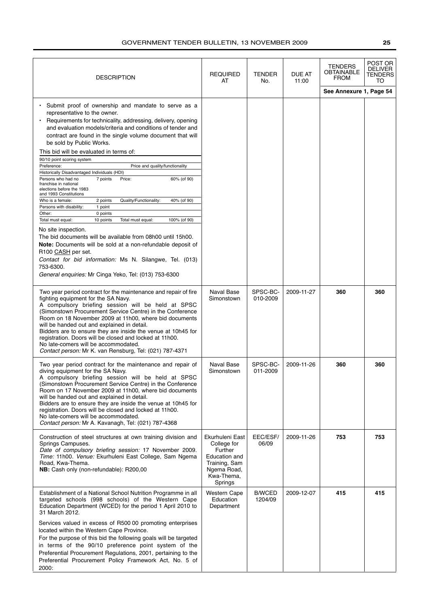| <b>DESCRIPTION</b>                                                                                                                                                                                                                                                                                                                                                                                                                                                                                                                                                                                                                                                                                                                                                                                                                                                                                                                                                                                                                                                                                                                                          | <b>REQUIRED</b><br>AT                                                                                               | <b>TENDER</b><br>No.     | DUE AT<br>11:00 | <b>TENDERS</b><br>OBTAINABLE<br><b>FROM</b> | POST OR<br><b>DELIVER</b><br>TENDERS<br>TO |
|-------------------------------------------------------------------------------------------------------------------------------------------------------------------------------------------------------------------------------------------------------------------------------------------------------------------------------------------------------------------------------------------------------------------------------------------------------------------------------------------------------------------------------------------------------------------------------------------------------------------------------------------------------------------------------------------------------------------------------------------------------------------------------------------------------------------------------------------------------------------------------------------------------------------------------------------------------------------------------------------------------------------------------------------------------------------------------------------------------------------------------------------------------------|---------------------------------------------------------------------------------------------------------------------|--------------------------|-----------------|---------------------------------------------|--------------------------------------------|
|                                                                                                                                                                                                                                                                                                                                                                                                                                                                                                                                                                                                                                                                                                                                                                                                                                                                                                                                                                                                                                                                                                                                                             |                                                                                                                     |                          |                 | See Annexure 1, Page 54                     |                                            |
| Submit proof of ownership and mandate to serve as a<br>representative to the owner.<br>Requirements for technicality, addressing, delivery, opening<br>and evaluation models/criteria and conditions of tender and<br>contract are found in the single volume document that will<br>be sold by Public Works.<br>This bid will be evaluated in terms of:<br>90/10 point scoring system<br>Preference:<br>Price and quality/functionality<br>Historically Disadvantaged Individuals (HDI)<br>Persons who had no<br>7 points<br>Price:<br>60% (of 90)<br>franchise in national<br>elections before the 1983<br>and 1993 Constitutions<br>Who is a female:<br>2 points<br>Quality/Functionality:<br>40% (of 90)<br>Persons with disability:<br>1 point<br>Other:<br>0 points<br>Total must equal:<br>10 points<br>Total must equal:<br>100% (of 90)<br>No site inspection.<br>The bid documents will be available from 08h00 until 15h00.<br>Note: Documents will be sold at a non-refundable deposit of<br>R100 CASH per set.<br>Contact for bid information: Ms N. Silangwe, Tel. (013)<br>753-6300.<br>General enquiries: Mr Cinga Yeko, Tel: (013) 753-6300 |                                                                                                                     |                          |                 |                                             |                                            |
| Two year period contract for the maintenance and repair of fire<br>fighting equipment for the SA Navy.<br>A compulsory briefing session will be held at SPSC<br>(Simonstown Procurement Service Centre) in the Conference<br>Room on 18 November 2009 at 11h00, where bid documents<br>will be handed out and explained in detail.<br>Bidders are to ensure they are inside the venue at 10h45 for<br>registration. Doors will be closed and locked at 11h00.<br>No late-comers will be accommodated.<br>Contact person: Mr K. van Rensburg, Tel: (021) 787-4371                                                                                                                                                                                                                                                                                                                                                                                                                                                                                                                                                                                            | Naval Base<br>Simonstown                                                                                            | SPSC-BC-<br>010-2009     | 2009-11-27      | 360                                         | 360                                        |
| Two year period contract for the maintenance and repair of<br>diving equipment for the SA Navy.<br>A compulsory briefing session will be held at SPSC<br>(Simonstown Procurement Service Centre) in the Conference<br>Room on 17 November 2009 at 11h00, where bid documents<br>will be handed out and explained in detail.<br>Bidders are to ensure they are inside the venue at 10h45 for<br>registration. Doors will be closed and locked at 11h00.<br>No late-comers will be accommodated.<br>Contact person: Mr A. Kavanagh, Tel: (021) 787-4368                                                                                                                                                                                                                                                                                                                                                                                                                                                                                                                                                                                                       | Naval Base<br>Simonstown                                                                                            | SPSC-BC-<br>011-2009     | 2009-11-26      | 360                                         | 360                                        |
| Construction of steel structures at own training division and<br>Springs Campuses.<br>Date of compulsory briefing session: 17 November 2009.<br>Time: 11h00. Venue: Ekurhuleni East College, Sam Ngema<br>Road, Kwa-Thema.<br>NB: Cash only (non-refundable): R200,00                                                                                                                                                                                                                                                                                                                                                                                                                                                                                                                                                                                                                                                                                                                                                                                                                                                                                       | Ekurhuleni East<br>College for<br>Further<br>Education and<br>Training, Sam<br>Ngema Road,<br>Kwa-Thema,<br>Springs | EEC/ESF/<br>06/09        | 2009-11-26      | 753                                         | 753                                        |
| Establishment of a National School Nutrition Programme in all<br>targeted schools (998 schools) of the Western Cape<br>Education Department (WCED) for the period 1 April 2010 to<br>31 March 2012.<br>Services valued in excess of R500 00 promoting enterprises<br>located within the Western Cape Province.<br>For the purpose of this bid the following goals will be targeted<br>in terms of the 90/10 preference point system of the<br>Preferential Procurement Regulations, 2001, pertaining to the<br>Preferential Procurement Policy Framework Act, No. 5 of<br>2000:                                                                                                                                                                                                                                                                                                                                                                                                                                                                                                                                                                             | Western Cape<br>Education<br>Department                                                                             | <b>B/WCED</b><br>1204/09 | 2009-12-07      | 415                                         | 415                                        |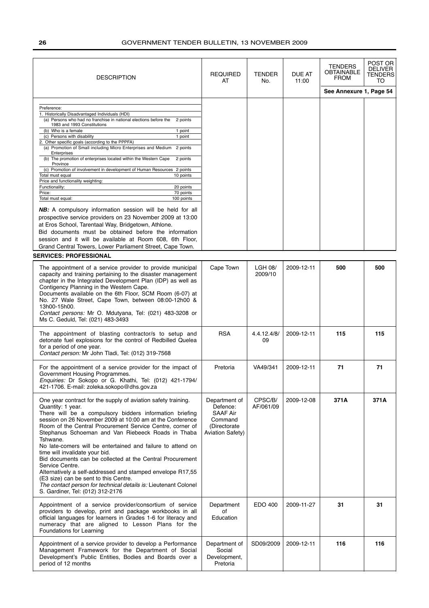| <b>DESCRIPTION</b>                                                                                                                                                                                                                                                                                                                                                                                                                                                                                                                                                                                                                                                                                                                                                                                                                                                                                                                                                                                                                                                                                                           | <b>REQUIRED</b><br>AT                                                                       | <b>TENDER</b><br>No. | DUE AT<br>11:00 | <b>TENDERS</b><br>OBTAINABLE<br><b>FROM</b> | POST OR<br><b>DELIVER</b><br><b>TENDERS</b><br>TO |
|------------------------------------------------------------------------------------------------------------------------------------------------------------------------------------------------------------------------------------------------------------------------------------------------------------------------------------------------------------------------------------------------------------------------------------------------------------------------------------------------------------------------------------------------------------------------------------------------------------------------------------------------------------------------------------------------------------------------------------------------------------------------------------------------------------------------------------------------------------------------------------------------------------------------------------------------------------------------------------------------------------------------------------------------------------------------------------------------------------------------------|---------------------------------------------------------------------------------------------|----------------------|-----------------|---------------------------------------------|---------------------------------------------------|
|                                                                                                                                                                                                                                                                                                                                                                                                                                                                                                                                                                                                                                                                                                                                                                                                                                                                                                                                                                                                                                                                                                                              |                                                                                             |                      |                 | See Annexure 1, Page 54                     |                                                   |
| Preference:<br>1. Historically Disadvantaged Individuals (HDI)<br>(a) Persons who had no franchise in national elections before the<br>2 points<br>1983 and 1993 Constitutions<br>(b) Who is a female<br>1 point<br>(c) Persons with disability<br>1 point<br>2. Other specific goals (according to the PPPFA)<br>(a) Promotion of Small including Micro Enterprises and Medium<br>2 points<br>Enterprises<br>(b) The promotion of enterprises located within the Western Cape<br>2 points<br>Province<br>(c) Promotion of involvement in development of Human Resources 2 points<br>Total must equal<br>10 points<br>Price and functionality weighting:<br>Functionality:<br>20 points<br>Price:<br>70 points<br>Total must equal:<br>100 points<br><b>NB:</b> A compulsory information session will be held for all<br>prospective service providers on 23 November 2009 at 13:00<br>at Eros School, Tarentaal Way, Bridgetown, Athlone.<br>Bid documents must be obtained before the information<br>session and it will be available at Room 608, 6th Floor,<br>Grand Central Towers, Lower Parliament Street, Cape Town. |                                                                                             |                      |                 |                                             |                                                   |
| <b>SERVICES: PROFESSIONAL</b>                                                                                                                                                                                                                                                                                                                                                                                                                                                                                                                                                                                                                                                                                                                                                                                                                                                                                                                                                                                                                                                                                                |                                                                                             |                      |                 |                                             |                                                   |
| The appointment of a service provider to provide municipal<br>capacity and training pertaining to the disaster management<br>chapter in the Integrated Development Plan (IDP) as well as<br>Contigency Planning in the Western Cape.<br>Documents available on the 6th Floor, SCM Room (6-07) at<br>No. 27 Wale Street, Cape Town, between 08:00-12h00 &<br>13h00-15h00.<br>Contact persons: Mr O. Mdutyana, Tel: (021) 483-3208 or<br>Ms C. Geduld, Tel: (021) 483-3493                                                                                                                                                                                                                                                                                                                                                                                                                                                                                                                                                                                                                                                     | Cape Town                                                                                   | LGH 08/<br>2009/10   | 2009-12-11      | 500                                         | 500                                               |
| The appointment of blasting contractor/s to setup and<br>detonate fuel explosions for the control of Redbilled Quelea<br>for a period of one year.<br>Contact person: Mr John Tladi, Tel: (012) 319-7568                                                                                                                                                                                                                                                                                                                                                                                                                                                                                                                                                                                                                                                                                                                                                                                                                                                                                                                     | <b>RSA</b>                                                                                  | 4.4.12.4/8/<br>09    | 2009-12-11      | 115                                         | 115                                               |
| For the appointment of a service provider for the impact of<br>Government Housing Programmes.<br>Enquiries: Dr Sokopo or G. Khathi, Tel: (012) 421-1794/<br>421-1706. E-mail: zoleka.sokopo@dhs.gov.za                                                                                                                                                                                                                                                                                                                                                                                                                                                                                                                                                                                                                                                                                                                                                                                                                                                                                                                       | Pretoria                                                                                    | VA49/341             | 2009-12-11      | 71                                          | 71                                                |
| One year contract for the supply of aviation safety training.<br>Quantity: 1 year.<br>There will be a compulsory bidders information briefing<br>session on 26 November 2009 at 10:00 am at the Conference<br>Room of the Central Procurement Service Centre, corner of<br>Stephanus Schoeman and Van Riebeeck Roads in Thaba<br>Tshwane.<br>No late-comers will be entertained and failure to attend on<br>time will invalidate your bid.<br>Bid documents can be collected at the Central Procurement<br>Service Centre.<br>Alternatively a self-addressed and stamped envelope R17,55<br>(E3 size) can be sent to this Centre.<br>The contact person for technical details is: Lieutenant Colonel<br>S. Gardiner, Tel: (012) 312-2176                                                                                                                                                                                                                                                                                                                                                                                     | Department of<br>Defence:<br>SAAF Air<br>Command<br>(Directorate<br><b>Aviation Safety)</b> | CPSC/B/<br>AF/061/09 | 2009-12-08      | 371A                                        | 371A                                              |
| Appointment of a service provider/consortium of service<br>providers to develop, print and package workbooks in all<br>official languages for learners in Grades 1-6 for literacy and<br>numeracy that are aligned to Lesson Plans for the<br>Foundations for Learning                                                                                                                                                                                                                                                                                                                                                                                                                                                                                                                                                                                                                                                                                                                                                                                                                                                       | Department<br>of<br>Education                                                               | EDO 400              | 2009-11-27      | 31                                          | 31                                                |
| Appointment of a service provider to develop a Performance<br>Management Framework for the Department of Social<br>Development's Public Entities, Bodies and Boards over a<br>period of 12 months                                                                                                                                                                                                                                                                                                                                                                                                                                                                                                                                                                                                                                                                                                                                                                                                                                                                                                                            | Department of<br>Social<br>Development,<br>Pretoria                                         | SD09/2009            | 2009-12-11      | 116                                         | 116                                               |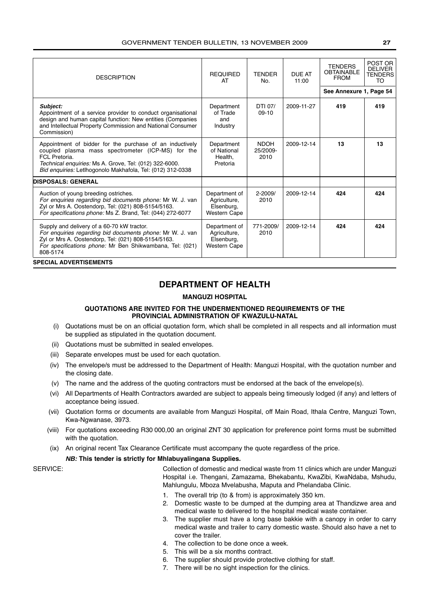| <b>DESCRIPTION</b>                                                                                                                                                                                                                                     | <b>REQUIRED</b><br>AT                                              | <b>TENDER</b><br>No.            | <b>DUE AT</b><br>11:00 | <b>TENDERS</b><br><b>OBTAINABLE</b><br><b>FROM</b><br>See Annexure 1, Page 54 | POST OR<br><b>DELIVER</b><br><b>TENDERS</b><br>TO |
|--------------------------------------------------------------------------------------------------------------------------------------------------------------------------------------------------------------------------------------------------------|--------------------------------------------------------------------|---------------------------------|------------------------|-------------------------------------------------------------------------------|---------------------------------------------------|
| Subject:<br>Appointment of a service provider to conduct organisational<br>design and human capital function: New entities (Companies<br>and Intellectual Property Commission and National Consumer<br>Commission)                                     | Department<br>of Trade<br>and<br>Industry                          | DTI 07/<br>$09-10$              | 2009-11-27             | 419                                                                           | 419                                               |
| Appointment of bidder for the purchase of an inductively<br>coupled plasma mass spectrometer (ICP-MS) for the<br>FCL Pretoria.<br>Technical enquiries: Ms A. Grove, Tel: (012) 322-6000.<br>Bid enquiries: Letlhogonolo Makhafola, Tel: (012) 312-0338 | Department<br>of National<br>Health,<br>Pretoria                   | <b>NDOH</b><br>25/2009-<br>2010 | 2009-12-14             | 13                                                                            | 13                                                |
| <b>DISPOSALS: GENERAL</b>                                                                                                                                                                                                                              |                                                                    |                                 |                        |                                                                               |                                                   |
| Auction of young breeding ostriches.<br>For enquiries regarding bid documents phone: Mr W. J. van<br>Zyl or Mrs A. Oostendorp, Tel: (021) 808-5154/5163.<br>For specifications phone: Ms Z. Brand, Tel: (044) 272-6077                                 | Department of<br>Agriculture,<br>Elsenburg,<br><b>Western Cape</b> | $2 - 2009/$<br>2010             | 2009-12-14             | 424                                                                           | 424                                               |
| Supply and delivery of a 60-70 kW tractor.<br>For enquiries regarding bid documents phone: Mr W. J. van<br>Zyl or Mrs A. Oostendorp, Tel: (021) 808-5154/5163.<br>For specifications phone: Mr Ben Shikwambana, Tel: (021)<br>808-5174                 | Department of<br>Agriculture,<br>Elsenburg,<br><b>Western Cape</b> | 771-2009/<br>2010               | 2009-12-14             | 424                                                                           | 424                                               |
| <b>SPECIAL ADVERTISEMENTS</b>                                                                                                                                                                                                                          |                                                                    |                                 |                        |                                                                               |                                                   |

# **DEPARTMENT OF HEALTH**

#### **MANGUZI HOSPITAL**

#### **QUOTATIONS ARE INVITED FOR THE UNDERMENTIONED REQUIREMENTS OF THE PROVINCIAL ADMINISTRATION OF KWAZULU-NATAL**

- (i) Quotations must be on an official quotation form, which shall be completed in all respects and all information must be supplied as stipulated in the quotation document.
- (ii) Quotations must be submitted in sealed envelopes.
- (iii) Separate envelopes must be used for each quotation.
- (iv) The envelope/s must be addressed to the Department of Health: Manguzi Hospital, with the quotation number and the closing date.
- (v) The name and the address of the quoting contractors must be endorsed at the back of the envelope(s).
- (vi) All Departments of Health Contractors awarded are subject to appeals being timeously lodged (if any) and letters of acceptance being issued.
- (vii) Quotation forms or documents are available from Manguzi Hospital, off Main Road, Ithala Centre, Manguzi Town, Kwa-Ngwanase, 3973.
- (viii) For quotations exceeding R30 000,00 an original ZNT 30 application for preference point forms must be submitted with the quotation.
- (ix) An original recent Tax Clearance Certificate must accompany the quote regardless of the price.

#### **NB: This tender is strictly for Mhlabuyalingana Supplies.**

SERVICE: Collection of domestic and medical waste from 11 clinics which are under Manguzi Hospital i.e. Thengani, Zamazama, Bhekabantu, KwaZibi, KwaNdaba, Mshudu, Mahlungulu, Mboza Mvelabusha, Maputa and Phelandaba Clinic.

- 1. The overall trip (to & from) is approximately 350 km.
- 2. Domestic waste to be dumped at the dumping area at Thandizwe area and medical waste to delivered to the hospital medical waste container.
- 3. The supplier must have a long base bakkie with a canopy in order to carry medical waste and trailer to carry domestic waste. Should also have a net to cover the trailer.
- 4. The collection to be done once a week.
- 5. This will be a six months contract.
- 6. The supplier should provide protective clothing for staff.
- 7. There will be no sight inspection for the clinics.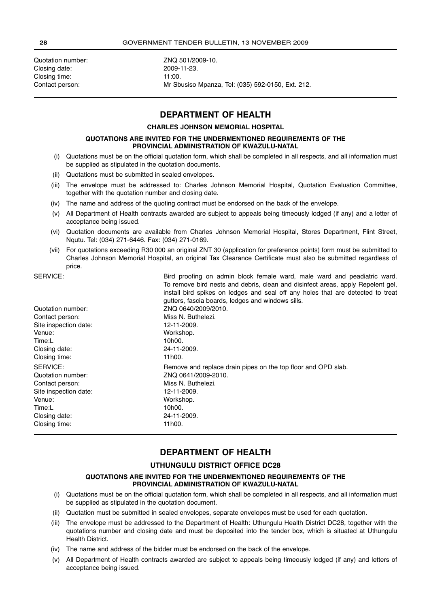Quotation number: <br>Closing date: 2009-11-23. Closing date: 2009-1<br>Closing time: 2009-11:00. Closing time:

Contact person: Mr Sbusiso Mpanza, Tel: (035) 592-0150, Ext. 212.

# **DEPARTMENT OF HEALTH**

#### **CHARLES JOHNSON MEMORIAL HOSPITAL**

#### **QUOTATIONS ARE INVITED FOR THE UNDERMENTIONED REQUIREMENTS OF THE PROVINCIAL ADMINISTRATION OF KWAZULU-NATAL**

- (i) Quotations must be on the official quotation form, which shall be completed in all respects, and all information must be supplied as stipulated in the quotation documents.
- (ii) Quotations must be submitted in sealed envelopes.
- (iii) The envelope must be addressed to: Charles Johnson Memorial Hospital, Quotation Evaluation Committee, together with the quotation number and closing date.
- (iv) The name and address of the quoting contract must be endorsed on the back of the envelope.
- (v) All Department of Health contracts awarded are subject to appeals being timeously lodged (if any) and a letter of acceptance being issued.
- (vi) Quotation documents are available from Charles Johnson Memorial Hospital, Stores Department, Flint Street, Nqutu. Tel: (034) 271-6446. Fax: (034) 271-0169.
- (vii) For quotations exceeding R30 000 an original ZNT 30 (application for preference points) form must be submitted to Charles Johnson Memorial Hospital, an original Tax Clearance Certificate must also be submitted regardless of price.

SERVICE: **Bird proofing on admin block female ward, male ward and peadiatric ward.** 

|                       | To remove bird nests and debris, clean and disinfect areas, apply Repelent gel,<br>install bird spikes on ledges and seal off any holes that are detected to treat<br>gutters, fascia boards, ledges and windows sills. |
|-----------------------|-------------------------------------------------------------------------------------------------------------------------------------------------------------------------------------------------------------------------|
| Quotation number:     | ZNQ 0640/2009/2010.                                                                                                                                                                                                     |
| Contact person:       | Miss N. Buthelezi.                                                                                                                                                                                                      |
| Site inspection date: | 12-11-2009.                                                                                                                                                                                                             |
| Venue:                | Workshop.                                                                                                                                                                                                               |
| Time:L                | 10h00.                                                                                                                                                                                                                  |
| Closing date:         | 24-11-2009.                                                                                                                                                                                                             |
| Closing time:         | 11h00.                                                                                                                                                                                                                  |
| SERVICE:              | Remove and replace drain pipes on the top floor and OPD slab.                                                                                                                                                           |
| Quotation number:     | ZNQ 0641/2009-2010.                                                                                                                                                                                                     |
| Contact person:       | Miss N. Buthelezi.                                                                                                                                                                                                      |
| Site inspection date: | 12-11-2009.                                                                                                                                                                                                             |
| Venue:                | Workshop.                                                                                                                                                                                                               |
| Time:L                | 10h00.                                                                                                                                                                                                                  |
| Closing date:         | 24-11-2009.                                                                                                                                                                                                             |
| Closing time:         | 11h00.                                                                                                                                                                                                                  |

# **DEPARTMENT OF HEALTH**

#### **UTHUNGULU DISTRICT OFFICE DC28**

#### **QUOTATIONS ARE INVITED FOR THE UNDERMENTIONED REQUIREMENTS OF THE PROVINCIAL ADMINISTRATION OF KWAZULU-NATAL**

- (i) Quotations must be on the official quotation form, which shall be completed in all respects, and all information must be supplied as stipulated in the quotation document.
- (ii) Quotation must be submitted in sealed envelopes, separate envelopes must be used for each quotation.
- (iii) The envelope must be addressed to the Department of Health: Uthungulu Health District DC28, together with the quotations number and closing date and must be deposited into the tender box, which is situated at Uthungulu Health District.
- (iv) The name and address of the bidder must be endorsed on the back of the envelope.
- (v) All Department of Health contracts awarded are subject to appeals being timeously lodged (if any) and letters of acceptance being issued.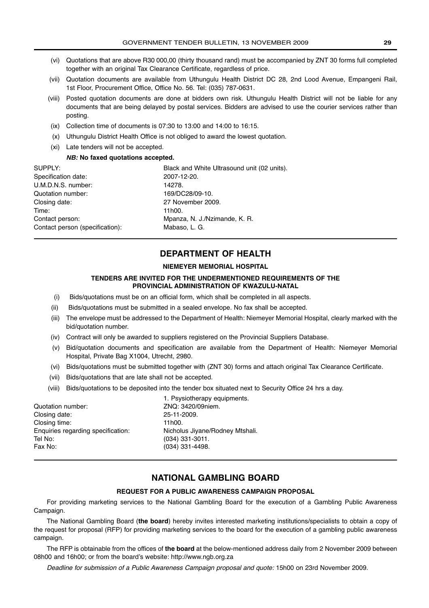- (vi) Quotations that are above R30 000,00 (thirty thousand rand) must be accompanied by ZNT 30 forms full completed together with an original Tax Clearance Certificate, regardless of price.
- (vii) Quotation documents are available from Uthungulu Health District DC 28, 2nd Lood Avenue, Empangeni Rail, 1st Floor, Procurement Office, Office No. 56. Tel: (035) 787-0631.
- (viii) Posted quotation documents are done at bidders own risk. Uthungulu Health District will not be liable for any documents that are being delayed by postal services. Bidders are advised to use the courier services rather than posting.
- (ix) Collection time of documents is 07:30 to 13:00 and 14:00 to 16:15.
- (x) Uthungulu District Health Office is not obliged to award the lowest quotation.
- (xi) Late tenders will not be accepted.

#### **NB: No faxed quotations accepted.**

| SUPPLY:                         | Black and White Ultrasound unit (02 units). |
|---------------------------------|---------------------------------------------|
| Specification date:             | 2007-12-20.                                 |
| U.M.D.N.S. number:              | 14278.                                      |
| Quotation number:               | 169/DC28/09-10.                             |
| Closing date:                   | 27 November 2009.                           |
| Time:                           | 11h00.                                      |
| Contact person:                 | Mpanza, N. J./Nzimande, K. R.               |
| Contact person (specification): | Mabaso, L. G.                               |

# **DEPARTMENT OF HEALTH**

#### **NIEMEYER MEMORIAL HOSPITAL**

#### **TENDERS ARE INVITED FOR THE UNDERMENTIONED REQUIREMENTS OF THE PROVINCIAL ADMINISTRATION OF KWAZULU-NATAL**

- (i) Bids/quotations must be on an official form, which shall be completed in all aspects.
- (ii) Bids/quotations must be submitted in a sealed envelope. No fax shall be accepted.
- (iii) The envelope must be addressed to the Department of Health: Niemeyer Memorial Hospital, clearly marked with the bid/quotation number.
- (iv) Contract will only be awarded to suppliers registered on the Provincial Suppliers Database.
- (v) Bid/quotation documents and specification are available from the Department of Health: Niemeyer Memorial Hospital, Private Bag X1004, Utrecht, 2980.
- (vi) Bids/quotations must be submitted together with (ZNT 30) forms and attach original Tax Clearance Certificate.
- (vii) Bids/quotations that are late shall not be accepted.
- (viii) Bids/quotations to be deposited into the tender box situated next to Security Office 24 hrs a day.

| 1. Psysiotherapy equipments.    |
|---------------------------------|
| ZNQ: 3420/09niem.               |
| 25-11-2009.                     |
| 11h00.                          |
| Nicholus Jivane/Rodney Mtshali. |
| $(034)$ 331-3011.               |
| $(034)$ 331-4498.               |
|                                 |

# **NATIONAL GAMBLING BOARD**

#### **REQUEST FOR A PUBLIC AWARENESS CAMPAIGN PROPOSAL**

For providing marketing services to the National Gambling Board for the execution of a Gambling Public Awareness Campaign.

The National Gambling Board (**the board**) hereby invites interested marketing institutions/specialists to obtain a copy of the request for proposal (RFP) for providing marketing services to the board for the execution of a gambling public awareness campaign.

The RFP is obtainable from the offices of **the board** at the below-mentioned address daily from 2 November 2009 between 08h00 and 16h00; or from the board's website: http://www.ngb.org.za

Deadline for submission of a Public Awareness Campaign proposal and quote: 15h00 on 23rd November 2009.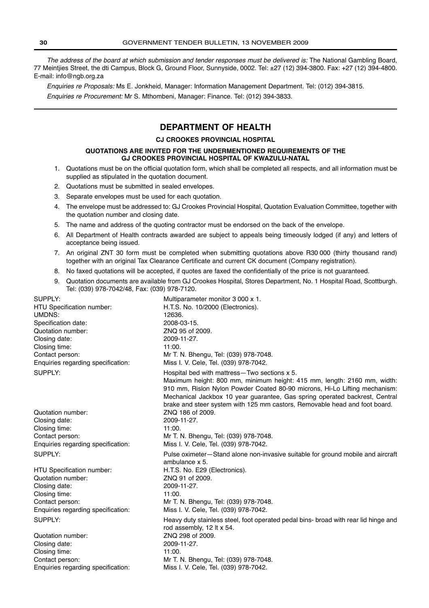The address of the board at which submission and tender responses must be delivered is: The National Gambling Board, 77 Meintjies Street, the dti Campus, Block G, Ground Floor, Sunnyside, 0002. Tel: ±27 (12) 394-3800. Fax: +27 (12) 394-4800. E-mail: info@ngb.org.za

Enquiries re Proposals: Ms E. Jonkheid, Manager: Information Management Department. Tel: (012) 394-3815. Enquiries re Procurement: Mr S. Mthombeni, Manager: Finance. Tel: (012) 394-3833.

# **DEPARTMENT OF HEALTH**

#### **CJ CROOKES PROVINCIAL HOSPITAL**

#### **QUOTATIONS ARE INVITED FOR THE UNDERMENTIONED REQUIREMENTS OF THE GJ CROOKES PROVINCIAL HOSPITAL OF KWAZULU-NATAL**

- 1. Quotations must be on the official quotation form, which shall be completed all respects, and all information must be supplied as stipulated in the quotation document.
- 2. Quotations must be submitted in sealed envelopes.
- 3. Separate envelopes must be used for each quotation.
- 4. The envelope must be addressed to: GJ Crookes Provincial Hospital, Quotation Evaluation Committee, together with the quotation number and closing date.
- 5. The name and address of the quoting contractor must be endorsed on the back of the envelope.
- 6. All Department of Health contracts awarded are subject to appeals being timeously lodged (if any) and letters of acceptance being issued.
- 7. An original ZNT 30 form must be completed when submitting quotations above R30 000 (thirty thousand rand) together with an original Tax Clearance Certificate and current CK document (Company registration).
- 8. No faxed quotations will be accepted, if quotes are faxed the confidentially of the price is not guaranteed.
- 9. Quotation documents are available from GJ Crookes Hospital, Stores Department, No. 1 Hospital Road, Scottburgh. Tel: (039) 978-7042/48, Fax: (039) 978-7120.

| SUPPLY:                            | Multiparameter monitor 3 000 x 1.                                                                                                                                                                                                                                                                                                                                  |
|------------------------------------|--------------------------------------------------------------------------------------------------------------------------------------------------------------------------------------------------------------------------------------------------------------------------------------------------------------------------------------------------------------------|
| HTU Specification number:          | H.T.S. No. 10/2000 (Electronics).                                                                                                                                                                                                                                                                                                                                  |
| UMDNS:                             | 12636.                                                                                                                                                                                                                                                                                                                                                             |
| Specification date:                | 2008-03-15.                                                                                                                                                                                                                                                                                                                                                        |
| Quotation number:                  | ZNQ 95 of 2009.                                                                                                                                                                                                                                                                                                                                                    |
| Closing date:                      | 2009-11-27.                                                                                                                                                                                                                                                                                                                                                        |
| Closing time:                      | 11:00.                                                                                                                                                                                                                                                                                                                                                             |
| Contact person:                    | Mr T. N. Bhengu, Tel: (039) 978-7048.                                                                                                                                                                                                                                                                                                                              |
| Enquiries regarding specification: | Miss I. V. Cele, Tel. (039) 978-7042.                                                                                                                                                                                                                                                                                                                              |
| SUPPLY:                            | Hospital bed with mattress-Two sections x 5.<br>Maximum height: 800 mm, minimum height: 415 mm, length: 2160 mm, width:<br>910 mm, Rislon Nylon Powder Coated 80-90 microns, Hi-Lo Lifting mechanism:<br>Mechanical Jackbox 10 year guarantee, Gas spring operated backrest, Central<br>brake and steer system with 125 mm castors, Removable head and foot board. |
| Quotation number:                  | ZNQ 186 of 2009.                                                                                                                                                                                                                                                                                                                                                   |
| Closing date:                      | 2009-11-27.                                                                                                                                                                                                                                                                                                                                                        |
| Closing time:                      | 11:00.                                                                                                                                                                                                                                                                                                                                                             |
| Contact person:                    | Mr T. N. Bhengu, Tel: (039) 978-7048.                                                                                                                                                                                                                                                                                                                              |
| Enquiries regarding specification: | Miss I. V. Cele, Tel. (039) 978-7042.                                                                                                                                                                                                                                                                                                                              |
| SUPPLY:                            | Pulse oximeter—Stand alone non-invasive suitable for ground mobile and aircraft<br>ambulance x 5.                                                                                                                                                                                                                                                                  |
| <b>HTU Specification number:</b>   | H.T.S. No. E29 (Electronics).                                                                                                                                                                                                                                                                                                                                      |
| Quotation number:                  | ZNQ 91 of 2009.                                                                                                                                                                                                                                                                                                                                                    |
| Closing date:                      | 2009-11-27.                                                                                                                                                                                                                                                                                                                                                        |
| Closing time:                      | 11:00.                                                                                                                                                                                                                                                                                                                                                             |
| Contact person:                    | Mr T. N. Bhengu, Tel: (039) 978-7048.                                                                                                                                                                                                                                                                                                                              |
| Enquiries regarding specification: | Miss I. V. Cele, Tel. (039) 978-7042.                                                                                                                                                                                                                                                                                                                              |
| SUPPLY:                            | Heavy duty stainless steel, foot operated pedal bins- broad with rear lid hinge and<br>rod assembly, 12 It x 54.                                                                                                                                                                                                                                                   |
| Quotation number:                  | ZNQ 298 of 2009.                                                                                                                                                                                                                                                                                                                                                   |
| Closing date:                      | 2009-11-27.                                                                                                                                                                                                                                                                                                                                                        |
| Closing time:                      | 11:00.                                                                                                                                                                                                                                                                                                                                                             |
| Contact person:                    | Mr T. N. Bhengu, Tel: (039) 978-7048.                                                                                                                                                                                                                                                                                                                              |
| Enquiries regarding specification: | Miss I. V. Cele, Tel. (039) 978-7042.                                                                                                                                                                                                                                                                                                                              |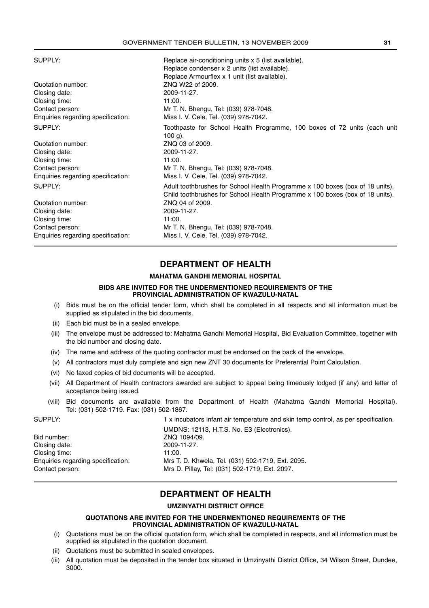SUPPLY: SUPPLY: Replace air-conditioning units x 5 (list available).

| Quotation number:<br>Closing date:<br>Closing time:<br>Contact person: | Replace condenser x 2 units (list available).<br>Replace Armourflex x 1 unit (list available).<br>ZNQ W22 of 2009.<br>2009-11-27.<br>11:00.<br>Mr T. N. Bhengu, Tel: (039) 978-7048. |
|------------------------------------------------------------------------|--------------------------------------------------------------------------------------------------------------------------------------------------------------------------------------|
| Enquiries regarding specification:                                     | Miss I. V. Cele, Tel. (039) 978-7042.                                                                                                                                                |
| SUPPLY:                                                                | Toothpaste for School Health Programme, 100 boxes of 72 units (each unit<br>$100 g$ ).                                                                                               |
| Quotation number:                                                      | ZNQ 03 of 2009.                                                                                                                                                                      |
| Closing date:                                                          | 2009-11-27.                                                                                                                                                                          |
| Closing time:                                                          | 11:00.                                                                                                                                                                               |
| Contact person:                                                        | Mr T. N. Bhengu, Tel: (039) 978-7048.                                                                                                                                                |
| Enquiries regarding specification:                                     | Miss I. V. Cele, Tel. (039) 978-7042.                                                                                                                                                |
| SUPPLY:                                                                | Adult toothbrushes for School Health Programme x 100 boxes (box of 18 units).<br>Child toothbrushes for School Health Programme x 100 boxes (box of 18 units).                       |
| Quotation number:                                                      | ZNQ 04 of 2009.                                                                                                                                                                      |
| Closing date:                                                          | 2009-11-27.                                                                                                                                                                          |
| Closing time:                                                          | 11:00.                                                                                                                                                                               |
| Contact person:                                                        | Mr T. N. Bhengu, Tel: (039) 978-7048.                                                                                                                                                |
| Enquiries regarding specification:                                     | Miss I. V. Cele, Tel. (039) 978-7042.                                                                                                                                                |
|                                                                        |                                                                                                                                                                                      |

# **DEPARTMENT OF HEALTH**

#### **MAHATMA GANDHI MEMORIAL HOSPITAL**

#### **BIDS ARE INVITED FOR THE UNDERMENTIONED REQUIREMENTS OF THE PROVINCIAL ADMINISTRATION OF KWAZULU-NATAL**

- (i) Bids must be on the official tender form, which shall be completed in all respects and all information must be supplied as stipulated in the bid documents.
- (ii) Each bid must be in a sealed envelope.
- (iii) The envelope must be addressed to: Mahatma Gandhi Memorial Hospital, Bid Evaluation Committee, together with the bid number and closing date.
- (iv) The name and address of the quoting contractor must be endorsed on the back of the envelope.
- (v) All contractors must duly complete and sign new ZNT 30 documents for Preferential Point Calculation.
- (vi) No faxed copies of bid documents will be accepted.
- (vii) All Department of Health contractors awarded are subject to appeal being timeously lodged (if any) and letter of acceptance being issued.
- (viii) Bid documents are available from the Department of Health (Mahatma Gandhi Memorial Hospital). Tel: (031) 502-1719. Fax: (031) 502-1867.

|                                    | <b>00000</b> |
|------------------------------------|--------------|
| Bid number:                        | ZNO 1        |
| Closing date:                      | $2009 -$     |
| Closing time:                      | 11:00.       |
| Enquiries regarding specification: | Mrs T.       |
| Contact person:                    | Mrs D        |
|                                    |              |

SUPPLY: 1 x incubators infant air temperature and skin temp control, as per specification. UMDNS: 12113, H.T.S. No. E3 (Electronics). ZNQ 1094/09. Closing date: 2009-11-27. Mrs T. D. Khwela, Tel. (031) 502-1719, Ext. 2095. Mrs D. Pillay, Tel: (031) 502-1719, Ext. 2097.

# **DEPARTMENT OF HEALTH**

#### **UMZINYATHI DISTRICT OFFICE**

#### **QUOTATIONS ARE INVITED FOR THE UNDERMENTIONED REQUIREMENTS OF THE PROVINCIAL ADMINISTRATION OF KWAZULU-NATAL**

- (i) Quotations must be on the official quotation form, which shall be completed in respects, and all information must be supplied as stipulated in the quotation document.
- (ii) Quotations must be submitted in sealed envelopes.
- (iii) All quotation must be deposited in the tender box situated in Umzinyathi District Office, 34 Wilson Street, Dundee, 3000.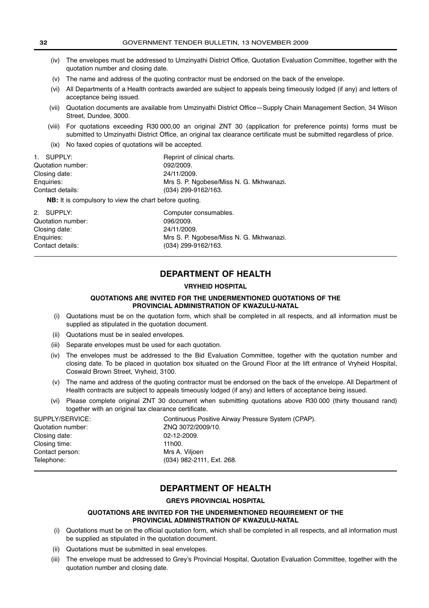(iv) The envelopes must be addressed to Umzinyathi District Office, Quotation Evaluation Committee, together with the quotation number and closing date. (v) The name and address of the quoting contractor must be endorsed on the back of the envelope. (vi) All Departments of a Health contracts awarded are subject to appeals being timeously lodged (if any) and letters of acceptance being issued. (vii) Quotation documents are available from Umzinyathi District Office—Supply Chain Management Section, 34 Wilson Street, Dundee, 3000. (viii) For quotations exceeding R30 000,00 an original ZNT 30 (application for preference points) forms must be submitted to Umzinyathi District Office, an original tax clearance certificate must be submitted regardless of price. (ix) No faxed copies of quotations will be accepted. 1. SUPPLY: Reprint of clinical charts.

| Quotation number:                                             | 092/2009.                               |
|---------------------------------------------------------------|-----------------------------------------|
| Closing date:                                                 | 24/11/2009.                             |
| Enguiries:                                                    | Mrs S. P. Ngobese/Miss N. G. Mkhwanazi. |
| Contact details:                                              | (034) 299-9162/163.                     |
| <b>NB:</b> It is compulsory to view the chart before quoting. |                                         |

| 2. SUPPLY:        | Computer consumables.                   |
|-------------------|-----------------------------------------|
| Quotation number: | 096/2009.                               |
| Closing date:     | 24/11/2009.                             |
| Enguiries:        | Mrs S. P. Ngobese/Miss N. G. Mkhwanazi. |
| Contact details:  | (034) 299-9162/163.                     |

# **DEPARTMENT OF HEALTH**

#### **VRYHEID HOSPITAL**

#### **QUOTATIONS ARE INVITED FOR THE UNDERMENTIONED QUOTATIONS OF THE PROVINCIAL ADMINISTRATION OF KWAZULU-NATAL**

- (i) Quotations must be on the quotation form, which shall be completed in all respects, and all information must be supplied as stipulated in the quotation document.
- (ii) Quotations must be in sealed envelopes.
- (iii) Separate envelopes must be used for each quotation.
- (iv) The envelopes must be addressed to the Bid Evaluation Committee, together with the quotation number and closing date. To be placed in quotation box situated on the Ground Floor at the lift entrance of Vryheid Hospital, Coswald Brown Street, Vryheid, 3100.
- (v) The name and address of the quoting contractor must be endorsed on the back of the envelope. All Department of Health contracts are subject to appeals timeously lodged (if any) and letters of acceptance being issued.
- (vi) Please complete original ZNT 30 document when submitting quotations above R30 000 (thirty thousand rand) together with an original tax clearance certificate.

| SUPPLY/SERVICE:   | Continuous Positive Airway Pressure System (CPAP). |
|-------------------|----------------------------------------------------|
| Quotation number: | ZNQ 3072/2009/10.                                  |
| Closing date:     | $02 - 12 - 2009.$                                  |
| Closing time:     | 11h00.                                             |
| Contact person:   | Mrs A. Vilioen                                     |
| Telephone:        | (034) 982-2111, Ext. 268.                          |
|                   |                                                    |

# **DEPARTMENT OF HEALTH**

#### **GREYS PROVINCIAL HOSPITAL**

#### **QUOTATIONS ARE INVITED FOR THE UNDERMENTIONED REQUIREMENT OF THE PROVINCIAL ADMINISTRATION OF KWAZULU-NATAL**

- (i) Quotations must be on the official quotation form, which shall be completed in all respects, and all information must be supplied as stipulated in the quotation document.
- (ii) Quotations must be submitted in seal envelopes.
- (iii) The envelope must be addressed to Grey's Provincial Hospital, Quotation Evaluation Committee, together with the quotation number and closing date.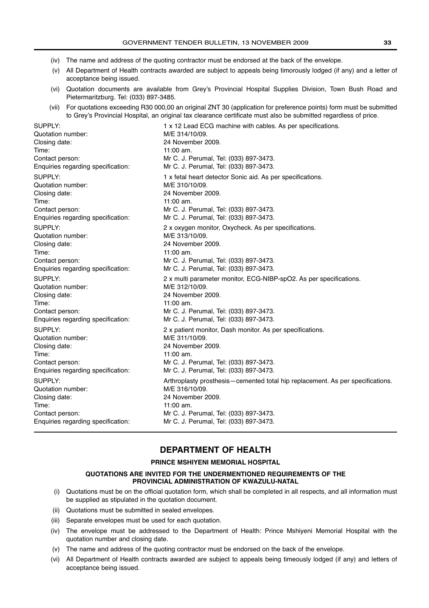- (iv) The name and address of the quoting contractor must be endorsed at the back of the envelope.
- (v) All Department of Health contracts awarded are subject to appeals being timorously lodged (if any) and a letter of acceptance being issued.
- (vi) Quotation documents are available from Grey's Provincial Hospital Supplies Division, Town Bush Road and Pietermaritzburg. Tel: (033) 897-3485.
- (vii) For quotations exceeding R30 000,00 an original ZNT 30 (application for preference points) form must be submitted to Grey's Provincial Hospital, an original tax clearance certificate must also be submitted regardless of price.

Quotation number: M/E 314/10/09. Closing date: 24 November 2009. Time: 11:00 am. Quotation number: M/E 310/10/09.<br>Closing date: 24 November 2 Time: 11:00 am. Quotation number: M/E 313/10/09. Closing date: 24 November 2009. Time: 11:00 am Quotation number: M/E 312/10/09. Closing date: 24 November 2009. Time: 11:00 am. Quotation number: M/E 311/10/09. Closing date: 24 November 2009. Time: 11:00 am. Quotation number: M/E 316/10/09. Closing date: 24 November 2009. Time: 11:00 am.

# SUPPLY: 1 x 12 Lead ECG machine with cables. As per specifications. Contact person: Mr C. J. Perumal, Tel: (033) 897-3473. Enquiries regarding specification: Mr C. J. Perumal, Tel: (033) 897-3473. SUPPLY: 1 x fetal heart detector Sonic aid. As per specifications. 24 November 2009. Contact person: Mr C. J. Perumal, Tel: (033) 897-3473. Enquiries regarding specification: Mr C. J. Perumal, Tel: (033) 897-3473. SUPPLY: 2 x oxygen monitor, Oxycheck. As per specifications. Contact person: Mr C. J. Perumal, Tel: (033) 897-3473. Enquiries regarding specification: Mr C. J. Perumal, Tel: (033) 897-3473. SUPPLY: 2 x multi parameter monitor, ECG-NIBP-spO2. As per specifications. Contact person: Mr C. J. Perumal, Tel: (033) 897-3473.<br>Enquiries regarding specification: Mr C. J. Perumal, Tel: (033) 897-3473. Mr C. J. Perumal, Tel: (033) 897-3473. SUPPLY: 2 x patient monitor, Dash monitor. As per specifications. Contact person: Mr C. J. Perumal, Tel: (033) 897-3473. Enquiries regarding specification: Mr C. J. Perumal, Tel: (033) 897-3473. SUPPLY: Arthroplasty prosthesis—cemented total hip replacement. As per specifications. Contact person: Mr C. J. Perumal, Tel: (033) 897-3473. Enquiries regarding specification: Mr C. J. Perumal, Tel: (033) 897-3473.

# **DEPARTMENT OF HEALTH**

#### **PRINCE MSHIYENI MEMORIAL HOSPITAL**

#### **QUOTATIONS ARE INVITED FOR THE UNDERMENTIONED REQUIREMENTS OF THE PROVINCIAL ADMINISTRATION OF KWAZULU-NATAL**

- (i) Quotations must be on the official quotation form, which shall be completed in all respects, and all information must be supplied as stipulated in the quotation document.
- (ii) Quotations must be submitted in sealed envelopes.
- (iii) Separate envelopes must be used for each quotation.
- (iv) The envelope must be addressed to the Department of Health: Prince Mshiyeni Memorial Hospital with the quotation number and closing date.
- (v) The name and address of the quoting contractor must be endorsed on the back of the envelope.
- (vi) All Department of Health contracts awarded are subject to appeals being timeously lodged (if any) and letters of acceptance being issued.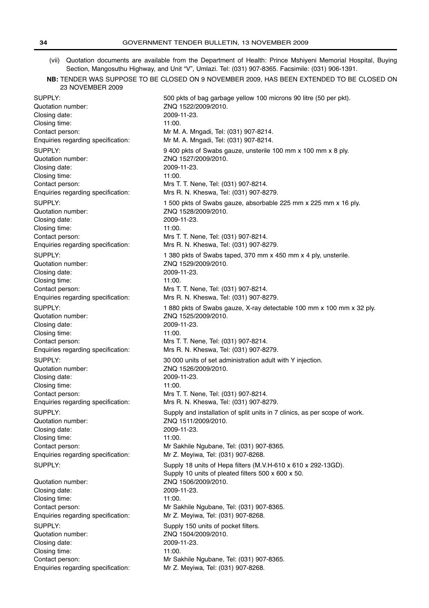- (vii) Quotation documents are available from the Department of Health: Prince Mshiyeni Memorial Hospital, Buying Section, Mangosuthu Highway, and Unit "V", Umlazi. Tel: (031) 907-8365. Facsimile: (031) 906-1391.
- **NB:** TENDER WAS SUPPOSE TO BE CLOSED ON 9 NOVEMBER 2009, HAS BEEN EXTENDED TO BE CLOSED ON 23 NOVEMBER 2009

Quotation number: ZNQ 1522/2009/2010. Closing date: 2009-11-23. Closing time: 11:00. Quotation number: <br>Closing date: <br>2009-11-23. Closing date: Closing time: 11:00. Quotation number: ZNQ 1528/2009/2010. Closing date: 2009-11-23. Closing time: 11:00. Quotation number: ZNQ 1529/2009/2010. Closing date: 2009-11-23. Closing time: 11:00. Quotation number: ZNQ 1525/2009/2010. Closing date: 2009-11-23. Closing time: 11:00. Quotation number: ZNQ 1526/2009/2010. Closing date: 2009-11-23. Closing time: 11:00. Quotation number: ZNQ 1511/2009/2010. Closing date: 2009-11-23. Closing time: 11:00. Quotation number: ZNQ 1506/2009/2010.

Closing date: 2009-11-23. Closing time: 11:00. Quotation number: ZNQ 1504/2009/2010. Closing date: 2009-11-23. Closing time: 11:00. Enquiries regarding specification: Mr Z. Meyiwa, Tel: (031) 907-8268.

SUPPLY: 500 pkts of bag garbage yellow 100 microns 90 litre (50 per pkt). Contact person: Mr M. A. Mngadi, Tel: (031) 907-8214. Enquiries regarding specification: Mr M. A. Mngadi, Tel: (031) 907-8214. SUPPLY: 9 400 pkts of Swabs gauze, unsterile 100 mm x 100 mm x 8 ply. Contact person: Mrs T. T. Nene, Tel: (031) 907-8214. Enquiries regarding specification: Mrs R. N. Kheswa, Tel: (031) 907-8279. SUPPLY: 1 500 pkts of Swabs gauze, absorbable 225 mm x 225 mm x 16 ply. Contact person: Mrs T. T. Nene, Tel: (031) 907-8214. Enquiries regarding specification: Mrs R. N. Kheswa, Tel: (031) 907-8279. SUPPLY: 1 380 pkts of Swabs taped, 370 mm x 450 mm x 4 ply, unsterile. Contact person: Mrs T. T. Nene, Tel: (031) 907-8214. Enquiries regarding specification: Mrs R. N. Kheswa, Tel: (031) 907-8279. SUPPLY: 1 880 pkts of Swabs gauze, X-ray detectable 100 mm x 100 mm x 32 ply. Contact person: Mrs T. T. Nene, Tel: (031) 907-8214. Enquiries regarding specification: Mrs R. N. Kheswa, Tel: (031) 907-8279. SUPPLY: 30 000 units of set administration adult with Y injection. Contact person: Mrs T. T. Nene, Tel: (031) 907-8214. Enquiries regarding specification: Mrs R. N. Kheswa, Tel: (031) 907-8279. SUPPLY: Supply and installation of split units in 7 clinics, as per scope of work. Contact person: Mr Sakhile Ngubane, Tel: (031) 907-8365. Enquiries regarding specification: Mr Z. Meyiwa, Tel: (031) 907-8268. SUPPLY: Supply 18 units of Hepa filters (M.V.H-610 x 610 x 292-13GD). Supply 10 units of pleated filters 500 x 600 x 50. Contact person: Mr Sakhile Ngubane, Tel: (031) 907-8365. Enquiries regarding specification: Mr Z. Meyiwa, Tel: (031) 907-8268. SUPPLY: SUPPLY: Contact person: Mr Sakhile Ngubane, Tel: (031) 907-8365.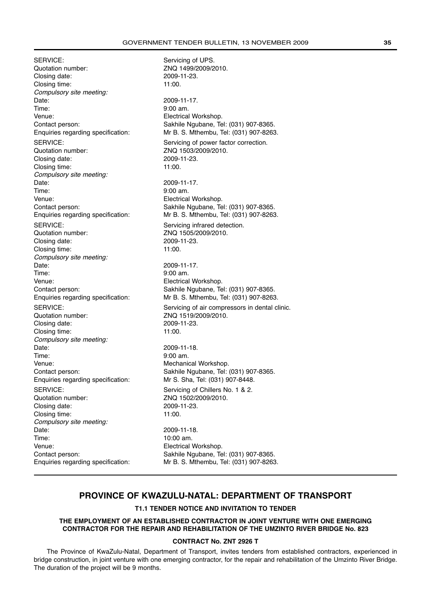SERVICE: SERVICE: Quotation number: <br>Closing date: 2009-11-23. Closing date: Closing time: 11:00. Compulsory site meeting: Date: 2009-11-17. Time: 9:00 am.<br>
Venue: Secretary Secretary Secretary Plectrical Venue:<br>
Contact person:<br>
Contact person:<br>
Contact person:<br>
Contact person:<br>
Contact person:<br>
Contact person:<br>
Contact person:<br>
Contact person: Quotation number: <br>
Closing date: 2009-11-23 Closing date: Closing time: 11:00. Compulsory site meeting: Date: 2009-11-17. Time: 9:00 am. Venue: Electrical Workshop. SERVICE: SERVICE: Quotation number: ZNQ 1505/2009/2010. Closing date: 2009-11-23. Closing time: 11:00. Compulsory site meeting: Date: 2009-11-17. Time: 9:00 am. Venue: Electrical Workshop. Quotation number: ZNQ 1519/2009/2010. Closing date: 2009-11-23. Closing time: 11:00. Compulsory site meeting: Date: 2009-11-18. Time: 9:00 am. Venue: Venue: Mechanical Workshop. Enquiries regarding specification: Mr S. Sha, Tel: (031) 907-8448. SERVICE: SERVICE: Servicing of Chillers No. 1 & 2. Quotation number: <br>
Closing date: 2009-11-23. Closing date: Closing time: 11:00. Compulsory site meeting: Date: 2009-11-18.<br>Time: 10:00 am. Venue: Electrical Workshop. Enquiries regarding specification: Mr B. S. Mthembu, Tel: (031) 907-8263.

# Contact person: Sakhile Ngubane, Tel: (031) 907-8365.<br>Enquiries regarding specification: Mr B. S. Mthembu, Tel: (031) 907-8263 Mr B. S. Mthembu, Tel: (031) 907-8263. SERVICE: SERVICE: SERVICE: Contact person: Sakhile Ngubane, Tel: (031) 907-8365. Enquiries regarding specification: Mr B. S. Mthembu, Tel: (031) 907-8263. Contact person: Sakhile Ngubane, Tel: (031) 907-8365.<br>Enquiries regarding specification: Mr B. S. Mthembu, Tel: (031) 907-8263 Mr B. S. Mthembu, Tel: (031) 907-8263. SERVICE: SERVICE: SERVICE: SERVICE: SERVICE: Contact person: Sakhile Ngubane, Tel: (031) 907-8365. 10:00 am. Contact person: Sakhile Ngubane, Tel: (031) 907-8365.

# **PROVINCE OF KWAZULU-NATAL: DEPARTMENT OF TRANSPORT**

#### **T1.1 TENDER NOTICE AND INVITATION TO TENDER**

#### **THE EMPLOYMENT OF AN ESTABLISHED CONTRACTOR IN JOINT VENTURE WITH ONE EMERGING CONTRACTOR FOR THE REPAIR AND REHABILITATION OF THE UMZINTO RIVER BRIDGE No. 823**

#### **CONTRACT No. ZNT 2926 T**

The Province of KwaZulu-Natal, Department of Transport, invites tenders from established contractors, experienced in bridge construction, in joint venture with one emerging contractor, for the repair and rehabilitation of the Umzinto River Bridge. The duration of the project will be 9 months.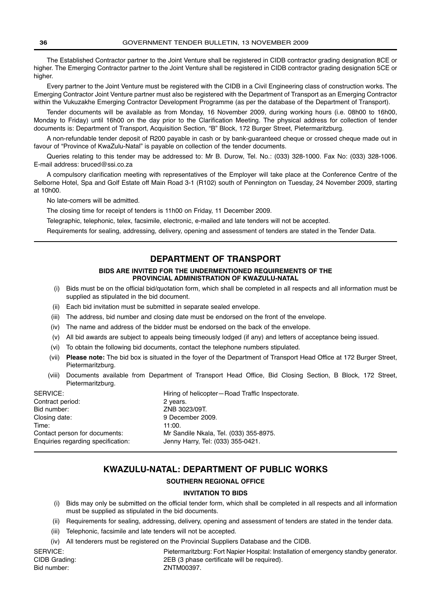The Established Contractor partner to the Joint Venture shall be registered in CIDB contractor grading designation 8CE or higher. The Emerging Contractor partner to the Joint Venture shall be registered in CIDB contractor grading designation 5CE or higher.

Every partner to the Joint Venture must be registered with the CIDB in a Civil Engineering class of construction works. The Emerging Contractor Joint Venture partner must also be registered with the Department of Transport as an Emerging Contractor within the Vukuzakhe Emerging Contractor Development Programme (as per the database of the Department of Transport).

Tender documents will be available as from Monday, 16 November 2009, during working hours (i.e. 08h00 to 16h00, Monday to Friday) until 16h00 on the day prior to the Clarification Meeting. The physical address for collection of tender documents is: Department of Transport, Acquisition Section, "B" Block, 172 Burger Street, Pietermaritzburg.

A non-refundable tender deposit of R200 payable in cash or by bank-guaranteed cheque or crossed cheque made out in favour of "Province of KwaZulu-Natal" is payable on collection of the tender documents.

Queries relating to this tender may be addressed to: Mr B. Durow, Tel. No.: (033) 328-1000. Fax No: (033) 328-1006. E-mail address: bruced@ssi.co.za

A compulsory clarification meeting with representatives of the Employer will take place at the Conference Centre of the Selborne Hotel, Spa and Golf Estate off Main Road 3-1 (R102) south of Pennington on Tuesday, 24 November 2009, starting at 10h00.

No late-comers will be admitted.

The closing time for receipt of tenders is 11h00 on Friday, 11 December 2009.

Telegraphic, telephonic, telex, facsimile, electronic, e-mailed and late tenders will not be accepted.

Requirements for sealing, addressing, delivery, opening and assessment of tenders are stated in the Tender Data.

# **DEPARTMENT OF TRANSPORT**

#### **BIDS ARE INVITED FOR THE UNDERMENTIONED REQUIREMENTS OF THE PROVINCIAL ADMINISTRATION OF KWAZULU-NATAL**

- (i) Bids must be on the official bid/quotation form, which shall be completed in all respects and all information must be supplied as stipulated in the bid document.
- (ii) Each bid invitation must be submitted in separate sealed envelope.
- (iii) The address, bid number and closing date must be endorsed on the front of the envelope.
- (iv) The name and address of the bidder must be endorsed on the back of the envelope.
- (v) All bid awards are subject to appeals being timeously lodged (if any) and letters of acceptance being issued.
- (vi) To obtain the following bid documents, contact the telephone numbers stipulated.
- (vii) **Please note:** The bid box is situated in the foyer of the Department of Transport Head Office at 172 Burger Street, Pietermaritzburg.
- (viii) Documents available from Department of Transport Head Office, Bid Closing Section, B Block, 172 Street, Pietermaritzburg.

| SERVICE:                           | Hiring of helicopter-Road Traffic Inspectorate. |
|------------------------------------|-------------------------------------------------|
| Contract period:                   | 2 years.                                        |
| Bid number:                        | ZNB 3023/09T.                                   |
| Closing date:                      | 9 December 2009.                                |
| Time:                              | 11:00.                                          |
| Contact person for documents:      | Mr Sandile Nkala, Tel. (033) 355-8975.          |
| Enquiries regarding specification: | Jenny Harry, Tel: (033) 355-0421.               |
|                                    |                                                 |

# **KWAZULU-NATAL: DEPARTMENT OF PUBLIC WORKS**

#### **SOUTHERN REGIONAL OFFICE**

#### **INVITATION TO BIDS**

- (i) Bids may only be submitted on the official tender form, which shall be completed in all respects and all information must be supplied as stipulated in the bid documents.
- (ii) Requirements for sealing, addressing, delivery, opening and assessment of tenders are stated in the tender data.
- (iii) Telephonic, facsimile and late tenders will not be accepted.
- (iv) All tenderers must be registered on the Provincial Suppliers Database and the CIDB.

Bid number: ZNTM00397.

SERVICE: **Pietermaritzburg: Fort Napier Hospital: Installation of emergency standby generator.** CIDB Grading: 2EB (3 phase certificate will be required).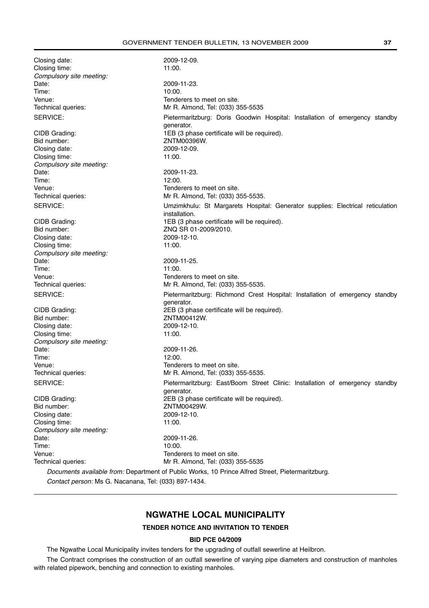Closing date: 2009-12-09. Closing time: 11:00. Compulsory site meeting:<br>Date: 2009-11-23. Time: 10:00. Venue: Tenderers to meet on site. Technical queries: Mr R. Almond, Tel: (033) 355-5535 SERVICE: **Pietermaritzburg: Doris Goodwin Hospital: Installation of emergency standby** generator. CIDB Grading: 1EB (3 phase certificate will be required). Bid number: <br>Closing date: <br>2009-12-09 Closing date: Closing time: 11:00. Compulsory site meeting: Date: 2009-11-23. Time: 12:00. Venue: Tenderers to meet on site. Technical queries: Mr R. Almond, Tel: (033) 355-5535. SERVICE: Umzimkhulu: St Margarets Hospital: Generator supplies: Electrical reticulation installation. CIDB Grading: 1EB (3 phase certificate will be required). Bid number: ZNQ SR 01-2009/2010. Closing date: 2009-12-10. Closing time: 11:00. Compulsory site meeting: Date: 2009-11-25. Time: 11:00. Venue: Tenderers to meet on site. Technical queries: Mr R. Almond, Tel: (033) 355-5535. SERVICE: Pietermaritzburg: Richmond Crest Hospital: Installation of emergency standby generator. CIDB Grading: 2EB (3 phase certificate will be required). Bid number:  $ZNTM00412W$ . Closing date: 2009-12-10. Closing time: 11:00. Compulsory site meeting: Date: 2009-11-26. Time: 12:00. Venue: Tenderers to meet on site. Technical queries: Mr R. Almond, Tel: (033) 355-5535. SERVICE: Pietermaritzburg: East/Boom Street Clinic: Installation of emergency standby generator. CIDB Grading: 2EB (3 phase certificate will be required). Bid number: ZNTM00429W. Closing date: 2009-12-10.<br>Closing time: 2009-12-10. Closing time: Compulsory site meeting:<br>Date: 2009-11-26. Time: 10:00. Venue: Tenderers to meet on site. Technical queries: Mr R. Almond, Tel: (033) 355-5535 Documents available from: Department of Public Works, 10 Prince Alfred Street, Pietermaritzburg. Contact person: Ms G. Nacanana, Tel: (033) 897-1434.

# **NGWATHE LOCAL MUNICIPALITY**

# **TENDER NOTICE AND INVITATION TO TENDER**

#### **BID PCE 04/2009**

The Ngwathe Local Municipality invites tenders for the upgrading of outfall sewerline at Heilbron.

The Contract comprises the construction of an outfall sewerline of varying pipe diameters and construction of manholes with related pipework, benching and connection to existing manholes.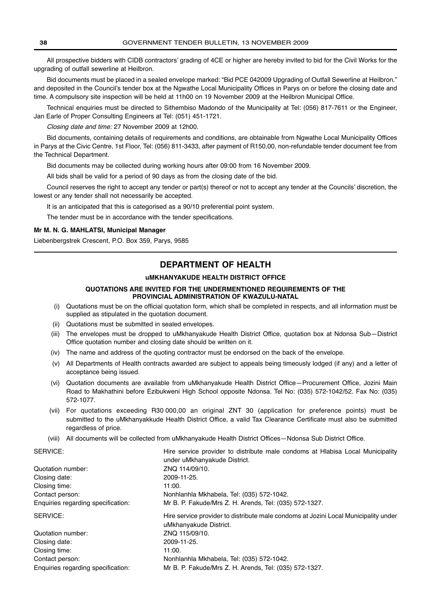All prospective bidders with CIDB contractors' grading of 4CE or higher are hereby invited to bid for the Civil Works for the upgrading of outfall sewerline at Heilbron.

Bid documents must be placed in a sealed envelope marked: "Bid PCE 042009 Upgrading of Outfall Sewerline at Heilbron." and deposited in the Council's tender box at the Ngwathe Local Municipality Offices in Parys on or before the closing date and time. A compulsory site inspection will be held at 11h00 on 19 November 2009 at the Heilbron Municipal Office.

Technical enquiries must be directed to Sithembiso Madondo of the Municipality at Tel: (056) 817-7611 or the Engineer, Jan Earle of Proper Consulting Engineers at Tel: (051) 451-1721.

Closing date and time: 27 November 2009 at 12h00.

Bid documents, containing details of requirements and conditions, are obtainable from Ngwathe Local Municipality Offices in Parys at the Civic Centre, 1st Floor, Tel: (056) 811-3433, after payment of R150,00, non-refundable tender document fee from the Technical Department.

Bid documents may be collected during working hours after 09:00 from 16 November 2009.

All bids shall be valid for a period of 90 days as from the closing date of the bid.

Council reserves the right to accept any tender or part(s) thereof or not to accept any tender at the Councils' discretion, the lowest or any tender shall not necessarily be accepted.

It is an anticipated that this is categorised as a 90/10 preferential point system.

The tender must be in accordance with the tender specifications.

#### **Mr M. N. G. MAHLATSI, Municipal Manager**

Liebenbergstrek Crescent, P.O. Box 359, Parys, 9585

# **DEPARTMENT OF HEALTH**

#### **uMKHANYAKUDE HEALTH DISTRICT OFFICE**

#### **QUOTATIONS ARE INVITED FOR THE UNDERMENTIONED REQUIREMENTS OF THE PROVINCIAL ADMINISTRATION OF KWAZULU-NATAL**

- (i) Quotations must be on the official quotation form, which shall be completed in respects, and all information must be supplied as stipulated in the quotation document.
- (ii) Quotations must be submitted in sealed envelopes.
- (iii) The envelopes must be dropped to uMkhanyakude Health District Office, quotation box at Ndonsa Sub—District Office quotation number and closing date should be written on it.
- (iv) The name and address of the quoting contractor must be endorsed on the back of the envelope.
- (v) All Departments of Health contracts awarded are subject to appeals being timeously lodged (if any) and a letter of acceptance being issued.
- (vi) Quotation documents are available from uMkhanyakude Health District Office—Procurement Office, Jozini Main Road to Makhathini before Ezibukweni High School opposite Ndonsa. Tel No: (035) 572-1042/52. Fax No: (035) 572-1077.
- (vii) For quotations exceeding R30 000,00 an original ZNT 30 (application for preference points) must be submitted to the uMkhanyakkude Health District Office, a valid Tax Clearance Certificate must also be submitted regardless of price.
- (viii) All documents will be collected from uMkhanyakude Health District Offices—Ndonsa Sub District Office.

| SERVICE:                           | Hire service provider to distribute male condoms at Hlabisa Local Municipality<br>under uMkhanyakude District. |
|------------------------------------|----------------------------------------------------------------------------------------------------------------|
| Quotation number:                  | ZNQ 114/09/10.                                                                                                 |
| Closing date:                      | 2009-11-25.                                                                                                    |
| Closing time:                      | 11:00.                                                                                                         |
| Contact person:                    | Nonhlanhla Mkhabela, Tel: (035) 572-1042.                                                                      |
| Enquiries regarding specification: | Mr B. P. Fakude/Mrs Z. H. Arends, Tel: (035) 572-1327.                                                         |
| SERVICE:                           | Hire service provider to distribute male condoms at Jozini Local Municipality under                            |
|                                    | uMkhanyakude District.                                                                                         |
| Quotation number:                  | ZNQ 115/09/10.                                                                                                 |
| Closing date:                      | 2009-11-25.                                                                                                    |
| Closing time:                      | 11:00.                                                                                                         |
| Contact person:                    | Nonhlanhla Mkhabela, Tel: (035) 572-1042.                                                                      |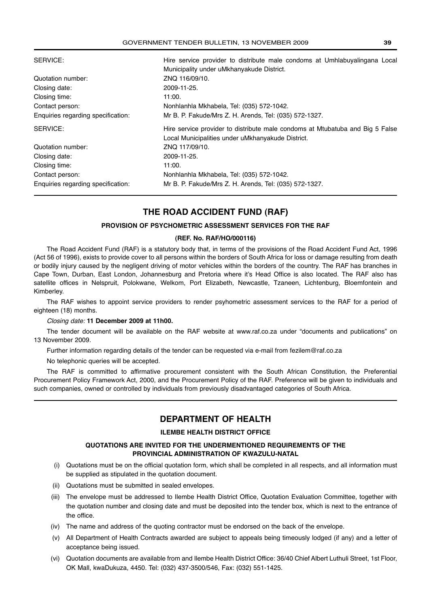| SERVICE:                           | Hire service provider to distribute male condoms at Umhlabuyalingana Local    |
|------------------------------------|-------------------------------------------------------------------------------|
|                                    | Municipality under uMkhanyakude District.                                     |
| Quotation number:                  | ZNQ 116/09/10.                                                                |
| Closing date:                      | 2009-11-25.                                                                   |
| Closing time:                      | 11:00.                                                                        |
| Contact person:                    | Nonhlanhla Mkhabela, Tel: (035) 572-1042.                                     |
| Enquiries regarding specification: | Mr B. P. Fakude/Mrs Z. H. Arends, Tel: (035) 572-1327.                        |
| SERVICE:                           | Hire service provider to distribute male condoms at Mtubatuba and Big 5 False |
|                                    | Local Municipalities under uMkhanyakude District.                             |
| Quotation number:                  | ZNQ 117/09/10.                                                                |
| Closing date:                      | 2009-11-25.                                                                   |
| Closing time:                      | 11:00.                                                                        |
| Contact person:                    | Nonhlanhla Mkhabela, Tel: (035) 572-1042.                                     |
| Enquiries regarding specification: | Mr B. P. Fakude/Mrs Z. H. Arends, Tel: (035) 572-1327.                        |

# **THE ROAD ACCIDENT FUND (RAF)**

# **PROVISION OF PSYCHOMETRIC ASSESSMENT SERVICES FOR THE RAF**

#### **(REF. No. RAF/HO/000116)**

The Road Accident Fund (RAF) is a statutory body that, in terms of the provisions of the Road Accident Fund Act, 1996 (Act 56 of 1996), exists to provide cover to all persons within the borders of South Africa for loss or damage resulting from death or bodily injury caused by the negligent driving of motor vehicles within the borders of the country. The RAF has branches in Cape Town, Durban, East London, Johannesburg and Pretoria where it's Head Office is also located. The RAF also has satellite offices in Nelspruit, Polokwane, Welkom, Port Elizabeth, Newcastle, Tzaneen, Lichtenburg, Bloemfontein and Kimberley.

The RAF wishes to appoint service providers to render psyhometric assessment services to the RAF for a period of eighteen (18) months.

#### Closing date: **11 December 2009 at 11h00.**

The tender document will be available on the RAF website at www.raf.co.za under "documents and publications" on 13 November 2009.

Further information regarding details of the tender can be requested via e-mail from fezilem@raf.co.za

No telephonic queries will be accepted.

The RAF is committed to affirmative procurement consistent with the South African Constitution, the Preferential Procurement Policy Framework Act, 2000, and the Procurement Policy of the RAF. Preference will be given to individuals and such companies, owned or controlled by individuals from previously disadvantaged categories of South Africa.

# **DEPARTMENT OF HEALTH**

#### **ILEMBE HEALTH DISTRICT OFFICE**

#### **QUOTATIONS ARE INVITED FOR THE UNDERMENTIONED REQUIREMENTS OF THE PROVINCIAL ADMINISTRATION OF KWAZULU-NATAL**

- (i) Quotations must be on the official quotation form, which shall be completed in all respects, and all information must be supplied as stipulated in the quotation document.
- (ii) Quotations must be submitted in sealed envelopes.
- (iii) The envelope must be addressed to Ilembe Health District Office, Quotation Evaluation Committee, together with the quotation number and closing date and must be deposited into the tender box, which is next to the entrance of the office.
- (iv) The name and address of the quoting contractor must be endorsed on the back of the envelope.
- (v) All Department of Health Contracts awarded are subject to appeals being timeously lodged (if any) and a letter of acceptance being issued.
- (vi) Quotation documents are available from and Ilembe Health District Office: 36/40 Chief Albert Luthuli Street, 1st Floor, OK Mall, kwaDukuza, 4450. Tel: (032) 437-3500/546, Fax: (032) 551-1425.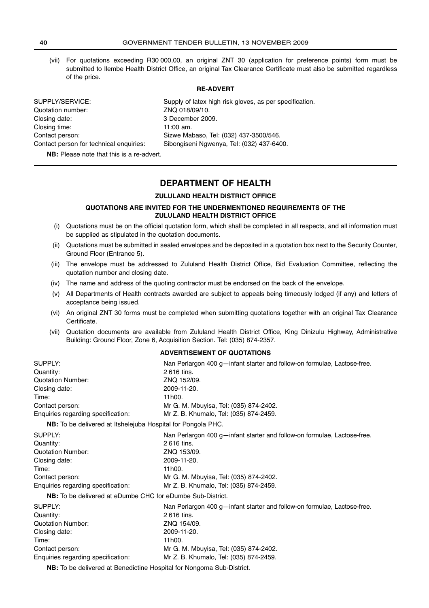(vii) For quotations exceeding R30 000,00, an original ZNT 30 (application for preference points) form must be submitted to Ilembe Health District Office, an original Tax Clearance Certificate must also be submitted regardless of the price.

#### **RE-ADVERT**

| SUPPLY/SERVICE:                         | Supply of latex high risk gloves, as per specification. |
|-----------------------------------------|---------------------------------------------------------|
| Quotation number:                       | ZNQ 018/09/10.                                          |
| Closing date:                           | 3 December 2009.                                        |
| Closing time:                           | $11:00$ am.                                             |
| Contact person:                         | Sizwe Mabaso, Tel: (032) 437-3500/546.                  |
| Contact person for technical enquiries: | Sibongiseni Ngwenya, Tel: (032) 437-6400.               |

**NB:** Please note that this is a re-advert.

# **DEPARTMENT OF HEALTH**

#### **ZULULAND HEALTH DISTRICT OFFICE**

#### **QUOTATIONS ARE INVITED FOR THE UNDERMENTIONED REQUIREMENTS OF THE ZULULAND HEALTH DISTRICT OFFICE**

- (i) Quotations must be on the official quotation form, which shall be completed in all respects, and all information must be supplied as stipulated in the quotation documents.
- (ii) Quotations must be submitted in sealed envelopes and be deposited in a quotation box next to the Security Counter, Ground Floor (Entrance 5).
- (iii) The envelope must be addressed to Zululand Health District Office, Bid Evaluation Committee, reflecting the quotation number and closing date.
- (iv) The name and address of the quoting contractor must be endorsed on the back of the envelope.
- (v) All Departments of Health contracts awarded are subject to appeals being timeously lodged (if any) and letters of acceptance being issued.
- (vi) An original ZNT 30 forms must be completed when submitting quotations together with an original Tax Clearance Certificate.
- (vii) Quotation documents are available from Zululand Health District Office, King Dinizulu Highway, Administrative Building: Ground Floor, Zone 6, Acquisition Section. Tel: (035) 874-2357.

#### **ADVERTISEMENT OF QUOTATIONS**

| SUPPLY:                                                             | Nan Perlargon 400 g—infant starter and follow-on formulae, Lactose-free. |
|---------------------------------------------------------------------|--------------------------------------------------------------------------|
| Quantity:                                                           | 2616 tins.                                                               |
| <b>Quotation Number:</b>                                            | ZNQ 152/09.                                                              |
| Closing date:                                                       | 2009-11-20.                                                              |
| Time:                                                               | 11h00.                                                                   |
| Contact person:                                                     | Mr G. M. Mbuyisa, Tel: (035) 874-2402.                                   |
| Enquiries regarding specification:                                  | Mr Z. B. Khumalo, Tel: (035) 874-2459.                                   |
| <b>NB:</b> To be delivered at Itshelejuba Hospital for Pongola PHC. |                                                                          |
| SUPPLY:                                                             | Nan Perlargon 400 g—infant starter and follow-on formulae, Lactose-free. |
| Quantity:                                                           | 2616 tins.                                                               |
| <b>Quotation Number:</b>                                            | ZNQ 153/09.                                                              |
| Closing date:                                                       | 2009-11-20.                                                              |
| Time:                                                               | 11h00.                                                                   |
| Contact person:                                                     | Mr G. M. Mbuyisa, Tel: (035) 874-2402.                                   |
| Enquiries regarding specification:                                  | Mr Z. B. Khumalo, Tel: (035) 874-2459.                                   |
| <b>NB:</b> To be delivered at eDumbe CHC for eDumbe Sub-District.   |                                                                          |
| SUPPLY:                                                             | Nan Perlargon 400 g-infant starter and follow-on formulae, Lactose-free. |
| Quantity:                                                           | 2616 tins.                                                               |
| <b>Quotation Number:</b>                                            | ZNQ 154/09.                                                              |
| Closing date:                                                       | 2009-11-20.                                                              |

**NB:** To be delivered at Benedictine Hospital for Nongoma Sub-District.

Contact person: Mr G. M. Mbuyisa, Tel: (035) 874-2402. Enquiries regarding specification: Mr Z. B. Khumalo, Tel: (035) 874-2459.

Time: 11h00.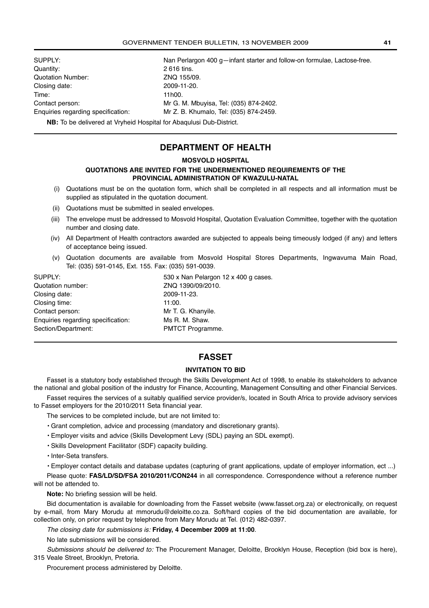| SUPPLY:                            | Nan Perlargon 400 g-infant starter and follow-on formulae, Lactose-free. |
|------------------------------------|--------------------------------------------------------------------------|
| Quantity:                          | 2616 tins.                                                               |
| Quotation Number:                  | ZNQ 155/09.                                                              |
| Closing date:                      | 2009-11-20.                                                              |
| Time:                              | 11h00.                                                                   |
| Contact person:                    | Mr G. M. Mbuyisa, Tel: (035) 874-2402.                                   |
| Enquiries regarding specification: | Mr Z. B. Khumalo, Tel: (035) 874-2459.                                   |
|                                    |                                                                          |

**NB:** To be delivered at Vryheid Hospital for Abaqulusi Dub-District.

# **DEPARTMENT OF HEALTH**

#### **MOSVOLD HOSPITAL**

#### **QUOTATIONS ARE INVITED FOR THE UNDERMENTIONED REQUIREMENTS OF THE PROVINCIAL ADMINISTRATION OF KWAZULU-NATAL**

- (i) Quotations must be on the quotation form, which shall be completed in all respects and all information must be supplied as stipulated in the quotation document.
- (ii) Quotations must be submitted in sealed envelopes.
- (iii) The envelope must be addressed to Mosvold Hospital, Quotation Evaluation Committee, together with the quotation number and closing date.
- (iv) All Department of Health contractors awarded are subjected to appeals being timeously lodged (if any) and letters of acceptance being issued.
- (v) Quotation documents are available from Mosvold Hospital Stores Departments, Ingwavuma Main Road, Tel: (035) 591-0145, Ext. 155. Fax: (035) 591-0039.

| SUPPLY:                            | 530 x Nan Pelargon 12 x 400 g cases. |
|------------------------------------|--------------------------------------|
| Quotation number:                  | ZNQ 1390/09/2010.                    |
| Closing date:                      | 2009-11-23.                          |
| Closing time:                      | 11:00.                               |
| Contact person:                    | Mr T. G. Khanyile.                   |
| Enquiries regarding specification: | Ms R. M. Shaw.                       |
| Section/Department:                | PMTCT Programme.                     |

# **FASSET**

#### **INVITATION TO BID**

Fasset is a statutory body established through the Skills Development Act of 1998, to enable its stakeholders to advance the national and global position of the industry for Finance, Accounting, Management Consulting and other Financial Services.

Fasset requires the services of a suitably qualified service provider/s, located in South Africa to provide advisory services to Fasset employers for the 2010/2011 Seta financial year.

- The services to be completed include, but are not limited to:
- Grant completion, advice and processing (mandatory and discretionary grants).
- Employer visits and advice (Skills Development Levy (SDL) paying an SDL exempt).
- Skills Development Facilitator (SDF) capacity building.
- Inter-Seta transfers.

• Employer contact details and database updates (capturing of grant applications, update of employer information, ect ...) Please quote: **FAS/LD/SD/FSA 2010/2011/CON244** in all correspondence. Correspondence without a reference number

will not be attended to.

**Note:** No briefing session will be held.

Bid documentation is available for downloading from the Fasset website (www.fasset.org.za) or electronically, on request by e-mail, from Mary Morudu at mmorudu@deloitte.co.za. Soft/hard copies of the bid documentation are available, for collection only, on prior request by telephone from Mary Morudu at Tel. (012) 482-0397.

The closing date for submissions is: **Friday, 4 December 2009 at 11:00**.

No late submissions will be considered.

Submissions should be delivered to: The Procurement Manager, Deloitte, Brooklyn House, Reception (bid box is here), 315 Veale Street, Brooklyn, Pretoria.

Procurement process administered by Deloitte.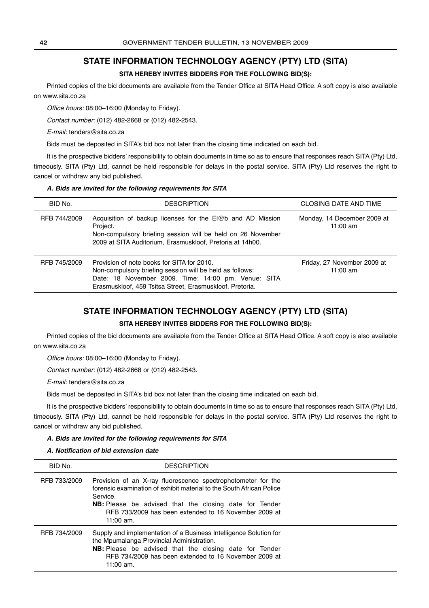# **STATE INFORMATION TECHNOLOGY AGENCY (PTY) LTD (SITA)**

#### **SITA HEREBY INVITES BIDDERS FOR THE FOLLOWING BID(S):**

Printed copies of the bid documents are available from the Tender Office at SITA Head Office. A soft copy is also available on www.sita.co.za

Office hours: 08:00–16:00 (Monday to Friday).

Contact number: (012) 482-2668 or (012) 482-2543.

E-mail: tenders@sita.co.za

Bids must be deposited in SITA's bid box not later than the closing time indicated on each bid.

It is the prospective bidders' responsibility to obtain documents in time so as to ensure that responses reach SITA (Pty) Ltd, timeously. SITA (Pty) Ltd, cannot be held responsible for delays in the postal service. SITA (Pty) Ltd reserves the right to cancel or withdraw any bid published.

#### **A. Bids are invited for the following requirements for SITA**

| BID No.      | <b>DESCRIPTION</b>                                                                                                                                                                                                        | <b>CLOSING DATE AND TIME</b>              |
|--------------|---------------------------------------------------------------------------------------------------------------------------------------------------------------------------------------------------------------------------|-------------------------------------------|
| RFB 744/2009 | Acquisition of backup licenses for the El@b and AD Mission<br>Project.<br>Non-compulsory briefing session will be held on 26 November<br>2009 at SITA Auditorium, Erasmuskloof, Pretoria at 14h00.                        | Monday, 14 December 2009 at<br>11:00 $am$ |
| RFB 745/2009 | Provision of note books for SITA for 2010.<br>Non-compulsory briefing session will be held as follows:<br>Date: 18 November 2009. Time: 14:00 pm. Venue: SITA<br>Erasmuskloof, 459 Tsitsa Street, Erasmuskloof, Pretoria. | Friday, 27 November 2009 at<br>11:00 $am$ |

# **STATE INFORMATION TECHNOLOGY AGENCY (PTY) LTD (SITA)**

#### **SITA HEREBY INVITES BIDDERS FOR THE FOLLOWING BID(S):**

Printed copies of the bid documents are available from the Tender Office at SITA Head Office. A soft copy is also available on www.sita.co.za

Office hours: 08:00–16:00 (Monday to Friday).

Contact number: (012) 482-2668 or (012) 482-2543.

E-mail: tenders@sita.co.za

Bids must be deposited in SITA's bid box not later than the closing time indicated on each bid.

It is the prospective bidders' responsibility to obtain documents in time so as to ensure that responses reach SITA (Pty) Ltd, timeously. SITA (Pty) Ltd, cannot be held responsible for delays in the postal service. SITA (Pty) Ltd reserves the right to cancel or withdraw any bid published.

#### **A. Bids are invited for the following requirements for SITA**

#### **A. Notification of bid extension date**

| BID No.      | <b>DESCRIPTION</b>                                                                                                                                                                                                                                                                        |  |
|--------------|-------------------------------------------------------------------------------------------------------------------------------------------------------------------------------------------------------------------------------------------------------------------------------------------|--|
| RFB 733/2009 | Provision of an X-ray fluorescence spectrophotometer for the<br>forensic examination of exhibit material to the South African Police<br>Service.<br><b>NB:</b> Please be advised that the closing date for Tender<br>RFB 733/2009 has been extended to 16 November 2009 at<br>$11:00$ am. |  |
| RFB 734/2009 | Supply and implementation of a Business Intelligence Solution for<br>the Mpumalanga Provincial Administration.<br><b>NB:</b> Please be advised that the closing date for Tender<br>RFB 734/2009 has been extended to 16 November 2009 at<br>$11:00$ am.                                   |  |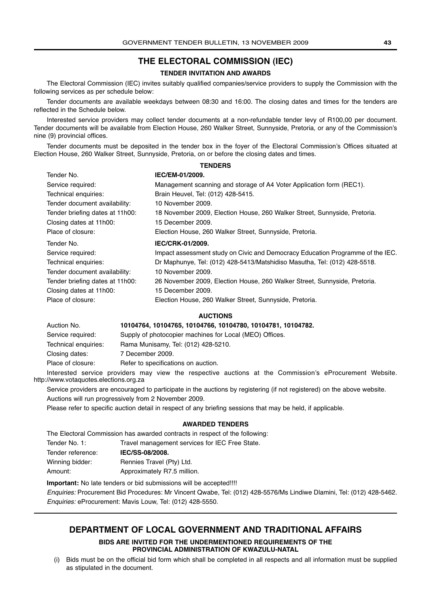# **THE ELECTORAL COMMISSION (IEC)**

#### **TENDER INVITATION AND AWARDS**

The Electoral Commission (IEC) invites suitably qualified companies/service providers to supply the Commission with the following services as per schedule below:

Tender documents are available weekdays between 08:30 and 16:00. The closing dates and times for the tenders are reflected in the Schedule below.

Interested service providers may collect tender documents at a non-refundable tender levy of R100,00 per document. Tender documents will be available from Election House, 260 Walker Street, Sunnyside, Pretoria, or any of the Commission's nine (9) provincial offices.

Tender documents must be deposited in the tender box in the foyer of the Electoral Commission's Offices situated at Election House, 260 Walker Street, Sunnyside, Pretoria, on or before the closing dates and times. **TENDERS**

| Tender No.                      | IEC/EM-01/2009.                                                                |
|---------------------------------|--------------------------------------------------------------------------------|
| Service required:               | Management scanning and storage of A4 Voter Application form (REC1).           |
| Technical enquiries:            | Brain Heuvel, Tel: (012) 428-5415.                                             |
| Tender document availability:   | 10 November 2009.                                                              |
| Tender briefing dates at 11h00: | 18 November 2009, Election House, 260 Walker Street, Sunnyside, Pretoria.      |
| Closing dates at 11h00:         | 15 December 2009.                                                              |
| Place of closure:               | Election House, 260 Walker Street, Sunnyside, Pretoria.                        |
|                                 |                                                                                |
| Tender No.                      | IEC/CRK-01/2009.                                                               |
| Service required:               | Impact assessment study on Civic and Democracy Education Programme of the IEC. |
| Technical enquiries:            | Dr Maphunye, Tel: (012) 428-5413/Matshidiso Masutha, Tel: (012) 428-5518.      |
| Tender document availability:   | 10 November 2009.                                                              |
| Tender briefing dates at 11h00: | 26 November 2009, Election House, 260 Walker Street, Sunnyside, Pretoria.      |
| Closing dates at 11h00:         | 15 December 2009.                                                              |
| Place of closure:               | Election House, 260 Walker Street, Sunnyside, Pretoria.                        |

#### **AUCTIONS**

| Auction No.          | 10104764, 10104765, 10104766, 10104780, 10104781, 10104782. |
|----------------------|-------------------------------------------------------------|
| Service required:    | Supply of photocopier machines for Local (MEO) Offices.     |
| Technical enquiries: | Rama Munisamy, Tel: (012) 428-5210.                         |
| Closing dates:       | 7 December 2009.                                            |
| Place of closure:    | Refer to specifications on auction.                         |

Interested service providers may view the respective auctions at the Commission's eProcurement Website. http://www.votaquotes.elections.org.za

Service providers are encouraged to participate in the auctions by registering (if not registered) on the above website. Auctions will run progressively from 2 November 2009.

Please refer to specific auction detail in respect of any briefing sessions that may be held, if applicable.

#### **AWARDED TENDERS**

The Electoral Commission has awarded contracts in respect of the following:

| Tender No. 1:     | Travel management services for IEC Free State. |
|-------------------|------------------------------------------------|
| Tender reference: | IEC/SS-08/2008.                                |
| Winning bidder:   | Rennies Travel (Pty) Ltd.                      |
| Amount:           | Approximately R7.5 million.                    |

**Important:** No late tenders or bid submissions will be accepted!!!!

Enquiries: Procurement Bid Procedures: Mr Vincent Qwabe, Tel: (012) 428-5576/Ms Lindiwe Dlamini, Tel: (012) 428-5462. Enquiries: eProcurement: Mavis Louw, Tel: (012) 428-5550.

#### **DEPARTMENT OF LOCAL GOVERNMENT AND TRADITIONAL AFFAIRS**

**BIDS ARE INVITED FOR THE UNDERMENTIONED REQUIREMENTS OF THE PROVINCIAL ADMINISTRATION OF KWAZULU-NATAL**

(i) Bids must be on the official bid form which shall be completed in all respects and all information must be supplied as stipulated in the document.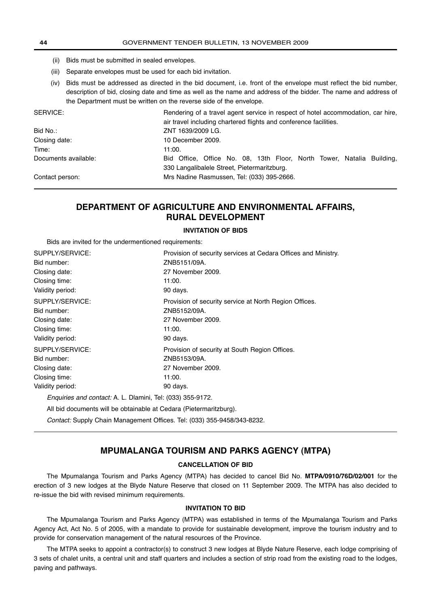- (ii) Bids must be submitted in sealed envelopes.
- (iii) Separate envelopes must be used for each bid invitation.
- (iv) Bids must be addressed as directed in the bid document, i.e. front of the envelope must reflect the bid number, description of bid, closing date and time as well as the name and address of the bidder. The name and address of the Department must be written on the reverse side of the envelope.

| SERVICE:             | Rendering of a travel agent service in respect of hotel accommodation, car hire, |
|----------------------|----------------------------------------------------------------------------------|
|                      | air travel including chartered flights and conference facilities.                |
| Bid No.:             | ZNT 1639/2009 LG.                                                                |
| Closing date:        | 10 December 2009.                                                                |
| Time:                | 11:00.                                                                           |
| Documents available: | Bid Office, Office No. 08, 13th Floor, North Tower, Natalia Building,            |
|                      | 330 Langalibalele Street, Pietermaritzburg.                                      |
| Contact person:      | Mrs Nadine Rasmussen, Tel: (033) 395-2666.                                       |

# **DEPARTMENT OF AGRICULTURE AND ENVIRONMENTAL AFFAIRS, RURAL DEVELOPMENT**

#### **INVITATION OF BIDS**

Bids are invited for the undermentioned requirements:

| SUPPLY/SERVICE:                                            | Provision of security services at Cedara Offices and Ministry. |
|------------------------------------------------------------|----------------------------------------------------------------|
| Bid number:                                                | ZNB5151/09A.                                                   |
| Closing date:                                              | 27 November 2009.                                              |
| Closing time:                                              | 11:00.                                                         |
| Validity period:                                           | 90 days.                                                       |
| SUPPLY/SERVICE:                                            | Provision of security service at North Region Offices.         |
| Bid number:                                                | ZNB5152/09A.                                                   |
| Closing date:                                              | 27 November 2009.                                              |
| Closing time:                                              | 11:00.                                                         |
| Validity period:                                           | 90 days.                                                       |
| SUPPLY/SERVICE:                                            | Provision of security at South Region Offices.                 |
| Bid number:                                                | ZNB5153/09A.                                                   |
| Closing date:                                              | 27 November 2009.                                              |
| Closing time:                                              | 11:00.                                                         |
| Validity period:                                           | 90 days.                                                       |
| Enquiries and contact: A. L. Dlamini, Tel: (033) 355-9172. |                                                                |

All bid documents will be obtainable at Cedara (Pietermaritzburg).

Contact: Supply Chain Management Offices. Tel: (033) 355-9458/343-8232.

# **MPUMALANGA TOURISM AND PARKS AGENCY (MTPA)**

#### **CANCELLATION OF BID**

The Mpumalanga Tourism and Parks Agency (MTPA) has decided to cancel Bid No. **MTPA/0910/76D/02/001** for the erection of 3 new lodges at the Blyde Nature Reserve that closed on 11 September 2009. The MTPA has also decided to re-issue the bid with revised minimum requirements.

#### **INVITATION TO BID**

The Mpumalanga Tourism and Parks Agency (MTPA) was established in terms of the Mpumalanga Tourism and Parks Agency Act, Act No. 5 of 2005, with a mandate to provide for sustainable development, improve the tourism industry and to provide for conservation management of the natural resources of the Province.

The MTPA seeks to appoint a contractor(s) to construct 3 new lodges at Blyde Nature Reserve, each lodge comprising of 3 sets of chalet units, a central unit and staff quarters and includes a section of strip road from the existing road to the lodges, paving and pathways.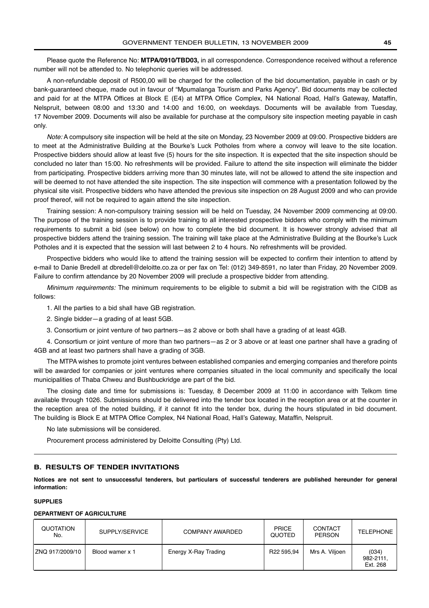<span id="page-44-0"></span>Please quote the Reference No: **MTPA/0910/TBD03,** in all correspondence. Correspondence received without a reference number will not be attended to. No telephonic queries will be addressed.

A non-refundable deposit of R500,00 will be charged for the collection of the bid documentation, payable in cash or by bank-guaranteed cheque, made out in favour of "Mpumalanga Tourism and Parks Agency". Bid documents may be collected and paid for at the MTPA Offices at Block E (E4) at MTPA Office Complex, N4 National Road, Hall's Gateway, Mataffin, Nelspruit, between 08:00 and 13:30 and 14:00 and 16:00, on weekdays. Documents will be available from Tuesday, 17 November 2009. Documents will also be available for purchase at the compulsory site inspection meeting payable in cash only.

Note: A compulsory site inspection will be held at the site on Monday, 23 November 2009 at 09:00. Prospective bidders are to meet at the Administrative Building at the Bourke's Luck Potholes from where a convoy will leave to the site location. Prospective bidders should allow at least five (5) hours for the site inspection. It is expected that the site inspection should be concluded no later than 15:00. No refreshments will be provided. Failure to attend the site inspection will eliminate the bidder from participating. Prospective bidders arriving more than 30 minutes late, will not be allowed to attend the site inspection and will be deemed to not have attended the site inspection. The site inspection will commence with a presentation followed by the physical site visit. Prospective bidders who have attended the previous site inspection on 28 August 2009 and who can provide proof thereof, will not be required to again attend the site inspection.

Training session: A non-compulsory training session will be held on Tuesday, 24 November 2009 commencing at 09:00. The purpose of the training session is to provide training to all interested prospective bidders who comply with the minimum requirements to submit a bid (see below) on how to complete the bid document. It is however strongly advised that all prospective bidders attend the training session. The training will take place at the Administrative Building at the Bourke's Luck Potholes and it is expected that the session will last between 2 to 4 hours. No refreshments will be provided.

Prospective bidders who would like to attend the training session will be expected to confirm their intention to attend by e-mail to Danie Bredell at dbredell@deloitte.co.za or per fax on Tel: (012) 349-8591, no later than Friday, 20 November 2009. Failure to confirm attendance by 20 November 2009 will preclude a prospective bidder from attending.

Minimum requirements: The minimum requirements to be eligible to submit a bid will be registration with the CIDB as follows:

1. All the parties to a bid shall have GB registration.

2. Single bidder—a grading of at least 5GB.

3. Consortium or joint venture of two partners—as 2 above or both shall have a grading of at least 4GB.

4. Consortium or joint venture of more than two partners—as 2 or 3 above or at least one partner shall have a grading of 4GB and at least two partners shall have a grading of 3GB.

The MTPA wishes to promote joint ventures between established companies and emerging companies and therefore points will be awarded for companies or joint ventures where companies situated in the local community and specifically the local municipalities of Thaba Chweu and Bushbuckridge are part of the bid.

The closing date and time for submissions is: Tuesday, 8 December 2009 at 11:00 in accordance with Telkom time available through 1026. Submissions should be delivered into the tender box located in the reception area or at the counter in the reception area of the noted building, if it cannot fit into the tender box, during the hours stipulated in bid document. The building is Block E at MTPA Office Complex, N4 National Road, Hall's Gateway, Mataffin, Nelspruit.

No late submissions will be considered.

Procurement process administered by Deloitte Consulting (Pty) Ltd.

#### **B. RESULTS OF TENDER INVITATIONS**

**Notices are not sent to unsuccessful tenderers, but particulars of successful tenderers are published hereunder for general information:**

#### **SUPPLIES**

#### **DEPARTMENT OF AGRICULTURE**

| QUOTATION<br>No. | SUPPLY/SERVICE  | COMPANY AWARDED      | <b>PRICE</b><br>QUOTED | <b>CONTACT</b><br><b>PERSON</b> | <b>TELEPHONE</b>               |
|------------------|-----------------|----------------------|------------------------|---------------------------------|--------------------------------|
| ZNQ 917/2009/10  | Blood wamer x 1 | Energy X-Ray Trading | R22 595.94             | Mrs A. Viljoen                  | (034)<br>982-2111,<br>Ext. 268 |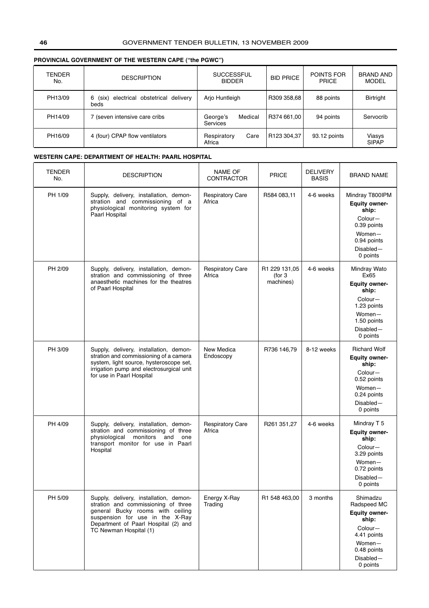# **PROVINCIAL GOVERNMENT OF THE WESTERN CAPE ("the PGWC")**

| <b>TENDER</b><br>No. | <b>DESCRIPTION</b>                                    | <b>SUCCESSFUL</b><br><b>BIDDER</b>     | <b>BID PRICE</b> | POINTS FOR<br><b>PRICE</b> | <b>BRAND AND</b><br><b>MODEL</b> |
|----------------------|-------------------------------------------------------|----------------------------------------|------------------|----------------------------|----------------------------------|
| PH13/09              | electrical obstetrical delivery<br>6<br>(six)<br>beds | Arjo Huntleigh                         | R309 358,68      | 88 points                  | <b>Birtright</b>                 |
| PH14/09              | (seven intensive care cribs                           | Medical<br>George's<br><b>Services</b> | R374 661,00      | 94 points                  | Servocrib                        |
| PH16/09              | 4 (four) CPAP flow ventilators                        | Care<br>Respiratory<br>Africa          | R123 304,37      | 93.12 points               | Viasys<br><b>SIPAP</b>           |

#### **WESTERN CAPE: DEPARTMENT OF HEALTH: PAARL HOSPITAL**

| TENDER<br>No. | <b>DESCRIPTION</b>                                                                                                                                                                                                     | <b>NAME OF</b><br><b>CONTRACTOR</b> | PRICE                                 | <b>DELIVERY</b><br><b>BASIS</b> | <b>BRAND NAME</b>                                                                                                                          |
|---------------|------------------------------------------------------------------------------------------------------------------------------------------------------------------------------------------------------------------------|-------------------------------------|---------------------------------------|---------------------------------|--------------------------------------------------------------------------------------------------------------------------------------------|
| PH 1/09       | Supply, delivery, installation, demon-<br>stration and commissioning of a<br>physiological monitoring system for<br>Paarl Hospital                                                                                     | <b>Respiratory Care</b><br>Africa   | R584 083,11                           | 4-6 weeks                       | Mindray T800IPM<br><b>Equity owner-</b><br>ship:<br>Colour-<br>0.39 points<br>Women-<br>0.94 points<br>Disabled-<br>0 points               |
| PH 2/09       | Supply, delivery, installation, demon-<br>stration and commissioning of three<br>anaesthetic machines for the theatres<br>of Paarl Hospital                                                                            | <b>Respiratory Care</b><br>Africa   | R1 229 131,05<br>(for 3)<br>machines) | 4-6 weeks                       | Mindray Wato<br>Ex65<br><b>Equity owner-</b><br>ship:<br>Colour-<br>1.23 points<br>Women-<br>1.50 points<br>Disabled-<br>0 points          |
| PH 3/09       | Supply, delivery, installation, demon-<br>stration and commissioning of a camera<br>system, light source, hysteroscope set,<br>irrigation pump and electrosurgical unit<br>for use in Paarl Hospital                   | New Medica<br>Endoscopy             | R736 146,79                           | 8-12 weeks                      | <b>Richard Wolf</b><br><b>Equity owner-</b><br>ship:<br>Colour-<br>0.52 points<br>$Women-$<br>0.24 points<br>$Disable$ d $-$<br>0 points   |
| PH 4/09       | Supply, delivery, installation, demon-<br>stration and commissioning of three<br>physiological<br>monitors<br>and<br>one<br>transport monitor for use in Paarl<br>Hospital                                             | <b>Respiratory Care</b><br>Africa   | R261 351,27                           | 4-6 weeks                       | Mindray T 5<br><b>Equity owner-</b><br>ship:<br>Colour-<br>3.29 points<br>Women-<br>0.72 points<br>Disabled-<br>0 points                   |
| PH 5/09       | Supply, delivery, installation, demon-<br>stration and commissioning of three<br>general Bucky rooms with ceiling<br>suspension for use in the X-Ray<br>Department of Paarl Hospital (2) and<br>TC Newman Hospital (1) | Energy X-Ray<br>Trading             | R1 548 463,00                         | 3 months                        | Shimadzu<br>Radspeed MC<br><b>Equity owner-</b><br>ship:<br>Colour-<br>4.41 points<br>Women-<br>0.48 points<br>$Disable$ d $-$<br>0 points |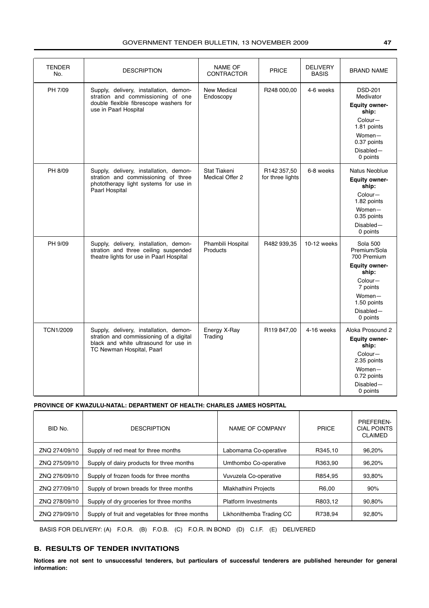| <b>TENDER</b><br>No. | <b>DESCRIPTION</b>                                                                                                                                      | <b>NAME OF</b><br><b>CONTRACTOR</b> | <b>PRICE</b>                    | <b>DELIVERY</b><br><b>BASIS</b> | <b>BRAND NAME</b>                                                                                                                                        |
|----------------------|---------------------------------------------------------------------------------------------------------------------------------------------------------|-------------------------------------|---------------------------------|---------------------------------|----------------------------------------------------------------------------------------------------------------------------------------------------------|
| PH 7/09              | Supply, delivery, installation, demon-<br>stration and commissioning of one<br>double flexible fibrescope washers for<br>use in Paarl Hospital          | New Medical<br>Endoscopy            | R248 000,00                     | 4-6 weeks                       | <b>DSD-201</b><br>Medivator<br><b>Equity owner-</b><br>ship:<br>Colour-<br>1.81 points<br>$Women-$<br>0.37 points<br>Disabled-<br>0 points               |
| PH 8/09              | Supply, delivery, installation, demon-<br>stration and commissioning of three<br>phototherapy light systems for use in<br>Paarl Hospital                | Stat Tiakeni<br>Medical Offer 2     | R142 357,50<br>for three lights | 6-8 weeks                       | Natus Neoblue<br><b>Equity owner-</b><br>ship:<br>Colour-<br>1.82 points<br>Women-<br>0.35 points<br>Disabled-<br>0 points                               |
| PH 9/09              | Supply, delivery, installation, demon-<br>stration and three ceiling suspended<br>theatre lights for use in Paarl Hospital                              | Phambili Hospital<br>Products       | R482 939,35                     | 10-12 weeks                     | <b>Sola 500</b><br>Premium/Sola<br>700 Premium<br><b>Equity owner-</b><br>ship:<br>Colour-<br>7 points<br>Women-<br>1.50 points<br>Disabled-<br>0 points |
| <b>TCN1/2009</b>     | Supply, delivery, installation, demon-<br>stration and commissioning of a digital<br>black and white ultrasound for use in<br>TC Newman Hospital, Paarl | Energy X-Ray<br>Trading             | R119 847,00                     | 4-16 weeks                      | Aloka Prosound 2<br><b>Equity owner-</b><br>ship:<br>Colour-<br>2.35 points<br>$Women-$<br>0.72 points<br>Disabled-<br>0 points                          |

#### **PROVINCE OF KWAZULU-NATAL: DEPARTMENT OF HEALTH: CHARLES JAMES HOSPITAL**

| BID No.       | <b>DESCRIPTION</b>                              | NAME OF COMPANY             | <b>PRICE</b> | PREFEREN-<br><b>CIAL POINTS</b><br><b>CLAIMED</b> |
|---------------|-------------------------------------------------|-----------------------------|--------------|---------------------------------------------------|
| ZNQ 274/09/10 | Supply of red meat for three months             | Labomama Co-operative       | R345,10      | 96,20%                                            |
| ZNQ 275/09/10 | Supply of dairy products for three months       | Umthombo Co-operative       | R363,90      | 96,20%                                            |
| ZNQ 276/09/10 | Supply of frozen foods for three months         | Vuvuzela Co-operative       | R854,95      | 93,80%                                            |
| ZNQ 277/09/10 | Supply of brown breads for three months         | <b>Mlakhathini Projects</b> | R6.00        | 90%                                               |
| ZNQ 278/09/10 | Supply of dry groceries for three months        | <b>Platform Investments</b> | R803,12      | 90.80%                                            |
| ZNQ 279/09/10 | Supply of fruit and vegetables for three months | Likhonithemba Trading CC    | R738.94      | 92.80%                                            |

BASIS FOR DELIVERY: (A) F.O.R. (B) F.O.B. (C) F.O.R. IN BOND (D) C.I.F. (E) DELIVERED

# **B. RESULTS OF TENDER INVITATIONS**

**Notices are not sent to unsuccessful tenderers, but particulars of successful tenderers are published hereunder for general information:**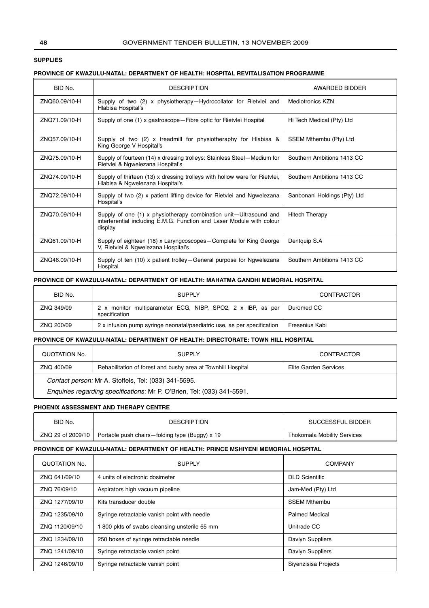### **SUPPLIES**

#### **PROVINCE OF KWAZULU-NATAL: DEPARTMENT OF HEALTH: HOSPITAL REVITALISATION PROGRAMME**

| BID No.       | <b>DESCRIPTION</b>                                                                                                                                    | AWARDED BIDDER               |
|---------------|-------------------------------------------------------------------------------------------------------------------------------------------------------|------------------------------|
| ZNO60.09/10-H | Supply of two (2) x physiotherapy-Hydrocollator for Rietvlei and<br>Hlabisa Hospital's                                                                | <b>Mediotronics KZN</b>      |
| ZNO71.09/10-H | Supply of one (1) x gastroscope – Fibre optic for Rietvlei Hospital                                                                                   | Hi Tech Medical (Pty) Ltd    |
| ZNO57.09/10-H | Supply of two (2) x treadmill for physiotheraphy for Hlabisa &<br>King George V Hospital's                                                            | SSEM Mthembu (Pty) Ltd       |
| ZNQ75.09/10-H | Supply of fourteen (14) x dressing trolleys: Stainless Steel-Medium for<br>Rietvlei & Ngwelezana Hospital's                                           | Southern Ambitions 1413 CC   |
| ZNO74.09/10-H | Supply of thirteen (13) x dressing trolleys with hollow ware for Rietvlei,<br>Hlabisa & Ngwelezana Hospital's                                         | Southern Ambitions 1413 CC   |
| ZNO72.09/10-H | Supply of two (2) x patient lifting device for Rietvlei and Ngwelezana<br>Hospital's                                                                  | Sanbonani Holdings (Pty) Ltd |
| ZNO70.09/10-H | Supply of one (1) x physiotherapy combination unit—Ultrasound and<br>interferential including E.M.G. Function and Laser Module with colour<br>display | <b>Hitech Therapy</b>        |
| ZNO61.09/10-H | Supply of eighteen (18) x Laryngcoscopes-Complete for King George<br>V, Rietvlei & Ngwelezana Hospital's                                              | Dentquip S.A                 |
| ZNO46.09/10-H | Supply of ten (10) x patient trolley—General purpose for Ngwelezana<br>Hospital                                                                       | Southern Ambitions 1413 CC   |

#### **PROVINCE OF KWAZULU-NATAL: DEPARTMENT OF HEALTH: MAHATMA GANDHI MEMORIAL HOSPITAL**

| BID No.    | <b>SUPPLY</b>                                                                | <b>CONTRACTOR</b> |
|------------|------------------------------------------------------------------------------|-------------------|
| ZNQ 349/09 | 2 x monitor multiparameter ECG, NIBP, SPO2, 2 x IBP, as per<br>specification | Duromed CC        |
| ZNQ 200/09 | 2 x infusion pump syringe neonatal/paediatric use, as per specification      | Fresenius Kabi    |

#### **PROVINCE OF KWAZULU-NATAL: DEPARTMENT OF HEALTH: DIRECTORATE: TOWN HILL HOSPITAL**

| QUOTATION No.                                                           | <b>SUPPLY</b>                                                | <b>CONTRACTOR</b>     |  |  |  |
|-------------------------------------------------------------------------|--------------------------------------------------------------|-----------------------|--|--|--|
| ZNQ 400/09                                                              | Rehabilitation of forest and bushy area at Townhill Hospital | Elite Garden Services |  |  |  |
| Contact person: Mr A. Stoffels, Tel: (033) 341-5595.                    |                                                              |                       |  |  |  |
| Enquiries regarding specifications: Mr P. O'Brien, Tel: (033) 341-5591. |                                                              |                       |  |  |  |

#### **PHOENIX ASSESSMENT AND THERAPY CENTRE**

| BID No.           | <b>DESCRIPTION</b>                             | SUCCESSFUL BIDDER           |
|-------------------|------------------------------------------------|-----------------------------|
| ZNQ 29 of 2009/10 | Portable push chairs—folding type (Buggy) x 19 | Thokomala Mobility Services |

#### **PROVINCE OF KWAZULU-NATAL: DEPARTMENT OF HEALTH: PRINCE MSHIYENI MEMORIAL HOSPITAL**

| QUOTATION No.  | <b>SUPPLY</b>                                | <b>COMPANY</b>        |
|----------------|----------------------------------------------|-----------------------|
| ZNQ 641/09/10  | 4 units of electronic dosimeter              | <b>DLD Scientific</b> |
| ZNQ 76/09/10   | Aspirators high vacuum pipeline              | Jam-Med (Pty) Ltd     |
| ZNQ 1277/09/10 | Kits transducer double                       | <b>SSEM Mthembu</b>   |
| ZNO 1235/09/10 | Syringe retractable vanish point with needle | <b>Palmed Medical</b> |
| ZNO 1120/09/10 | 800 pkts of swabs cleansing unsterile 65 mm  | Unitrade CC           |
| ZNO 1234/09/10 | 250 boxes of syringe retractable needle      | Davlyn Suppliers      |
| ZNO 1241/09/10 | Syringe retractable vanish point             | Davlyn Suppliers      |
| ZNO 1246/09/10 | Syringe retractable vanish point             | Siyenzisisa Projects  |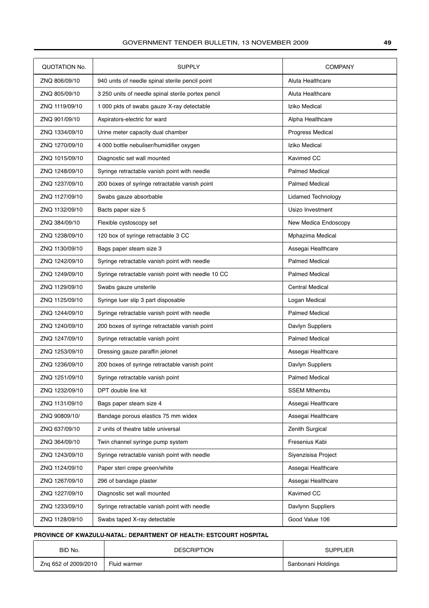| QUOTATION No.  | <b>SUPPLY</b>                                      | <b>COMPANY</b>            |
|----------------|----------------------------------------------------|---------------------------|
| ZNQ 806/09/10  | 940 units of needle spinal sterile pencil point    | Aluta Healthcare          |
| ZNQ 805/09/10  | 3 250 units of needle spinal sterile portex pencil | Aluta Healthcare          |
| ZNQ 1119/09/10 | 1 000 pkts of swabs gauze X-ray detectable         | Iziko Medical             |
| ZNQ 901/09/10  | Aspirators-electric for ward                       | Alpha Healthcare          |
| ZNQ 1334/09/10 | Urine meter capacity dual chamber                  | Progress Medical          |
| ZNQ 1270/09/10 | 4 000 bottle nebuliser/humidifier oxygen           | Iziko Medical             |
| ZNQ 1015/09/10 | Diagnostic set wall mounted                        | <b>Kavimed CC</b>         |
| ZNQ 1248/09/10 | Syringe retractable vanish point with needle       | <b>Palmed Medical</b>     |
| ZNQ 1237/09/10 | 200 boxes of syringe retractable vanish point      | <b>Palmed Medical</b>     |
| ZNQ 1127/09/10 | Swabs gauze absorbable                             | <b>Lidamed Technology</b> |
| ZNQ 1132/09/10 | Bacts paper size 5                                 | Usizo Investment          |
| ZNQ 384/09/10  | Flexible cystoscopy set                            | New Medica Endoscopy      |
| ZNQ 1238/09/10 | 120 box of syringe retractable 3 CC                | Mphazima Medical          |
| ZNQ 1130/09/10 | Bags paper steam size 3                            | Assegai Healthcare        |
| ZNQ 1242/09/10 | Syringe retractable vanish point with needle       | <b>Palmed Medical</b>     |
| ZNQ 1249/09/10 | Syringe retractable vanish point with needle 10 CC | <b>Palmed Medical</b>     |
| ZNQ 1129/09/10 | Swabs gauze unsterile                              | <b>Central Medical</b>    |
| ZNQ 1125/09/10 | Syringe luer slip 3 part disposable                | Logan Medical             |
| ZNQ 1244/09/10 | Syringe retractable vanish point with needle       | <b>Palmed Medical</b>     |
| ZNQ 1240/09/10 | 200 boxes of syringe retractable vanish point      | Davlyn Suppliers          |
| ZNQ 1247/09/10 | Syringe retractable vanish point                   | <b>Palmed Medical</b>     |
| ZNQ 1253/09/10 | Dressing gauze paraffin jelonet                    | Assegai Healthcare        |
| ZNQ 1236/09/10 | 200 boxes of syringe retractable vanish point      | Davlyn Suppliers          |
| ZNQ 1251/09/10 | Syringe retractable vanish point                   | <b>Palmed Medical</b>     |
| ZNQ 1232/09/10 | DPT double line kit                                | <b>SSEM Mthembu</b>       |
| ZNQ 1131/09/10 | Bags paper steam size 4                            | Assegai Healthcare        |
| ZNQ 90809/10/  | Bandage porous elastics 75 mm widex                | Assegai Healthcare        |
| ZNQ 637/09/10  | 2 units of theatre table universal                 | Zenith Surgical           |
| ZNQ 364/09/10  | Twin channel syringe pump system                   | Fresenius Kabi            |
| ZNQ 1243/09/10 | Syringe retractable vanish point with needle       | Siyenzisisa Project       |
| ZNQ 1124/09/10 | Paper steri crepe green/white                      | Assegai Healthcare        |
| ZNQ 1267/09/10 | 296 of bandage plaster                             | Assegai Healthcare        |
| ZNQ 1227/09/10 | Diagnostic set wall mounted                        | Kavimed CC                |
| ZNQ 1233/09/10 | Syringe retractable vanish point with needle       | Davlynn Suppliers         |
| ZNQ 1128/09/10 | Swabs taped X-ray detectable                       | Good Value 106            |
|                |                                                    |                           |

# **PROVINCE OF KWAZULU-NATAL: DEPARTMENT OF HEALTH: ESTCOURT HOSPITAL**

| BID No.              | <b>DESCRIPTION</b> | <b>SUPPLIER</b>    |
|----------------------|--------------------|--------------------|
| Zng 652 of 2009/2010 | Fluid warmer       | Sanbonani Holdings |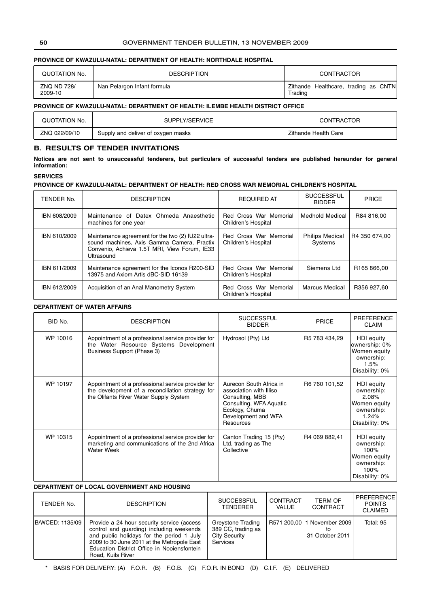## **PROVINCE OF KWAZULU-NATAL: DEPARTMENT OF HEALTH: NORTHDALE HOSPITAL**

| QUOTATION No.          | <b>DESCRIPTION</b>          |         | CONTRACTOR                           |  |  |
|------------------------|-----------------------------|---------|--------------------------------------|--|--|
| ZNQ ND 728/<br>2009-10 | Nan Pelargon Infant formula | Trading | Zithande Healthcare, trading as CNTN |  |  |

# **PROVINCE OF KWAZULU-NATAL: DEPARTMENT OF HEALTH: ILEMBE HEALTH DISTRICT OFFICE**

| QUOTATION No. | SUPPLY/SERVICE                     | CONTRACTOR           |
|---------------|------------------------------------|----------------------|
| ZNQ 022/09/10 | Supply and deliver of oxygen masks | Zithande Health Care |

#### **B. RESULTS OF TENDER INVITATIONS**

**Notices are not sent to unsuccessful tenderers, but particulars of successful tenders are published hereunder for general information:**

#### **SERVICES**

#### **PROVINCE OF KWAZULU-NATAL: DEPARTMENT OF HEALTH: RED CROSS WAR MEMORIAL CHILDREN'S HOSPITAL**

| TENDER No.   | <b>DESCRIPTION</b>                                                                                                                                            | <b>REQUIRED AT</b>                            | <b>SUCCESSFUL</b><br><b>BIDDER</b> | <b>PRICE</b>            |
|--------------|---------------------------------------------------------------------------------------------------------------------------------------------------------------|-----------------------------------------------|------------------------------------|-------------------------|
| IBN 608/2009 | Maintenance of Datex Ohmeda Anaesthetic<br>machines for one year                                                                                              | Red Cross War Memorial<br>Children's Hospital | Medhold Medical                    | R84 816.00              |
| IBN 610/2009 | Maintenance agreement for the two (2) IU22 ultra-<br>sound machines, Axis Gamma Camera, Practix<br>Convenio, Achieva 1.5T MRI, View Forum, IE33<br>Ultrasound | Red Cross War Memorial<br>Children's Hospital | <b>Philips Medical</b><br>Systems  | R4 350 674.00           |
| IBN 611/2009 | Maintenance agreement for the Iconos R200-SID<br>13975 and Axiom Artis dBC-SID 16139                                                                          | Red Cross War Memorial<br>Children's Hospital | Siemens Ltd                        | R <sub>165</sub> 866.00 |
| IBN 612/2009 | Acquisition of an Anal Manometry System                                                                                                                       | Red Cross War Memorial<br>Children's Hospital | Marcus Medical                     | R356 927.60             |

# **DEPARTMENT OF WATER AFFAIRS**

| BID No.  | <b>DESCRIPTION</b>                                                                                                                               | <b>SUCCESSFUL</b><br><b>BIDDER</b>                                                                                                                     | <b>PRICE</b>  | <b>PREFERENCE</b><br><b>CLAIM</b>                                                          |
|----------|--------------------------------------------------------------------------------------------------------------------------------------------------|--------------------------------------------------------------------------------------------------------------------------------------------------------|---------------|--------------------------------------------------------------------------------------------|
| WP 10016 | Appointment of a professional service provider for<br>the Water Resource Systems Development<br>Business Support (Phase 3)                       | Hydrosol (Pty) Ltd                                                                                                                                     | R5 783 434,29 | HDI equity<br>ownership: 0%<br>Women equity<br>ownership:<br>1.5%<br>Disability: 0%        |
| WP 10197 | Appointment of a professional service provider for<br>the development of a reconciliation strategy for<br>the Olifants River Water Supply System | Aurecon South Africa in<br>association with Illiso<br>Consulting, MBB<br>Consulting, WFA Aquatic<br>Ecology, Chuma<br>Development and WFA<br>Resources | R6 760 101,52 | HDI equity<br>ownership:<br>2.08%<br>Women equity<br>ownership:<br>1.24%<br>Disability: 0% |
| WP 10315 | Appointment of a professional service provider for<br>marketing and communications of the 2nd Africa<br><b>Water Week</b>                        | Canton Trading 15 (Pty)<br>Ltd, trading as The<br>Collective                                                                                           | R4 069 882,41 | HDI equity<br>ownership:<br>100%<br>Women equity<br>ownership:<br>100%<br>Disability: 0%   |

#### **DEPARTMENT OF LOCAL GOVERNMENT AND HOUSING**

| TENDER No.      | <b>DESCRIPTION</b>                                                                                                                                                                                                                                    | <b>SUCCESSFUL</b><br>TENDERER                                               | CONTRACT<br>VALUE | <b>TERM OF</b><br>CONTRACT                            | <b>PREFERENCE</b><br><b>POINTS</b><br><b>CLAIMED</b> |
|-----------------|-------------------------------------------------------------------------------------------------------------------------------------------------------------------------------------------------------------------------------------------------------|-----------------------------------------------------------------------------|-------------------|-------------------------------------------------------|------------------------------------------------------|
| B/WCED: 1135/09 | Provide a 24 hour security service (access<br>control and guarding) including weekends<br>and public holidays for the period 1 July<br>2009 to 30 June 2011 at the Metropole East<br>Education District Office in Nooiensfontein<br>Road, Kuils River | Greystone Trading<br>389 CC, trading as<br><b>City Security</b><br>Services |                   | R571 200,00  1 November 2009<br>tΟ<br>31 October 2011 | Total: 95                                            |

\* BASIS FOR DELIVERY: (A) F.O.R. (B) F.O.B. (C) F.O.R. IN BOND (D) C.I.F. (E) DELIVERED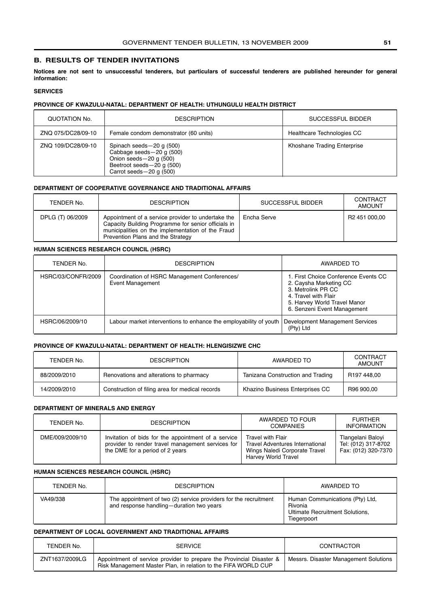#### **B. RESULTS OF TENDER INVITATIONS**

**Notices are not sent to unsuccessful tenderers, but particulars of successful tenderers are published hereunder for general information:**

#### **SERVICES**

#### **PROVINCE OF KWAZULU-NATAL: DEPARTMENT OF HEALTH: UTHUNGULU HEALTH DISTRICT**

| QUOTATION No.      | <b>DESCRIPTION</b>                                                                                                                           | SUCCESSFUL BIDDER           |
|--------------------|----------------------------------------------------------------------------------------------------------------------------------------------|-----------------------------|
| ZNQ 075/DC28/09-10 | Female condom demonstrator (60 units)                                                                                                        | Healthcare Technologies CC  |
| ZNQ 109/DC28/09-10 | Spinach seeds-20 g (500)<br>Cabbage seeds-20 g (500)<br>Onion seeds $-20$ g (500)<br>Beetroot seeds-20 g (500)<br>Carrot seeds $-20$ q (500) | Khoshane Trading Enterprise |

#### **DEPARTMENT OF COOPERATIVE GOVERNANCE AND TRADITIONAL AFFAIRS**

| TENDER No.       | <b>DESCRIPTION</b>                                                                                                                                                                                  | SUCCESSFUL BIDDER | CONTRACT<br><b>AMOUNT</b> |
|------------------|-----------------------------------------------------------------------------------------------------------------------------------------------------------------------------------------------------|-------------------|---------------------------|
| DPLG (T) 06/2009 | Appointment of a service provider to undertake the<br>Capacity Building Programme for senior officials in<br>municipalities on the implementation of the Fraud<br>Prevention Plans and the Strategy | Encha Serve       | R2 451 000.00             |

#### **HUMAN SCIENCES RESEARCH COUNCIL (HSRC)**

| TENDER No.         | <b>DESCRIPTION</b>                                                | AWARDED TO                                                                                                                                                                  |
|--------------------|-------------------------------------------------------------------|-----------------------------------------------------------------------------------------------------------------------------------------------------------------------------|
| HSRC/03/CONFR/2009 | Coordination of HSRC Management Conferences/<br>Event Management  | 1. First Choice Conference Events CC<br>2. Caysha Marketing CC<br>3. Metrolink PR CC<br>4. Travel with Flair<br>5. Harvey World Travel Manor<br>6. Senzeni Event Management |
| HSRC/06/2009/10    | Labour market interventions to enhance the employability of youth | Development Management Services<br>(Pty) Ltd                                                                                                                                |

#### **PROVINCE OF KWAZULU-NATAL: DEPARTMENT OF HEALTH: HLENGISIZWE CHC**

| TENDER No.   | <b>DESCRIPTION</b>                              | AWARDED TO                        | CONTRACT<br><b>AMOUNT</b> |
|--------------|-------------------------------------------------|-----------------------------------|---------------------------|
| 88/2009/2010 | Renovations and alterations to pharmacy         | Tanizana Construction and Trading | R197448.00                |
| 14/2009/2010 | Construction of filing area for medical records | Khazino Business Enterprises CC   | R96 900.00                |

#### **DEPARTMENT OF MINERALS AND ENERGY**

| TENDER No.      | <b>DESCRIPTION</b>                                                                                                                          | AWARDED TO FOUR<br><b>COMPANIES</b>                                                                          | <b>FURTHER</b><br><b>INFORMATION</b>                            |
|-----------------|---------------------------------------------------------------------------------------------------------------------------------------------|--------------------------------------------------------------------------------------------------------------|-----------------------------------------------------------------|
| DME/009/2009/10 | Invitation of bids for the appointment of a service<br>provider to render travel management services for<br>the DME for a period of 2 years | Travel with Flair<br>Travel Adventures International<br>Wings Naledi Corporate Travel<br>Harvey World Travel | Tlangelani Baloyi<br>Tel: (012) 317-8702<br>Fax: (012) 320-7370 |

#### **HUMAN SCIENCES RESEARCH COUNCIL (HSRC)**

| TENDER No. | <b>DESCRIPTION</b>                                                                                           | AWARDED TO                                                                                   |
|------------|--------------------------------------------------------------------------------------------------------------|----------------------------------------------------------------------------------------------|
| VA49/338   | The appointment of two (2) service providers for the recruitment<br>and response handling-duration two years | Human Communications (Pty) Ltd.<br>Rivonia<br>Ultimate Recruitment Solutions,<br>Tiegerpoort |

#### **DEPARTMENT OF LOCAL GOVERNMENT AND TRADITIONAL AFFAIRS**

| TENDER No.     | <b>SERVICE</b>                                                                                                                         | <b>CONTRACTOR</b>                     |
|----------------|----------------------------------------------------------------------------------------------------------------------------------------|---------------------------------------|
| ZNT1637/2009LG | Appointment of service provider to prepare the Provincial Disaster &<br>Risk Management Master Plan, in relation to the FIFA WORLD CUP | Messrs. Disaster Management Solutions |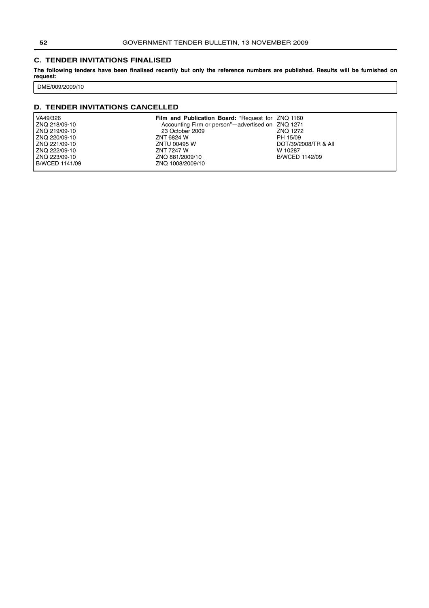#### <span id="page-51-0"></span>**C. TENDER INVITATIONS FINALISED**

**The following tenders have been finalised recently but only the reference numbers are published. Results will be furnished on request:**

DME/009/2009/10

# **D. TENDER INVITATIONS CANCELLED**

| VA49/326       | Film and Publication Board: "Request for ZNQ 1160 |                      |
|----------------|---------------------------------------------------|----------------------|
| ZNQ 218/09-10  | Accounting Firm or person"-advertised on ZNQ 1271 |                      |
| ZNQ 219/09-10  | 23 October 2009                                   | ZNO 1272             |
| ZNQ 220/09-10  | ZNT 6824 W                                        | PH 15/09             |
| ZNQ 221/09-10  | ZNTU 00495 W                                      | DOT/39/2008/TR & All |
| ZNQ 222/09-10  | ZNT 7247 W                                        | W 10287              |
| ZNQ 223/09-10  | ZNQ 881/2009/10                                   | B/WCED 1142/09       |
| B/WCED 1141/09 | ZNQ 1008/2009/10                                  |                      |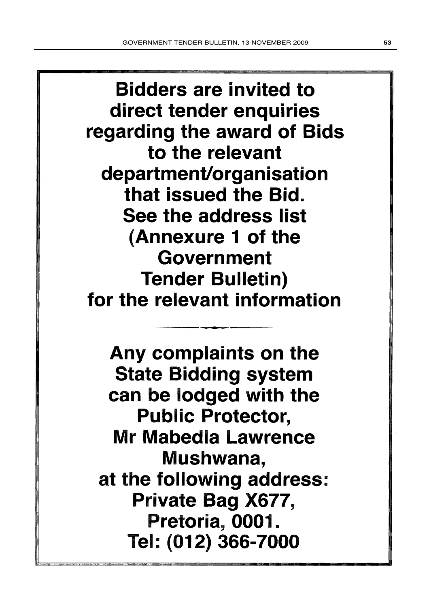**Bidders are invited to** direct tender enquiries regarding the award of Bids to the relevant department/organisation that issued the Bid. See the address list (Annexure 1 of the Government **Tender Bulletin)** for the relevant information

Any complaints on the **State Bidding system** can be lodged with the **Public Protector, Mr Mabedia Lawrence** Mushwana, at the following address: Private Bag X677, Pretoria, 0001. Tel: (012) 366-7000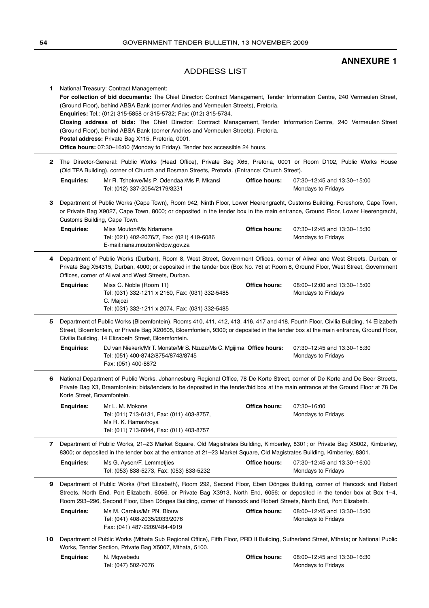# **ANNEXURE 1**

# ADDRESS LIST

<span id="page-53-0"></span>

| 1.           |                                                                                                                                                                                                                                                                                                                                                                              | National Treasury: Contract Management:<br>For collection of bid documents: The Chief Director: Contract Management, Tender Information Centre, 240 Vermeulen Street,<br>(Ground Floor), behind ABSA Bank (corner Andries and Vermeulen Streets), Pretoria.<br>Enquiries: Tel.: (012) 315-5858 or 315-5732; Fax: (012) 315-5734.<br>Closing address of bids: The Chief Director: Contract Management, Tender Information Centre, 240 Vermeulen Street<br>(Ground Floor), behind ABSA Bank (corner Andries and Vermeulen Streets), Pretoria.<br>Postal address: Private Bag X115, Pretoria, 0001.<br><b>Office hours:</b> 07:30-16:00 (Monday to Friday). Tender box accessible 24 hours. |                      |                                                   |
|--------------|------------------------------------------------------------------------------------------------------------------------------------------------------------------------------------------------------------------------------------------------------------------------------------------------------------------------------------------------------------------------------|------------------------------------------------------------------------------------------------------------------------------------------------------------------------------------------------------------------------------------------------------------------------------------------------------------------------------------------------------------------------------------------------------------------------------------------------------------------------------------------------------------------------------------------------------------------------------------------------------------------------------------------------------------------------------------------|----------------------|---------------------------------------------------|
| $\mathbf{2}$ | The Director-General: Public Works (Head Office), Private Bag X65, Pretoria, 0001 or Room D102, Public Works House<br>(Old TPA Building), corner of Church and Bosman Streets, Pretoria. (Entrance: Church Street).                                                                                                                                                          |                                                                                                                                                                                                                                                                                                                                                                                                                                                                                                                                                                                                                                                                                          |                      |                                                   |
|              | <b>Enquiries:</b>                                                                                                                                                                                                                                                                                                                                                            | Mr R. Tshokwe/Ms P. Odendaal/Ms P. Mkansi<br>Tel: (012) 337-2054/2179/3231                                                                                                                                                                                                                                                                                                                                                                                                                                                                                                                                                                                                               | <b>Office hours:</b> | 07:30-12:45 and 13:30-15:00<br>Mondays to Fridays |
| З.           | Department of Public Works (Cape Town), Room 942, Ninth Floor, Lower Heerengracht, Customs Building, Foreshore, Cape Town,<br>or Private Bag X9027, Cape Town, 8000; or deposited in the tender box in the main entrance, Ground Floor, Lower Heerengracht,<br>Customs Building, Cape Town.                                                                                  |                                                                                                                                                                                                                                                                                                                                                                                                                                                                                                                                                                                                                                                                                          |                      |                                                   |
|              | Enquiries:                                                                                                                                                                                                                                                                                                                                                                   | Miss Mouton/Ms Ndamane<br>Tel: (021) 402-2076/7, Fax: (021) 419-6086<br>E-mail:riana.mouton@dpw.gov.za                                                                                                                                                                                                                                                                                                                                                                                                                                                                                                                                                                                   | Office hours:        | 07:30-12:45 and 13:30-15:30<br>Mondays to Fridays |
| 4            | Department of Public Works (Durban), Room 8, West Street, Government Offices, corner of Aliwal and West Streets, Durban, or<br>Private Bag X54315, Durban, 4000; or deposited in the tender box (Box No. 76) at Room 8, Ground Floor, West Street, Government<br>Offices, corner of Aliwal and West Streets, Durban.                                                         |                                                                                                                                                                                                                                                                                                                                                                                                                                                                                                                                                                                                                                                                                          |                      |                                                   |
|              | <b>Enquiries:</b>                                                                                                                                                                                                                                                                                                                                                            | Miss C. Noble (Room 11)<br>Tel: (031) 332-1211 x 2160, Fax: (031) 332-5485<br>C. Majozi<br>Tel: (031) 332-1211 x 2074, Fax: (031) 332-5485                                                                                                                                                                                                                                                                                                                                                                                                                                                                                                                                               | Office hours:        | 08:00-12:00 and 13:30-15:00<br>Mondays to Fridays |
| 5            | Department of Public Works (Bloemfontein), Rooms 410, 411, 412, 413, 416, 417 and 418, Fourth Floor, Civilia Building, 14 Elizabeth<br>Street, Bloemfontein, or Private Bag X20605, Bloemfontein, 9300; or deposited in the tender box at the main entrance, Ground Floor,<br>Civilia Building, 14 Elizabeth Street, Bloemfontein.                                           |                                                                                                                                                                                                                                                                                                                                                                                                                                                                                                                                                                                                                                                                                          |                      |                                                   |
|              | <b>Enquiries:</b>                                                                                                                                                                                                                                                                                                                                                            | DJ van Niekerk/Mr T. Monste/Mr S. Nzuza/Ms C. Mgijima Office hours:<br>Tel: (051) 400-8742/8754/8743/8745<br>Fax: (051) 400-8872                                                                                                                                                                                                                                                                                                                                                                                                                                                                                                                                                         |                      | 07:30-12:45 and 13:30-15:30<br>Mondays to Fridays |
| 6            | National Department of Public Works, Johannesburg Regional Office, 78 De Korte Street, corner of De Korte and De Beer Streets,<br>Private Bag X3, Braamfontein; bids/tenders to be deposited in the tender/bid box at the main entrance at the Ground Floor at 78 De<br>Korte Street, Braamfontein.                                                                          |                                                                                                                                                                                                                                                                                                                                                                                                                                                                                                                                                                                                                                                                                          |                      |                                                   |
|              | <b>Enquiries:</b>                                                                                                                                                                                                                                                                                                                                                            | Mr L. M. Mokone<br>Tel: (011) 713-6131, Fax: (011) 403-8757,<br>Ms R. K. Ramavhoya<br>Tel: (011) 713-6044, Fax: (011) 403-8757                                                                                                                                                                                                                                                                                                                                                                                                                                                                                                                                                           | Office hours:        | 07:30-16:00<br>Mondays to Fridays                 |
| $\mathbf{7}$ | Department of Public Works, 21–23 Market Square, Old Magistrates Building, Kimberley, 8301; or Private Bag X5002, Kimberley,<br>8300; or deposited in the tender box at the entrance at 21–23 Market Square, Old Magistrates Building, Kimberley, 8301.                                                                                                                      |                                                                                                                                                                                                                                                                                                                                                                                                                                                                                                                                                                                                                                                                                          |                      |                                                   |
|              | <b>Enquiries:</b>                                                                                                                                                                                                                                                                                                                                                            | Ms G. Aysen/F. Lemmetjies<br>Tel: (053) 838-5273, Fax: (053) 833-5232                                                                                                                                                                                                                                                                                                                                                                                                                                                                                                                                                                                                                    | Office hours:        | 07:30-12:45 and 13:30-16:00<br>Mondays to Fridays |
| 9            | Department of Public Works (Port Elizabeth), Room 292, Second Floor, Eben Dönges Building, corner of Hancock and Robert<br>Streets, North End, Port Elizabeth, 6056, or Private Bag X3913, North End, 6056; or deposited in the tender box at Box 1-4,<br>Room 293-296, Second Floor, Eben Dönges Building, corner of Hancock and Robert Streets, North End, Port Elizabeth. |                                                                                                                                                                                                                                                                                                                                                                                                                                                                                                                                                                                                                                                                                          |                      |                                                   |
|              | <b>Enquiries:</b>                                                                                                                                                                                                                                                                                                                                                            | Ms M. Carolus/Mr PN. Blouw<br>Tel: (041) 408-2035/2033/2076<br>Fax: (041) 487-2209/484-4919                                                                                                                                                                                                                                                                                                                                                                                                                                                                                                                                                                                              | Office hours:        | 08:00-12:45 and 13:30-15:30<br>Mondays to Fridays |
| 10           |                                                                                                                                                                                                                                                                                                                                                                              | Department of Public Works (Mthata Sub Regional Office), Fifth Floor, PRD II Building, Sutherland Street, Mthata; or National Public<br>Works, Tender Section, Private Bag X5007, Mthata, 5100.                                                                                                                                                                                                                                                                                                                                                                                                                                                                                          |                      |                                                   |

 $\overline{\phantom{a}}$ 

 $\frac{1}{2}$ 

**Office hours:** 08:00–12:45 and 13:30–16:30 Mondays to Fridays **Enquiries:** N. Mqwebedu Tel: (047) 502-7076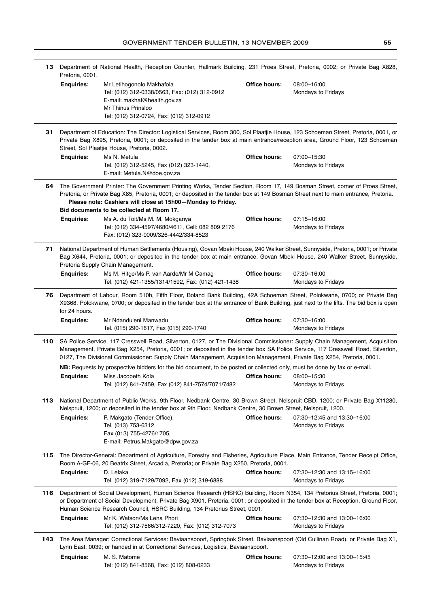|     | 13 Department of National Health, Reception Counter, Hallmark Building, 231 Proes Street, Pretoria, 0002; or Private Bag X828,<br>Pretoria, 0001.                                                                                                                                                                                                                            |                                                                                                                                                                                                                                                                                                                                                                                         |                      |                                                   |  |
|-----|------------------------------------------------------------------------------------------------------------------------------------------------------------------------------------------------------------------------------------------------------------------------------------------------------------------------------------------------------------------------------|-----------------------------------------------------------------------------------------------------------------------------------------------------------------------------------------------------------------------------------------------------------------------------------------------------------------------------------------------------------------------------------------|----------------------|---------------------------------------------------|--|
|     | <b>Enquiries:</b>                                                                                                                                                                                                                                                                                                                                                            | Mr Letlhogonolo Makhafola<br>Tel: (012) 312-0338/0563, Fax: (012) 312-0912<br>E-mail: makhal@health.gov.za<br>Mr Thinus Prinsloo<br>Tel: (012) 312-0724, Fax: (012) 312-0912                                                                                                                                                                                                            | Office hours:        | 08:00-16:00<br>Mondays to Fridays                 |  |
| 31. |                                                                                                                                                                                                                                                                                                                                                                              | Department of Education: The Director: Logistical Services, Room 300, Sol Plaatjie House, 123 Schoeman Street, Pretoria, 0001, or<br>Private Bag X895, Pretoria, 0001; or deposited in the tender box at main entrance/reception area, Ground Floor, 123 Schoeman<br>Street, Sol Plaatjie House, Pretoria, 0002.                                                                        |                      |                                                   |  |
|     | <b>Enquiries:</b>                                                                                                                                                                                                                                                                                                                                                            | Ms N. Metula<br>Tel. (012) 312-5245, Fax (012) 323-1440,<br>E-mail: Metula.N@doe.gov.za                                                                                                                                                                                                                                                                                                 | Office hours:        | 07:00-15:30<br>Mondays to Fridays                 |  |
| 64  | The Government Printer: The Government Printing Works, Tender Section, Room 17, 149 Bosman Street, corner of Proes Street,<br>Pretoria, or Private Bag X85, Pretoria, 0001; or deposited in the tender box at 149 Bosman Street next to main entrance, Pretoria.<br>Please note: Cashiers will close at 15h00-Monday to Friday.<br>Bid documents to be collected at Room 17. |                                                                                                                                                                                                                                                                                                                                                                                         |                      |                                                   |  |
|     | <b>Enquiries:</b>                                                                                                                                                                                                                                                                                                                                                            | Ms A. du Toit/Ms M. M. Mokganya<br>Tel: (012) 334-4597/4680/4611, Cell: 082 809 2176<br>Fax: (012) 323-0009/326-4442/334-8523                                                                                                                                                                                                                                                           | Office hours:        | 07:15-16:00<br>Mondays to Fridays                 |  |
| 71  |                                                                                                                                                                                                                                                                                                                                                                              | National Department of Human Settlements (Housing), Govan Mbeki House, 240 Walker Street, Sunnyside, Pretoria, 0001; or Private<br>Bag X644, Pretoria, 0001; or deposited in the tender box at main entrance, Govan Mbeki House, 240 Walker Street, Sunnyside,<br>Pretoria Supply Chain Management.                                                                                     |                      |                                                   |  |
|     | <b>Enquiries:</b>                                                                                                                                                                                                                                                                                                                                                            | Ms M. Hitge/Ms P. van Aarde/Mr M Camag<br>Tel. (012) 421-1355/1314/1592, Fax: (012) 421-1438                                                                                                                                                                                                                                                                                            | Office hours:        | 07:30-16:00<br>Mondays to Fridays                 |  |
| 76  | for 24 hours.                                                                                                                                                                                                                                                                                                                                                                | Department of Labour, Room 510b, Fifth Floor, Boland Bank Building, 42A Schoeman Street, Polokwane, 0700; or Private Bag<br>X9368, Polokwane, 0700; or deposited in the tender box at the entrance of Bank Building, just next to the lifts. The bid box is open                                                                                                                        |                      |                                                   |  |
|     | <b>Enquiries:</b>                                                                                                                                                                                                                                                                                                                                                            | Mr Ndanduleni Manwadu<br>Tel. (015) 290-1617, Fax (015) 290-1740                                                                                                                                                                                                                                                                                                                        | <b>Office hours:</b> | 07:30-16:00<br>Mondays to Fridays                 |  |
| 110 |                                                                                                                                                                                                                                                                                                                                                                              | SA Police Service, 117 Cresswell Road, Silverton, 0127, or The Divisional Commissioner: Supply Chain Management, Acquisition<br>Management, Private Bag X254, Pretoria, 0001; or deposited in the tender box SA Police Service, 117 Cresswell Road, Silverton,<br>0127, The Divisional Commissioner: Supply Chain Management, Acquisition Management, Private Bag X254, Pretoria, 0001. |                      |                                                   |  |
|     |                                                                                                                                                                                                                                                                                                                                                                              | NB: Requests by prospective bidders for the bid document, to be posted or collected only, must be done by fax or e-mail.                                                                                                                                                                                                                                                                |                      |                                                   |  |
|     | <b>Enquiries:</b>                                                                                                                                                                                                                                                                                                                                                            | Miss Jacobeth Kola<br>Tel. (012) 841-7459, Fax (012) 841-7574/7071/7482                                                                                                                                                                                                                                                                                                                 | Office hours:        | 08:00-15:30<br>Mondays to Fridays                 |  |
| 113 |                                                                                                                                                                                                                                                                                                                                                                              | National Department of Public Works, 9th Floor, Nedbank Centre, 30 Brown Street, Nelspruit CBD, 1200; or Private Bag X11280,<br>Nelspruit, 1200; or deposited in the tender box at 9th Floor, Nedbank Centre, 30 Brown Street, Nelspruit, 1200.                                                                                                                                         |                      |                                                   |  |
|     | <b>Enquiries:</b>                                                                                                                                                                                                                                                                                                                                                            | P. Makgato (Tender Office),<br>Tel. (013) 753-6312<br>Fax (013) 755-4276/1705,<br>E-mail: Petrus.Makgato@dpw.gov.za                                                                                                                                                                                                                                                                     | Office hours:        | 07:30-12:45 and 13:30-16:00<br>Mondays to Fridays |  |
| 115 |                                                                                                                                                                                                                                                                                                                                                                              | The Director-General: Department of Agriculture, Forestry and Fisheries, Agriculture Place, Main Entrance, Tender Receipt Office,<br>Room A-GF-06, 20 Beatrix Street, Arcadia, Pretoria; or Private Bag X250, Pretoria, 0001.                                                                                                                                                           |                      |                                                   |  |
|     | <b>Enquiries:</b>                                                                                                                                                                                                                                                                                                                                                            | D. Lelaka<br>Tel. (012) 319-7129/7092, Fax (012) 319-6888                                                                                                                                                                                                                                                                                                                               | <b>Office hours:</b> | 07:30-12:30 and 13:15-16:00<br>Mondays to Fridays |  |
| 116 |                                                                                                                                                                                                                                                                                                                                                                              | Department of Social Development, Human Science Research (HSRC) Building, Room N354, 134 Pretorius Street, Pretoria, 0001;<br>or Department of Social Development, Private Bag X901, Pretoria, 0001; or deposited in the tender box at Reception, Ground Floor,<br>Human Science Research Council, HSRC Building, 134 Pretorius Street, 0001.                                           |                      |                                                   |  |
|     | <b>Enquiries:</b>                                                                                                                                                                                                                                                                                                                                                            | Mr K. Watson/Ms Lena Phori<br>Tel: (012) 312-7566/312-7220, Fax: (012) 312-7073                                                                                                                                                                                                                                                                                                         | <b>Office hours:</b> | 07:30-12:30 and 13:00-16:00<br>Mondays to Fridays |  |
| 143 |                                                                                                                                                                                                                                                                                                                                                                              | The Area Manager: Correctional Services: Baviaanspoort, Springbok Street, Baviaanspoort (Old Cullinan Road), or Private Bag X1,<br>Lynn East, 0039; or handed in at Correctional Services, Logistics, Baviaanspoort.                                                                                                                                                                    |                      |                                                   |  |
|     | <b>Enquiries:</b>                                                                                                                                                                                                                                                                                                                                                            | M. S. Matome<br>Tel: (012) 841-8568, Fax: (012) 808-0233                                                                                                                                                                                                                                                                                                                                | Office hours:        | 07:30-12:00 and 13:00-15:45<br>Mondays to Fridays |  |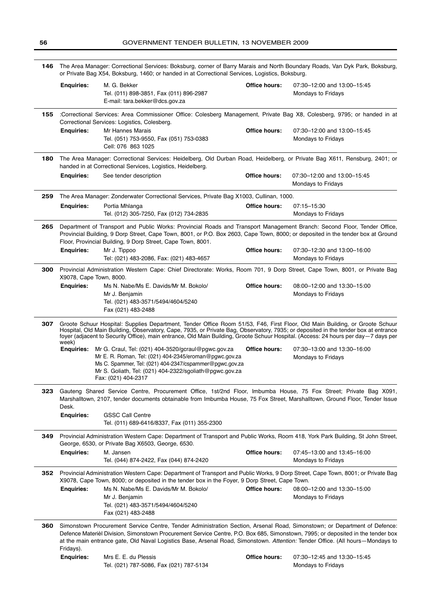| 146                                                                                                                                                                                                                                                                                                                                | The Area Manager: Correctional Services: Boksburg, corner of Barry Marais and North Boundary Roads, Van Dyk Park, Boksburg,<br>or Private Bag X54, Boksburg, 1460; or handed in at Correctional Services, Logistics, Boksburg. |                                                                                                                                                                                                                                                                                                                                                                                                                                                                                                                                                                                                                                                                          |                      |                                                   |  |  |
|------------------------------------------------------------------------------------------------------------------------------------------------------------------------------------------------------------------------------------------------------------------------------------------------------------------------------------|--------------------------------------------------------------------------------------------------------------------------------------------------------------------------------------------------------------------------------|--------------------------------------------------------------------------------------------------------------------------------------------------------------------------------------------------------------------------------------------------------------------------------------------------------------------------------------------------------------------------------------------------------------------------------------------------------------------------------------------------------------------------------------------------------------------------------------------------------------------------------------------------------------------------|----------------------|---------------------------------------------------|--|--|
|                                                                                                                                                                                                                                                                                                                                    | <b>Enquiries:</b>                                                                                                                                                                                                              | M. G. Bekker<br>Tel. (011) 898-3851, Fax (011) 896-2987<br>E-mail: tara.bekker@dcs.gov.za                                                                                                                                                                                                                                                                                                                                                                                                                                                                                                                                                                                | Office hours:        | 07:30-12:00 and 13:00-15:45<br>Mondays to Fridays |  |  |
| 155                                                                                                                                                                                                                                                                                                                                | :Correctional Services: Area Commissioner Office: Colesberg Management, Private Bag X8, Colesberg, 9795; or handed in at<br>Correctional Services: Logistics, Colesberg.                                                       |                                                                                                                                                                                                                                                                                                                                                                                                                                                                                                                                                                                                                                                                          |                      |                                                   |  |  |
|                                                                                                                                                                                                                                                                                                                                    | <b>Enquiries:</b>                                                                                                                                                                                                              | Mr Hannes Marais<br>Tel. (051) 753-9550, Fax (051) 753-0383<br>Cell: 076 863 1025                                                                                                                                                                                                                                                                                                                                                                                                                                                                                                                                                                                        | Office hours:        | 07:30-12:00 and 13:00-15:45<br>Mondays to Fridays |  |  |
| 180                                                                                                                                                                                                                                                                                                                                |                                                                                                                                                                                                                                | The Area Manager: Correctional Services: Heidelberg, Old Durban Road, Heidelberg, or Private Bag X611, Rensburg, 2401; or<br>handed in at Correctional Services, Logistics, Heidelberg.                                                                                                                                                                                                                                                                                                                                                                                                                                                                                  |                      |                                                   |  |  |
|                                                                                                                                                                                                                                                                                                                                    | <b>Enquiries:</b>                                                                                                                                                                                                              | See tender description                                                                                                                                                                                                                                                                                                                                                                                                                                                                                                                                                                                                                                                   | <b>Office hours:</b> | 07:30-12:00 and 13:00-15:45<br>Mondays to Fridays |  |  |
| 259                                                                                                                                                                                                                                                                                                                                |                                                                                                                                                                                                                                | The Area Manager: Zonderwater Correctional Services, Private Bag X1003, Cullinan, 1000.                                                                                                                                                                                                                                                                                                                                                                                                                                                                                                                                                                                  |                      |                                                   |  |  |
|                                                                                                                                                                                                                                                                                                                                    | <b>Enquiries:</b>                                                                                                                                                                                                              | Portia Mhlanga<br>Tel. (012) 305-7250, Fax (012) 734-2835                                                                                                                                                                                                                                                                                                                                                                                                                                                                                                                                                                                                                | Office hours:        | 07:15-15:30<br>Mondays to Fridays                 |  |  |
| Department of Transport and Public Works: Provincial Roads and Transport Management Branch: Second Floor, Tender Office,<br>265<br>Provincial Building, 9 Dorp Street, Cape Town, 8001, or P.O. Box 2603, Cape Town, 8000; or deposited in the tender box at Ground<br>Floor, Provincial Building, 9 Dorp Street, Cape Town, 8001. |                                                                                                                                                                                                                                |                                                                                                                                                                                                                                                                                                                                                                                                                                                                                                                                                                                                                                                                          |                      |                                                   |  |  |
|                                                                                                                                                                                                                                                                                                                                    | <b>Enquiries:</b>                                                                                                                                                                                                              | Mr J. Tippoo<br>Tel: (021) 483-2086, Fax: (021) 483-4657                                                                                                                                                                                                                                                                                                                                                                                                                                                                                                                                                                                                                 | Office hours:        | 07:30-12:30 and 13:00-16:00<br>Mondays to Fridays |  |  |
| 300                                                                                                                                                                                                                                                                                                                                | X9078, Cape Town, 8000.                                                                                                                                                                                                        | Provincial Administration Western Cape: Chief Directorate: Works, Room 701, 9 Dorp Street, Cape Town, 8001, or Private Bag                                                                                                                                                                                                                                                                                                                                                                                                                                                                                                                                               |                      |                                                   |  |  |
|                                                                                                                                                                                                                                                                                                                                    | <b>Enquiries:</b>                                                                                                                                                                                                              | Ms N. Nabe/Ms E. Davids/Mr M. Bokolo/<br>Mr J. Benjamin<br>Tel. (021) 483-3571/5494/4604/5240                                                                                                                                                                                                                                                                                                                                                                                                                                                                                                                                                                            | Office hours:        | 08:00-12:00 and 13:30-15:00<br>Mondays to Fridays |  |  |
|                                                                                                                                                                                                                                                                                                                                    | week)<br><b>Enguiries:</b>                                                                                                                                                                                                     | Groote Schuur Hospital: Supplies Department, Tender Office Room 51/53, F46, First Floor, Old Main Building, or Groote Schuur<br>Hospital, Old Main Building, Observatory, Cape, 7935, or Private Bag, Observatory, 7935; or deposited in the tender box at entrance<br>foyer (adjacent to Security Office), main entrance, Old Main Building, Groote Schuur Hospital. (Access: 24 hours per day-7 days per<br>Mr G. Craul, Tel: (021) 404-3520/gcraul@pgwc.gov.za<br>Mr E. R. Roman, Tel: (021) 404-2345/eroman@pgwc.gov.za<br>Ms C. Spammer, Tel: (021) 404-2347/cspammer@pgwc.gov.za<br>Mr S. Goliath, Tel: (021) 404-2322/sgoliath@pgwc.gov.za<br>Fax: (021) 404-2317 | Office hours:        | 07:30-13:00 and 13:30-16:00<br>Mondays to Fridays |  |  |
| 323                                                                                                                                                                                                                                                                                                                                |                                                                                                                                                                                                                                | Gauteng Shared Service Centre, Procurement Office, 1st/2nd Floor, Imbumba House, 75 Fox Street; Private Bag X091,<br>Marshalltown, 2107, tender documents obtainable from Imbumba House, 75 Fox Street, Marshalltown, Ground Floor, Tender Issue                                                                                                                                                                                                                                                                                                                                                                                                                         |                      |                                                   |  |  |
|                                                                                                                                                                                                                                                                                                                                    | Desk.<br><b>Enquiries:</b>                                                                                                                                                                                                     | <b>GSSC Call Centre</b><br>Tel. (011) 689-6416/8337, Fax (011) 355-2300                                                                                                                                                                                                                                                                                                                                                                                                                                                                                                                                                                                                  |                      |                                                   |  |  |
| 349                                                                                                                                                                                                                                                                                                                                |                                                                                                                                                                                                                                | Provincial Administration Western Cape: Department of Transport and Public Works, Room 418, York Park Building, St John Street,<br>George, 6530, or Private Bag X6503, George, 6530.                                                                                                                                                                                                                                                                                                                                                                                                                                                                                     |                      |                                                   |  |  |
|                                                                                                                                                                                                                                                                                                                                    | <b>Enquiries:</b>                                                                                                                                                                                                              | M. Jansen<br>Tel. (044) 874-2422, Fax (044) 874-2420                                                                                                                                                                                                                                                                                                                                                                                                                                                                                                                                                                                                                     | Office hours:        | 07:45-13:00 and 13:45-16:00<br>Mondays to Fridays |  |  |
| 352                                                                                                                                                                                                                                                                                                                                |                                                                                                                                                                                                                                | Provincial Administration Western Cape: Department of Transport and Public Works, 9 Dorp Street, Cape Town, 8001; or Private Bag<br>X9078, Cape Town, 8000; or deposited in the tender box in the Foyer, 9 Dorp Street, Cape Town.                                                                                                                                                                                                                                                                                                                                                                                                                                       |                      |                                                   |  |  |
|                                                                                                                                                                                                                                                                                                                                    | <b>Enquiries:</b>                                                                                                                                                                                                              | Ms N. Nabe/Ms E. Davids/Mr M. Bokolo/<br>Mr J. Benjamin<br>Tel. (021) 483-3571/5494/4604/5240<br>Fax (021) 483-2488                                                                                                                                                                                                                                                                                                                                                                                                                                                                                                                                                      | Office hours:        | 08:00-12:00 and 13:30-15:00<br>Mondays to Fridays |  |  |
| 360                                                                                                                                                                                                                                                                                                                                | Fridays).                                                                                                                                                                                                                      | Simonstown Procurement Service Centre, Tender Administration Section, Arsenal Road, Simonstown; or Department of Defence:<br>Defence Materièl Division, Simonstown Procurement Service Centre, P.O. Box 685, Simonstown, 7995; or deposited in the tender box<br>at the main entrance gate, Old Naval Logistics Base, Arsenal Road, Simonstown. Attention: Tender Office. (All hours-Mondays to                                                                                                                                                                                                                                                                          |                      |                                                   |  |  |
|                                                                                                                                                                                                                                                                                                                                    | <b>Enquiries:</b>                                                                                                                                                                                                              | Mrs E. E. du Plessis<br>Tel. (021) 787-5086, Fax (021) 787-5134                                                                                                                                                                                                                                                                                                                                                                                                                                                                                                                                                                                                          | <b>Office hours:</b> | 07:30-12:45 and 13:30-15:45<br>Mondays to Fridays |  |  |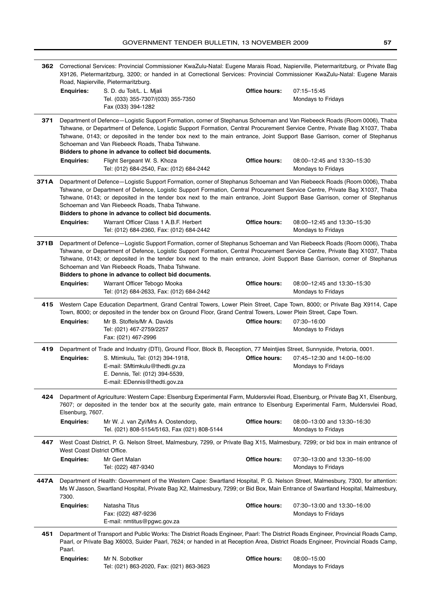|      | 362 Correctional Services: Provincial Commissioner KwaZulu-Natal: Eugene Marais Road, Napierville, Pietermaritzburg, or Private Bag<br>X9126, Pietermaritzburg, 3200; or handed in at Correctional Services: Provincial Commissioner KwaZulu-Natal: Eugene Marais<br>Road, Napierville, Pietermaritzburg.                                                                                                                                                                                                                                                                                                                                                               |                                                                                                                                                                                                                                                                       |                      |                                                   |  |
|------|-------------------------------------------------------------------------------------------------------------------------------------------------------------------------------------------------------------------------------------------------------------------------------------------------------------------------------------------------------------------------------------------------------------------------------------------------------------------------------------------------------------------------------------------------------------------------------------------------------------------------------------------------------------------------|-----------------------------------------------------------------------------------------------------------------------------------------------------------------------------------------------------------------------------------------------------------------------|----------------------|---------------------------------------------------|--|
|      | <b>Enquiries:</b>                                                                                                                                                                                                                                                                                                                                                                                                                                                                                                                                                                                                                                                       | S. D. du Toit/L. L. Mjali<br>Tel. (033) 355-7307/(033) 355-7350<br>Fax (033) 394-1282                                                                                                                                                                                 | Office hours:        | 07:15-15:45<br>Mondays to Fridays                 |  |
| 371  | Department of Defence-Logistic Support Formation, corner of Stephanus Schoeman and Van Riebeeck Roads (Room 0006), Thaba<br>Tshwane, or Department of Defence, Logistic Support Formation, Central Procurement Service Centre, Private Bag X1037, Thaba<br>Tshwane, 0143; or deposited in the tender box next to the main entrance, Joint Support Base Garrison, corner of Stephanus<br>Schoeman and Van Riebeeck Roads, Thaba Tshwane.                                                                                                                                                                                                                                 |                                                                                                                                                                                                                                                                       |                      |                                                   |  |
|      | <b>Enquiries:</b>                                                                                                                                                                                                                                                                                                                                                                                                                                                                                                                                                                                                                                                       | Bidders to phone in advance to collect bid documents.<br>Flight Sergeant W. S. Khoza<br>Tel: (012) 684-2540, Fax: (012) 684-2442                                                                                                                                      | Office hours:        | 08:00-12:45 and 13:30-15:30<br>Mondays to Fridays |  |
| 371A | Department of Defence-Logistic Support Formation, corner of Stephanus Schoeman and Van Riebeeck Roads (Room 0006), Thaba<br>Tshwane, or Department of Defence, Logistic Support Formation, Central Procurement Service Centre, Private Bag X1037, Thaba<br>Tshwane, 0143; or deposited in the tender box next to the main entrance, Joint Support Base Garrison, corner of Stephanus<br>Schoeman and Van Riebeeck Roads, Thaba Tshwane.<br>Bidders to phone in advance to collect bid documents.                                                                                                                                                                        |                                                                                                                                                                                                                                                                       |                      |                                                   |  |
|      | <b>Enquiries:</b>                                                                                                                                                                                                                                                                                                                                                                                                                                                                                                                                                                                                                                                       | Warrant Officer Class 1 A.B.F. Herbert<br>Tel: (012) 684-2360, Fax: (012) 684-2442                                                                                                                                                                                    | Office hours:        | 08:00-12:45 and 13:30-15:30<br>Mondays to Fridays |  |
| 371B | Department of Defence-Logistic Support Formation, corner of Stephanus Schoeman and Van Riebeeck Roads (Room 0006), Thaba<br>Tshwane, or Department of Defence, Logistic Support Formation, Central Procurement Service Centre, Private Bag X1037, Thaba<br>Tshwane, 0143; or deposited in the tender box next to the main entrance, Joint Support Base Garrison, corner of Stephanus<br>Schoeman and Van Riebeeck Roads, Thaba Tshwane.<br>Bidders to phone in advance to collect bid documents.<br><b>Enquiries:</b><br>Warrant Officer Tebogo Mooka<br>Office hours:<br>08:00-12:45 and 13:30-15:30<br>Tel: (012) 684-2633, Fax: (012) 684-2442<br>Mondays to Fridays |                                                                                                                                                                                                                                                                       |                      |                                                   |  |
| 415  |                                                                                                                                                                                                                                                                                                                                                                                                                                                                                                                                                                                                                                                                         | Western Cape Education Department, Grand Central Towers, Lower Plein Street, Cape Town, 8000; or Private Bag X9114, Cape                                                                                                                                              |                      |                                                   |  |
|      | <b>Enquiries:</b>                                                                                                                                                                                                                                                                                                                                                                                                                                                                                                                                                                                                                                                       | Town, 8000; or deposited in the tender box on Ground Floor, Grand Central Towers, Lower Plein Street, Cape Town.<br>Mr B. Stoffels/Mr A. Davids<br>Tel: (021) 467-2759/2257<br>Fax: (021) 467-2996                                                                    | Office hours:        | 07:30-16:00<br>Mondays to Fridays                 |  |
| 419  | <b>Enquiries:</b>                                                                                                                                                                                                                                                                                                                                                                                                                                                                                                                                                                                                                                                       | Department of Trade and Industry (DTI), Ground Floor, Block B, Reception, 77 Meintjies Street, Sunnyside, Pretoria, 0001.<br>S. Mtimkulu, Tel: (012) 394-1918,<br>E-mail: SMtimkulu@thedti.gv.za<br>E. Dennis, Tel: (012) 394-5539,<br>E-mail: EDennis@thedti.gov.za  | Office hours:        | 07:45-12:30 and 14:00-16:00<br>Mondays to Fridays |  |
| 424  | Department of Agriculture: Western Cape: Elsenburg Experimental Farm, Muldersvlei Road, Elsenburg, or Private Bag X1, Elsenburg,<br>7607; or deposited in the tender box at the security gate, main entrance to Elsenburg Experimental Farm, Muldersvlei Road,<br>Elsenburg, 7607.                                                                                                                                                                                                                                                                                                                                                                                      |                                                                                                                                                                                                                                                                       |                      |                                                   |  |
|      | <b>Enquiries:</b>                                                                                                                                                                                                                                                                                                                                                                                                                                                                                                                                                                                                                                                       | Mr W. J. van Zyl/Mrs A. Oostendorp,<br>Tel. (021) 808-5154/5163, Fax (021) 808-5144                                                                                                                                                                                   | Office hours:        | 08:00-13:00 and 13:30-16:30<br>Mondays to Fridays |  |
| 447  | West Coast District, P. G. Nelson Street, Malmesbury, 7299, or Private Bag X15, Malmesbury, 7299; or bid box in main entrance of<br>West Coast District Office.                                                                                                                                                                                                                                                                                                                                                                                                                                                                                                         |                                                                                                                                                                                                                                                                       |                      |                                                   |  |
|      | <b>Enquiries:</b>                                                                                                                                                                                                                                                                                                                                                                                                                                                                                                                                                                                                                                                       | Mr Gert Malan<br>Tel: (022) 487-9340                                                                                                                                                                                                                                  | <b>Office hours:</b> | 07:30-13:00 and 13:30-16:00<br>Mondays to Fridays |  |
| 447A | Department of Health: Government of the Western Cape: Swartland Hospital, P. G. Nelson Street, Malmesbury, 7300, for attention:<br>Ms W Jasson, Swartland Hospital, Private Bag X2, Malmesbury, 7299; or Bid Box, Main Entrance of Swartland Hospital, Malmesbury,<br>7300.                                                                                                                                                                                                                                                                                                                                                                                             |                                                                                                                                                                                                                                                                       |                      |                                                   |  |
|      | <b>Enquiries:</b>                                                                                                                                                                                                                                                                                                                                                                                                                                                                                                                                                                                                                                                       | Natasha Titus<br>Fax: (022) 487-9236<br>E-mail: nmtitus@pgwc.gov.za                                                                                                                                                                                                   | Office hours:        | 07:30-13:00 and 13:30-16:00<br>Mondays to Fridays |  |
| 451  | Paarl.                                                                                                                                                                                                                                                                                                                                                                                                                                                                                                                                                                                                                                                                  | Department of Transport and Public Works: The District Roads Engineer, Paarl: The District Roads Engineer, Provincial Roads Camp,<br>Paarl, or Private Bag X6003, Suider Paarl, 7624; or handed in at Reception Area, District Roads Engineer, Provincial Roads Camp, |                      |                                                   |  |
|      | <b>Enquiries:</b>                                                                                                                                                                                                                                                                                                                                                                                                                                                                                                                                                                                                                                                       | Mr N. Sobotker<br>Tel: (021) 863-2020, Fax: (021) 863-3623                                                                                                                                                                                                            | Office hours:        | 08:00-15:00<br>Mondays to Fridays                 |  |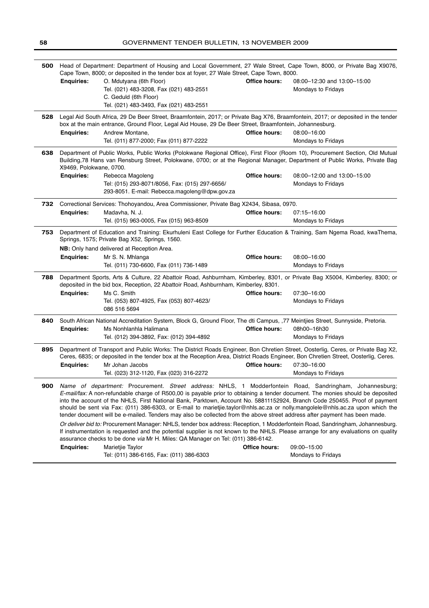| 500 | Head of Department: Department of Housing and Local Government, 27 Wale Street, Cape Town, 8000, or Private Bag X9076,<br>Cape Town, 8000; or deposited in the tender box at foyer, 27 Wale Street, Cape Town, 8000.                                                                                                                                                                                                                                                                                                                                                                                                                                                                                                                                                                                                                                                                                                                                                                                                                                                             |                                                                                                                                                                                                                                                                                                                                      |               |                                                   |
|-----|----------------------------------------------------------------------------------------------------------------------------------------------------------------------------------------------------------------------------------------------------------------------------------------------------------------------------------------------------------------------------------------------------------------------------------------------------------------------------------------------------------------------------------------------------------------------------------------------------------------------------------------------------------------------------------------------------------------------------------------------------------------------------------------------------------------------------------------------------------------------------------------------------------------------------------------------------------------------------------------------------------------------------------------------------------------------------------|--------------------------------------------------------------------------------------------------------------------------------------------------------------------------------------------------------------------------------------------------------------------------------------------------------------------------------------|---------------|---------------------------------------------------|
|     | <b>Enquiries:</b>                                                                                                                                                                                                                                                                                                                                                                                                                                                                                                                                                                                                                                                                                                                                                                                                                                                                                                                                                                                                                                                                | O. Mdutyana (6th Floor)<br>Tel. (021) 483-3208, Fax (021) 483-2551<br>C. Geduld (6th Floor)<br>Tel. (021) 483-3493, Fax (021) 483-2551                                                                                                                                                                                               | Office hours: | 08:00-12:30 and 13:00-15:00<br>Mondays to Fridays |
| 528 |                                                                                                                                                                                                                                                                                                                                                                                                                                                                                                                                                                                                                                                                                                                                                                                                                                                                                                                                                                                                                                                                                  | Legal Aid South Africa, 29 De Beer Street, Braamfontein, 2017; or Private Bag X76, Braamfontein, 2017; or deposited in the tender<br>box at the main entrance, Ground Floor, Legal Aid House, 29 De Beer Street, Braamfontein, Johannesburg.                                                                                         |               |                                                   |
|     | <b>Enquiries:</b>                                                                                                                                                                                                                                                                                                                                                                                                                                                                                                                                                                                                                                                                                                                                                                                                                                                                                                                                                                                                                                                                | Andrew Montane,<br>Tel. (011) 877-2000; Fax (011) 877-2222                                                                                                                                                                                                                                                                           | Office hours: | 08:00-16:00<br>Mondays to Fridays                 |
| 638 | Department of Public Works, Public Works (Polokwane Regional Office), First Floor (Room 10), Procurement Section, Old Mutual<br>Building,78 Hans van Rensburg Street, Polokwane, 0700; or at the Regional Manager, Department of Public Works, Private Bag<br>X9469, Polokwane, 0700.                                                                                                                                                                                                                                                                                                                                                                                                                                                                                                                                                                                                                                                                                                                                                                                            |                                                                                                                                                                                                                                                                                                                                      |               |                                                   |
|     | <b>Enquiries:</b>                                                                                                                                                                                                                                                                                                                                                                                                                                                                                                                                                                                                                                                                                                                                                                                                                                                                                                                                                                                                                                                                | Rebecca Magoleng<br>Tel: (015) 293-8071/8056, Fax: (015) 297-6656/<br>293-8051. E-mail: Rebecca.magoleng@dpw.gov.za                                                                                                                                                                                                                  | Office hours: | 08:00-12:00 and 13:00-15:00<br>Mondays to Fridays |
| 732 | Correctional Services: Thohoyandou, Area Commissioner, Private Bag X2434, Sibasa, 0970.                                                                                                                                                                                                                                                                                                                                                                                                                                                                                                                                                                                                                                                                                                                                                                                                                                                                                                                                                                                          |                                                                                                                                                                                                                                                                                                                                      |               |                                                   |
|     | <b>Enquiries:</b>                                                                                                                                                                                                                                                                                                                                                                                                                                                                                                                                                                                                                                                                                                                                                                                                                                                                                                                                                                                                                                                                | Madavha, N. J.                                                                                                                                                                                                                                                                                                                       | Office hours: | 07:15-16:00                                       |
|     |                                                                                                                                                                                                                                                                                                                                                                                                                                                                                                                                                                                                                                                                                                                                                                                                                                                                                                                                                                                                                                                                                  | Tel. (015) 963-0005, Fax (015) 963-8509                                                                                                                                                                                                                                                                                              |               | Mondays to Fridays                                |
| 753 | Department of Education and Training: Ekurhuleni East College for Further Education & Training, Sam Ngema Road, kwaThema,<br>Springs, 1575; Private Bag X52, Springs, 1560.                                                                                                                                                                                                                                                                                                                                                                                                                                                                                                                                                                                                                                                                                                                                                                                                                                                                                                      |                                                                                                                                                                                                                                                                                                                                      |               |                                                   |
|     |                                                                                                                                                                                                                                                                                                                                                                                                                                                                                                                                                                                                                                                                                                                                                                                                                                                                                                                                                                                                                                                                                  | NB: Only hand delivered at Reception Area.                                                                                                                                                                                                                                                                                           |               |                                                   |
|     | <b>Enquiries:</b>                                                                                                                                                                                                                                                                                                                                                                                                                                                                                                                                                                                                                                                                                                                                                                                                                                                                                                                                                                                                                                                                | Mr S. N. Mhlanga<br>Tel. (011) 730-6600, Fax (011) 736-1489                                                                                                                                                                                                                                                                          | Office hours: | 08:00-16:00<br>Mondays to Fridays                 |
| 788 | Department Sports, Arts & Culture, 22 Abattoir Road, Ashburnham, Kimberley, 8301, or Private Bag X5004, Kimberley, 8300; or<br>deposited in the bid box, Reception, 22 Abattoir Road, Ashburnham, Kimberley, 8301.                                                                                                                                                                                                                                                                                                                                                                                                                                                                                                                                                                                                                                                                                                                                                                                                                                                               |                                                                                                                                                                                                                                                                                                                                      |               |                                                   |
|     | <b>Enquiries:</b>                                                                                                                                                                                                                                                                                                                                                                                                                                                                                                                                                                                                                                                                                                                                                                                                                                                                                                                                                                                                                                                                | Ms C. Smith                                                                                                                                                                                                                                                                                                                          | Office hours: | 07:30-16:00                                       |
|     |                                                                                                                                                                                                                                                                                                                                                                                                                                                                                                                                                                                                                                                                                                                                                                                                                                                                                                                                                                                                                                                                                  | Tel. (053) 807-4925, Fax (053) 807-4623/<br>086 516 5694                                                                                                                                                                                                                                                                             |               | Mondays to Fridays                                |
| 840 | <b>Enquiries:</b>                                                                                                                                                                                                                                                                                                                                                                                                                                                                                                                                                                                                                                                                                                                                                                                                                                                                                                                                                                                                                                                                | South African National Accreditation System, Block G, Ground Floor, The dti Campus, ,77 Meintjies Street, Sunnyside, Pretoria.<br>Ms Nonhlanhla Halimana<br>Tel. (012) 394-3892, Fax: (012) 394-4892                                                                                                                                 | Office hours: | 08h00-16h30<br>Mondays to Fridays                 |
| 895 | <b>Enquiries:</b>                                                                                                                                                                                                                                                                                                                                                                                                                                                                                                                                                                                                                                                                                                                                                                                                                                                                                                                                                                                                                                                                | Department of Transport and Public Works: The District Roads Engineer, Bon Chretien Street, Oosterlig, Ceres, or Private Bag X2,<br>Ceres, 6835; or deposited in the tender box at the Reception Area, District Roads Engineer, Bon Chretien Street, Oosterlig, Ceres.<br>Mr Johan Jacobs<br>Tel. (023) 312-1120, Fax (023) 316-2272 | Office hours: | 07:30-16:00<br><b>Mondays to Fridays</b>          |
| 900 | Name of department: Procurement. Street address: NHLS, 1 Modderfontein Road, Sandringham, Johannesburg;<br>E-mail/fax: A non-refundable charge of R500,00 is payable prior to obtaining a tender document. The monies should be deposited<br>into the account of the NHLS, First National Bank, Parktown, Account No. 58811152924, Branch Code 250455. Proof of payment<br>should be sent via Fax: (011) 386-6303, or E-mail to marietije.taylor@nhls.ac.za or nolly.mangolele@nhls.ac.za upon which the<br>tender document will be e-mailed. Tenders may also be collected from the above street address after payment has been made.<br>Or deliver bid to: Procurement Manager: NHLS, tender box address: Reception, 1 Modderfontein Road, Sandringham, Johannesburg.<br>If instrumentation is requested and the potential supplier is not known to the NHLS. Please arrange for any evaluations on quality<br>assurance checks to be done via Mr H. Miles: QA Manager on Tel: (011) 386-6142.<br><b>Office hours:</b><br><b>Enquiries:</b><br>Marietjie Taylor<br>09:00-15:00 |                                                                                                                                                                                                                                                                                                                                      |               |                                                   |
|     |                                                                                                                                                                                                                                                                                                                                                                                                                                                                                                                                                                                                                                                                                                                                                                                                                                                                                                                                                                                                                                                                                  | Tel: (011) 386-6165, Fax: (011) 386-6303                                                                                                                                                                                                                                                                                             |               | <b>Mondays to Fridays</b>                         |